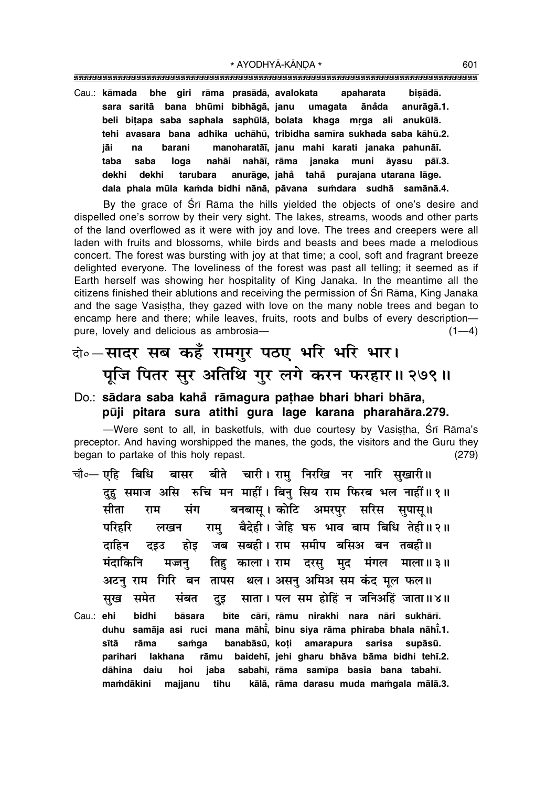Cau.: **kāmada bhe giri rāma prasādā, avalokata apaharata biṣādā. sara saritå bana bhµumi bibhågå, janu umagata åna°da anurågå.1. beli bi¢apa saba saphala saphµulå, bolata khaga mæga ali anukµulå. tehi avasara bana adhika uchåhµu, tribidha sam∂ra sukhada saba kåhµu.2. jåi na barani manoharatå∂, janu mahi karati janaka pahunå∂. taba saba loga nahåi nahå∂, råma janaka muni åyasu på∂.3. dekhi dekhi tarubara anuråge, jaha° taha° purajana utarana låge. dala phala mµula ka≈da bidhi nånå, påvana su≈dara sudhå samånå.4.**

By the grace of Srī Rāma the hills yielded the objects of one's desire and dispelled oneís sorrow by their very sight. The lakes, streams, woods and other parts of the land overflowed as it were with joy and love. The trees and creepers were all laden with fruits and blossoms, while birds and beasts and bees made a melodious concert. The forest was bursting with joy at that time; a cool, soft and fragrant breeze delighted everyone. The loveliness of the forest was past all telling; it seemed as if Earth herself was showing her hospitality of King Janaka. In the meantime all the citizens finished their ablutions and receiving the permission of Srī Rāma, King Janaka and the sage Vasistha, they gazed with love on the many noble trees and began to encamp here and there; while leaves, fruits, roots and bulbs of every descriptionpure, lovely and delicious as ambrosia— $(1-4)$ 

### दो∘—सादर सब कहँ रामगुर पठए भरि भरि भार। पूजि पितर सुर अतिथि गुर लगे करन फरहार॥ २७९॥

#### Do.: **sådara saba kaha råmagura pa¢hae bhari bhari bhåra, ° pµuji pitara sura atithi gura lage karana pharahåra.279.**

–Were sent to all, in basketfuls, with due courtesy by Vasistha, Śrī Rāma's preceptor. And having worshipped the manes, the gods, the visitors and the Guru they began to partake of this holy repast. (279)

चौ०— **एहि बिधि बासर बीते चारी।** राम निरखि नर नारि सखारी॥ दह समाज असि रुचि मन माहीं। बिन् सिय राम फिरब भल नाहीं॥१॥ सीता राम संग बनबासु।कोटि अमरपुर सरिस सुपासु॥ परिहरि लखन राम् बैदेही।जेहि**घरु भाव बाम बिधि तेही॥२॥** दाहिन दइउ होइ जब सबही।**राम समीप बसिअ बन तबही**॥ <u>मंदाकिनि मज्जनु तिह</u>ु काला। राम दरसु मुद मंगल माला॥ ३॥ अटन् राम गिरि बन तापस थल। असन् अमिअ सम कंद मूल फल॥ 'सुख समेत संबत दुइ साता । पल सम होहिं न जनिअहिं जाता॥४॥ Cau.: **ehi bidhi båsara b∂te cår∂, råmu nirakhi nara nåri sukhår∂. duhu samåja asi ruci mana måh∂° , binu siya råma phiraba bhala nåh∂° .1.** sītā rāma samga banabāsū, koti amarapura sarisa supāsū. **parihari lakhana råmu baideh∂, jehi gharu bhåva båma bidhi teh∂.2. dåhina daiu hoi jaba sabah∂, råma sam∂pa basia bana tabah∂.**

**ma≈dåkini majjanu tihu kålå, råma darasu muda ma≈gala målå.3.**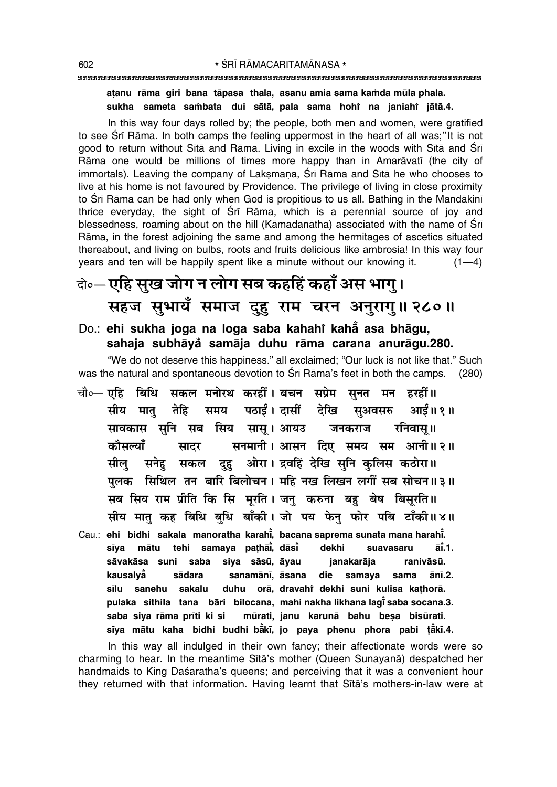### 

#### atanu rāma giri bana tāpasa thala, asanu amia sama kamda mūla phala. sukha sameta sambata dui sātā, pala sama hohi na janiahi jātā.4.

In this way four days rolled by; the people, both men and women, were gratified to see Srī Rāma. In both camps the feeling uppermost in the heart of all was;" It is not good to return without Sita and Rama. Living in excile in the woods with Sita and Sri Rāma one would be millions of times more happy than in Amarāvatī (the city of immortals). Leaving the company of Laksmana, Srī Rāma and Sītā he who chooses to live at his home is not favoured by Providence. The privilege of living in close proximity to Śrī Rāma can be had only when God is propitious to us all. Bathing in the Mandākinī thrice everyday, the sight of Sri Rama, which is a perennial source of joy and blessedness, roaming about on the hill (Kamadanatha) associated with the name of Sri Rāma, in the forest adjoining the same and among the hermitages of ascetics situated thereabout, and living on bulbs, roots and fruits delicious like ambrosia! In this way four years and ten will be happily spent like a minute without our knowing it.  $(1-4)$ 

## के-पहि सुख जोग न लोग सब कहहिं कहाँ अस भागु। सहज सुभायँ समाज दुहु राम चरन अनुरागु॥ २८०॥

#### Do.: ehi sukha joga na loga saba kahahi kaha asa bhāgu, sahaja subhāyå samāja duhu rāma carana anurāgu.280.

"We do not deserve this happiness." all exclaimed: "Our luck is not like that." Such was the natural and spontaneous devotion to Sri Rama's feet in both the camps. (280)

- सकल मनोरथ करहीं। बचन सप्रेम सुनत मन हरहीं॥ चौ०— एहि बिधि समय पठाईं। दासीं देखि आईं॥ १॥ सीय मात् तेहि सअवसरु सावकास सुनि सब सिय सासु। आयउ जनकराज रनिवास् ॥ सनमानी । आसन दिए समय सम आनी ॥ २ ॥ कौसल्याँ सादर सनेह सकल दह ओरा। द्रवहिं देखि सनि कलिस कठोरा॥ सील पलक सिथिल तन बारि बिलोचन। महि नख लिखन लगीं सब सोचन॥३॥ सब सिय राम प्रीति कि सि मुरति। जन् करुना बहु बेष बिसुरति॥ सीय मात् कह बिधि बुधि बाँकी। जो पय फेन् फोर पबि टाँकी॥४॥
- Cau.: ehi bidhi sakala manoratha karahi, bacana saprema sunata mana harahi. samava pathāi, dāsi  $\overline{a}$ i.1. sīva mātu tehi dekhi suavasaru siya sāsū, āyau sāvakāsa suni saba janakarāja ranivāsū. kausalva sādara sanamānī, āsana die samaya sama ānī.2. sīlu sanehu sakalu duhu orā, dravahi dekhi suni kulisa kathorā. pulaka sithila tana bāri bilocana, mahi nakha likhana lagi saba socana.3. mūrati, janu karunā bahu besa bisūrati. saba siya rāma prīti ki si sīya mātu kaha bidhi budhi bakī, jo paya phenu phora pabi tākī.4.

In this way all indulged in their own fancy; their affectionate words were so charming to hear. In the meantime Sita's mother (Queen Sunayana) despatched her handmaids to King Daśaratha's queens; and perceiving that it was a convenient hour they returned with that information. Having learnt that Sita's mothers-in-law were at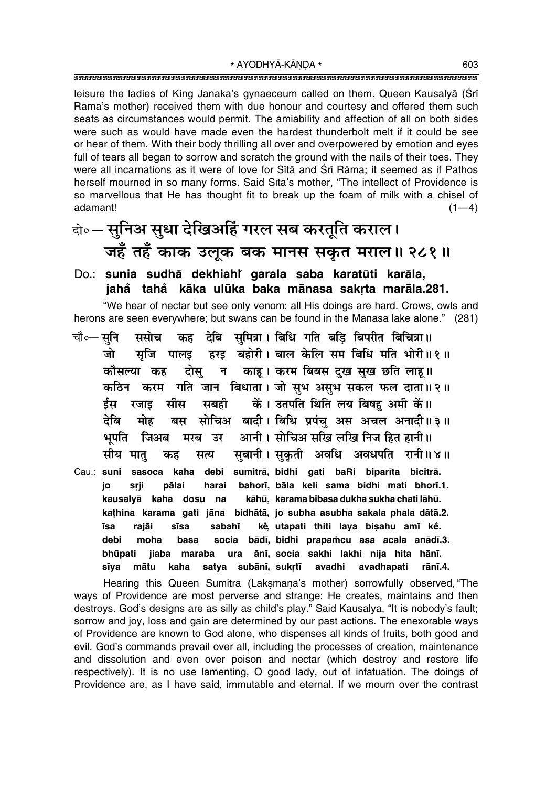leisure the ladies of King Janaka's gynaeceum called on them. Queen Kausalya (Sri Rāma's mother) received them with due honour and courtesy and offered them such seats as circumstances would permit. The amiability and affection of all on both sides were such as would have made even the hardest thunderbolt melt if it could be see or hear of them. With their body thrilling all over and overpowered by emotion and eyes full of tears all began to sorrow and scratch the ground with the nails of their toes. They were all incarnations as it were of love for Sita and Sri Rama; it seemed as if Pathos herself mourned in so many forms. Said Sītā's mother, "The intellect of Providence is so marvellous that He has thought fit to break up the foam of milk with a chisel of adamant!  $(1-4)$ 

## वे॰-सुनिअ सुधा देखिअहिं गरल सब करतूति कराल। जहँ तहँ काक उलूक बक मानस सकृत मराल॥ २८१॥

### Do.: sunia sudhā dekhiahi garala saba karatūti karāla, jahå tahå kāka ulūka baka mānasa sakrta marāla.281.

"We hear of nectar but see only venom: all His doings are hard. Crows, owls and herons are seen everywhere; but swans can be found in the Manasa lake alone." (281)

- कह देबि समित्रा। बिधि गति बडि बिपरीत बिचित्रा॥ चौ०— सूनि ससोच हरड़ बहोरी। बाल केलि सम बिधि मति भोरी॥१॥ सजि पालड जो दोसु न काहू। करम बिबस दुख सुख छति लाहू॥ कौसल्या कह कठिन करम गति जान बिधाता। जो सुभ असुभ सकल फल दाता॥२॥ कें। उतपति थिति लय बिषह अमी कें॥ ईस रजाड सीस सबही बस सोचिअ बादी। बिधि प्रपंच अस अचल अनादी॥३॥ देबि मोह भपति जिअब आनी। सोचिअ सखि लखि निज हित हानी॥ मरब उर सीय मात् सुबानी। सुकृती अवधि अवधपति रानी॥४॥ सत्य कह kaha debi sumitrā, bidhi gati baRi biparīta bicitrā. Cau.: suni sasoca
- bahorī, bāla keli sama bidhi mati bhorī.1. jo srji pālai harai kāhū, karama bibasa dukha sukha chati lāhū. kausalyā kaha dosu na kathina karama gati jāna bidhātā, jo subha asubha sakala phala dātā.2. **Tsa** sīsa kẻ, utapati thiti laya bişahu amī kẻ. rajāi sabahī socia bādī, bidhi prapamcu asa acala anādī.3. debi moha basa bhūpati iiaba maraba ura ānī, socia sakhi lakhi nija hita hānī. satya subānī, sukrtī avadhi avadhapati sīya mātu kaha rānī.4.

Hearing this Queen Sumitra (Laksmana's mother) sorrowfully observed, "The ways of Providence are most perverse and strange: He creates, maintains and then destroys. God's designs are as silly as child's play." Said Kausalya, "It is nobody's fault; sorrow and joy, loss and gain are determined by our past actions. The enexorable ways of Providence are known to God alone, who dispenses all kinds of fruits, both good and evil. God's commands prevail over all, including the processes of creation, maintenance and dissolution and even over poison and nectar (which destroy and restore life respectively). It is no use lamenting, O good lady, out of infatuation. The doings of Providence are, as I have said, immutable and eternal. If we mourn over the contrast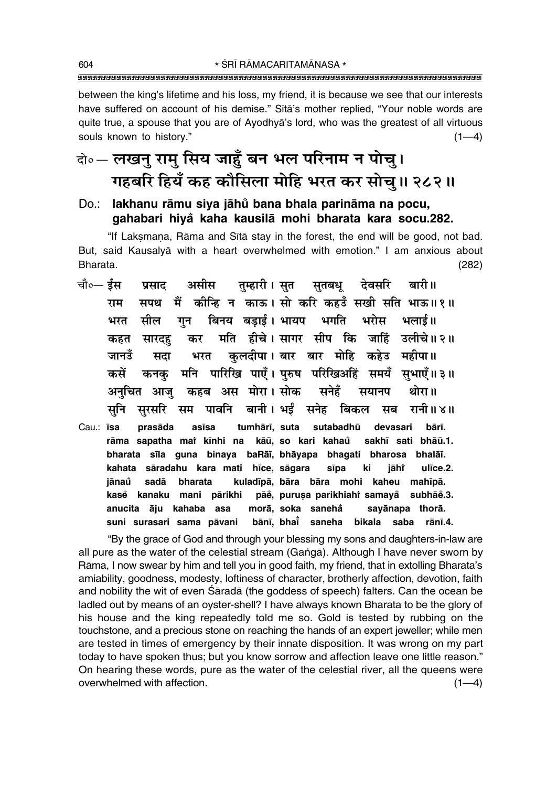\* ŚRĪ RĀMACARITAMĀNASA \* 

between the king's lifetime and his loss, my friend, it is because we see that our interests have suffered on account of his demise." Sita's mother replied, "Your noble words are quite true, a spouse that you are of Ayodhya's lord, who was the greatest of all virtuous souls known to history."  $(1-4)$ 

## वे॰– लखनु रामु सिय जाहुँ बन भल परिनाम न पोचु। गहबरि हियँ कह कौसिला मोहि भरत कर सोचु॥ २८२॥

#### lakhanu rāmu siya jāhů bana bhala parināma na pocu,  $Do:$ gahabari hiyå kaha kausilā mohi bharata kara socu.282.

"If Laksmana, Rāma and Sītā stay in the forest, the end will be good, not bad. But, said Kausalyā with a heart overwhelmed with emotion." I am anxious about Bharata.  $(282)$ 

- चौ०- ईस प्रसाद असीस तम्हारी। सत सतबध् देवसरि बारी॥ सपथ मैं कीन्हि न काऊ। सो करि कहउँ सखी सति भाऊ॥१॥ राम बिनय बडाई। भायप भगति सील गन भरोस भलाई॥ भरत मति हीचे। सागर सीप कि जाहिं उलीचे॥२॥ कर सारदह कहत कुलदीपा। बार बार मोहि कहेउ महीपा॥ जानउँ भरत सदा मनि पारिखि पाएँ। परुष परिखिअहिं समयँ सभाएँ॥३॥ कसें कनक कहब अस मोरा। सोक सनेहँ अनचित आज थोरा॥ सयानप पावनि बानी। भईं सनेह बिकल सनि सरसरि सम सब रानी॥४॥
- Cau.: **īsa** prasāda asīsa tumhārī, suta sutabadhū devasari bārī. rāma sapatha mai kīnhi na kāū, so kari kahaŭ sakhī sati bhāū.1. bharata sīla guna binaya baRāī, bhāyapa bhagati bharosa bhalāī. kahata sāradahu kara mati hīce, sāgara sīpa ki jāhř ulīce.2. sadā bharata kuladīpā, bāra bāra mohi kaheu mahīpā. jānaů pāĕ, purusa parikhiahi samayă subhāĕ.3. kasě kanaku mani pārikhi anucita āju kahaba asa morā, soka sanehå sayānapa thorā. saneha bikala suni surasari sama pāvani bānī. bhai saba rānī.4.

"By the grace of God and through your blessing my sons and daughters-in-law are all pure as the water of the celestial stream (Ganga). Although I have never sworn by Rāma, I now swear by him and tell you in good faith, my friend, that in extolling Bharata's amiability, goodness, modesty, loftiness of character, brotherly affection, devotion, faith and nobility the wit of even Sarada (the goddess of speech) falters. Can the ocean be ladled out by means of an oyster-shell? I have always known Bharata to be the glory of his house and the king repeatedly told me so. Gold is tested by rubbing on the touchstone, and a precious stone on reaching the hands of an expert jeweller; while men are tested in times of emergency by their innate disposition. It was wrong on my part today to have spoken thus; but you know sorrow and affection leave one little reason." On hearing these words, pure as the water of the celestial river, all the queens were overwhelmed with affection.  $(1-4)$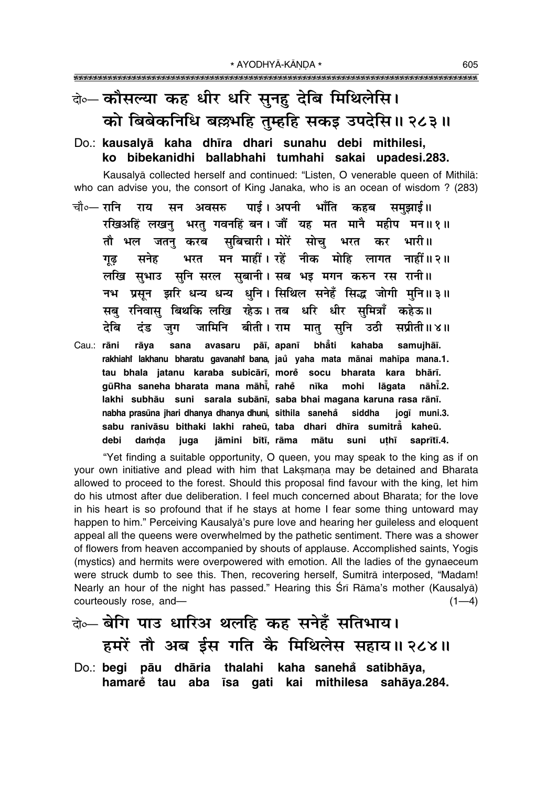\* AYODHYĀ-KĀNDA \* 

### के- कौसल्या कह धीर धरि सुनहु देबि मिथिलेसि। को बिबेकनिधि बल्लभहि तुम्हहि सकइ उपदेसि॥ २८३॥

Do.: kausalyā kaha dhīra dhari sunahu debi mithilesi, ko bibekanidhi ballabhahi tumhahi sakai upadesi.283.

Kausalyā collected herself and continued: "Listen, O venerable queen of Mithilā: who can advise you, the consort of King Janaka, who is an ocean of wisdom ? (283)

- सन अवसरु पाई। अपनी भाँति कहब समझाई॥ चौ०— रानि राय रखिअहिं लखन् भरत् गवनहिं बन। जौं यह मत मानै महीप मन॥१॥ तौ भल जतन् करब सुबिचारी। मोरें सोच भरत कर भारी॥ भरत मन माहीं। रहें नीक मोहि लागत नाहीं॥२॥ सनेह गढ लखि सुभाउ सुनि सरल सुबानी। सब भइ मगन करुन रस रानी॥ नभ प्रसून झरि धन्य धन्य धुनि। सिथिल सनेहँ सिद्ध जोगी मुनि॥३॥ सब् रनिवास् बिथकि लखि रहेऊ। तब धरि धीर समित्राँ कहेऊ॥ देबि जामिनि बीती। राम मात सनि उठी दंड जग सप्रीती ॥ ४ ॥
- sana avasaru pāī, apanī bhāti Cau.: rāni kahaba rāva samujhāī. rakhiahi lakhanu bharatu qavanahi bana, jau yaha mata mānai mahīpa mana.1. tau bhala jatanu karaba subicārī, more socu bharata kara bhārī. gūRha saneha bharata mana māhī, rahe nīka mohi lāgata nāhī.2. lakhi subhāu suni sarala subānī, saba bhai magana karuna rasa rānī. nabha prasūna jhari dhanya dhanya dhuni, sithila sanehå siddha jogī muni.3. sabu ranivāsu bithaki lakhi raheū, taba dhari dhīra sumitra kaheū. jāmini bītī, rāma mātu debi damda juga suni uthī saprītī.4.

"Yet finding a suitable opportunity, O queen, you may speak to the king as if on your own initiative and plead with him that Laksmana may be detained and Bharata allowed to proceed to the forest. Should this proposal find favour with the king, let him do his utmost after due deliberation. I feel much concerned about Bharata; for the love in his heart is so profound that if he stays at home I fear some thing untoward may happen to him." Perceiving Kausalya's pure love and hearing her guileless and eloquent appeal all the queens were overwhelmed by the pathetic sentiment. There was a shower of flowers from heaven accompanied by shouts of applause. Accomplished saints, Yogis (mystics) and hermits were overpowered with emotion. All the ladies of the gynaeceum were struck dumb to see this. Then, recovering herself, Sumitra interposed, "Madam! Nearly an hour of the night has passed." Hearing this Srī Rāma's mother (Kausalyā) courteously rose, and- $(1-4)$ 

के— बेगि पाउ धारिअ थलहि कह सनेहँ सतिभाय। हमरें तौ अब ईस गति कै मिथिलेस सहाय॥ २८४॥ Do.: begi pāu dhāria thalahi kaha sanehå satibhāya, hamarė tau aba īsa gati kai mithilesa sahāya.284.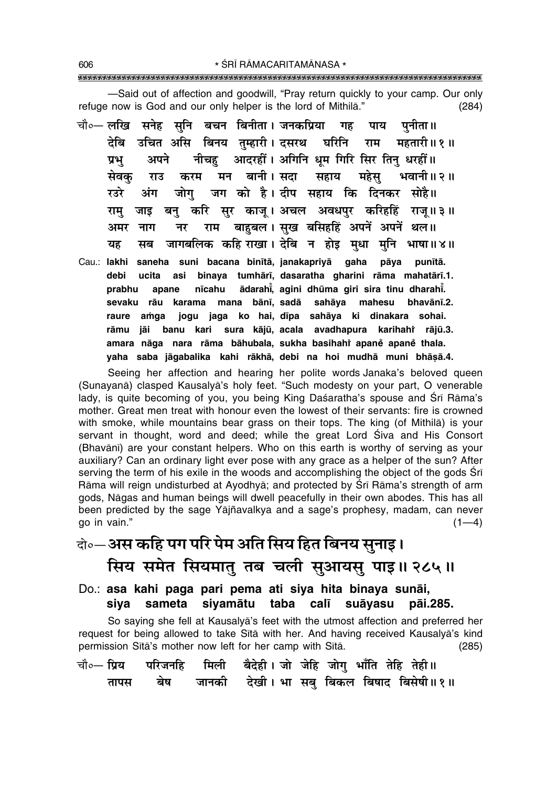-Said out of affection and goodwill, "Pray return quickly to your camp. Our only refuge now is God and our only helper is the lord of Mithila."  $(284)$ 

चौ०— लखि सनेह सुनि बचन बिनीता। जनकप्रिया गह पाय पनीता ॥ देबि उचित असि बिनय तुम्हारी।इसस्थ घरिनि राम महतारी॥ १ ॥ आदरहीं। अगिनि धुम गिरि सिर तिन् धरहीं॥ नीचह प्रभ अपने सेवक मन बानी।सदा सहाय महेस भवानी॥ २॥ राउ करम जग को है। दीप सहाय कि दिनकर सोहै॥ रउरे अंग जोग जाइ बनु करि सुर काजू । अचल अवधपुर करिहहिं राजू ॥ ३ ॥ राम राम बाहुबल। सुख बसिहहिं अपनें अपनें थल॥ अमर नाग नर जागबलिक कहि राखा। देबि न होइ मुधा मुनि भाषा॥४॥ यह मब Cau.: lakhi saneha suni bacana binītā, janakapriyā gaha pāya punītā. binaya tumhārī, dasaratha gharini rāma mahatārī.1. debi ucita asi ādarahi, agini dhūma giri sira tinu dharahi. prabhu apane nīcahu sevaku rāu karama mana bānī, sadā sahāya mahesu bhavānī.2. jogu jaga ko hai, dīpa sahāya ki dinakara sohai. raure amga rāmu jāi banu kari sura kājū, acala avadhapura karihahi rājū.3. amara nāga nara rāma bāhubala, sukha basihahi apaně apaně thala. vaha saba jāgabalika kahi rākhā debi na hoj mudhā muni bhāsā.4.

Seeing her affection and hearing her polite words Janaka's beloved queen (Sunayanā) clasped Kausalyā's holy feet. "Such modesty on your part, O venerable lady, is quite becoming of you, you being King Dasaratha's spouse and Srī Rāma's mother. Great men treat with honour even the lowest of their servants: fire is crowned with smoke, while mountains bear grass on their tops. The king (of Mithila) is your servant in thought, word and deed; while the great Lord Siva and His Consort (Bhavānī) are your constant helpers. Who on this earth is worthy of serving as your auxiliary? Can an ordinary light ever pose with any grace as a helper of the sun? After serving the term of his exile in the woods and accomplishing the object of the gods Sri Rāma will reign undisturbed at Ayodhyā; and protected by Śrī Rāma's strength of arm gods, Nāgas and human beings will dwell peacefully in their own abodes. This has all been predicted by the sage Yaiñavalkya and a sage's prophesy, madam, can never go in vain."  $(1-4)$ 

## वे॰—अस कहि पग परि पेम अति सिय हित बिनय सुनाइ। सिय समेत सियमातु तब चली सुआयसु पाइ॥ २८५॥

Do.: asa kahi paga pari pema ati siya hita binaya sunāi, siva sameta siyamātu taba calī suāyasu pāi.285.

So saying she fell at Kausalya's feet with the utmost affection and preferred her request for being allowed to take Sita with her. And having received Kausalya's kind permission Sītā's mother now left for her camp with Sītā.  $(285)$ 

| चौ०— प्रिय     परिजनहि     मिली     बैदेही । जो  जेहि  जोगु  भाँति  तेहि  तेही ॥ |  |                                             |  |  |  |
|----------------------------------------------------------------------------------|--|---------------------------------------------|--|--|--|
| तापस                                                                             |  | बेष जानकी देखी। भा सबु बिकल बिषाद बिसेषी॥१॥ |  |  |  |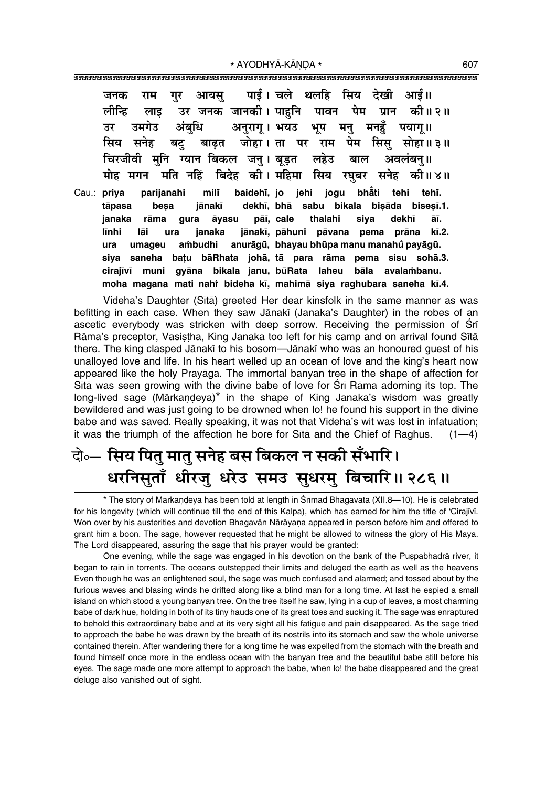607

पाई। चले थलहि सिय देखी आई॥ जनक आयस राम गर पावन पेम प्रान लीन्हि उर जनक जानकी। पाहनि लाड की॥२॥ उर उमगेउ अंबधि अनराग। भयउ भूप मन मनहँ पयाग॥ सिय सनेह जोहा । ता राम पेम सिस सोहा॥३॥ बट बाढत पर ्यान बिकल ज<u>नु</u> । बूड़त मनि अवलंबनु ॥ लहेउ बाल बिदेह की। महिमा मोह मगन मति नहिं सिय रघबर सनेह की॥४॥

Cau.: priya parijanahi milī baidehī, io jehi jogu bhẳti tehi tehī. tāpasa besa jānakī dekhī, bhā sabu bikala bisāda bisesī.1. janaka āyasu pāī, cale siya dekhī rāma gura thalahi āī. līnhi ura janaka jānakī, pāhuni pāvana pema prāna lāi kī.2. ura umageu ambudhi anurāgū, bhayau bhūpa manu manahů payāgū. siya saneha batu bāRhata johā, tā para rāma pema sisu sohā.3. cirajīvī muni gyāna bikala janu, būRata laheu bāla avalambanu. moha magana mati nahi bideha kī, mahimā siya raghubara saneha kī.4.

Videha's Daughter (Sītā) greeted Her dear kinsfolk in the same manner as was befitting in each case. When they saw Jānakī (Janaka's Daughter) in the robes of an ascetic everybody was stricken with deep sorrow. Receiving the permission of Sri Rāma's preceptor, Vasistha, King Janaka too left for his camp and on arrival found Sītā there. The king clasped Jānakī to his bosom—Jānakī who was an honoured quest of his unalloyed love and life. In his heart welled up an ocean of love and the king's heart now appeared like the holy Prayaga. The immortal banyan tree in the shape of affection for Sita was seen growing with the divine babe of love for Sri Rama adorning its top. The long-lived sage (Mārkandeya)<sup>\*</sup> in the shape of King Janaka's wisdom was greatly bewildered and was just going to be drowned when lo! he found his support in the divine babe and was saved. Really speaking, it was not that Videha's wit was lost in infatuation; it was the triumph of the affection he bore for Sita and the Chief of Raghus.  $(1-4)$ 

## दो॰— सिय पितु मातु सनेह बस बिकल न सकी सँभारि। धरनिसूताँ धीरजु धरेउ समउ सुधरमु बिचारि॥ २८६॥

\* The story of Mārkandeya has been told at length in Śrīmad Bhāgavata (XII.8-10). He is celebrated for his longevity (which will continue till the end of this Kalpa), which has earned for him the title of 'Cirajivi. Won over by his austerities and devotion Bhagavān Nārāyana appeared in person before him and offered to grant him a boon. The sage, however requested that he might be allowed to witness the glory of His Māyā. The Lord disappeared, assuring the sage that his prayer would be granted:

One evening, while the sage was engaged in his devotion on the bank of the Puspabhadrā river, it began to rain in torrents. The oceans outstepped their limits and deluged the earth as well as the heavens Even though he was an enlightened soul, the sage was much confused and alarmed; and tossed about by the furious waves and blasing winds he drifted along like a blind man for a long time. At last he espied a small island on which stood a young banyan tree. On the tree itself he saw, lying in a cup of leaves, a most charming babe of dark hue, holding in both of its tiny hauds one of its great toes and sucking it. The sage was enraptured to behold this extraordinary babe and at its very sight all his fatigue and pain disappeared. As the sage tried to approach the babe he was drawn by the breath of its nostrils into its stomach and saw the whole universe contained therein. After wandering there for a long time he was expelled from the stomach with the breath and found himself once more in the endless ocean with the banyan tree and the beautiful babe still before his eyes. The sage made one more attempt to approach the babe, when lo! the babe disappeared and the great deluge also vanished out of sight.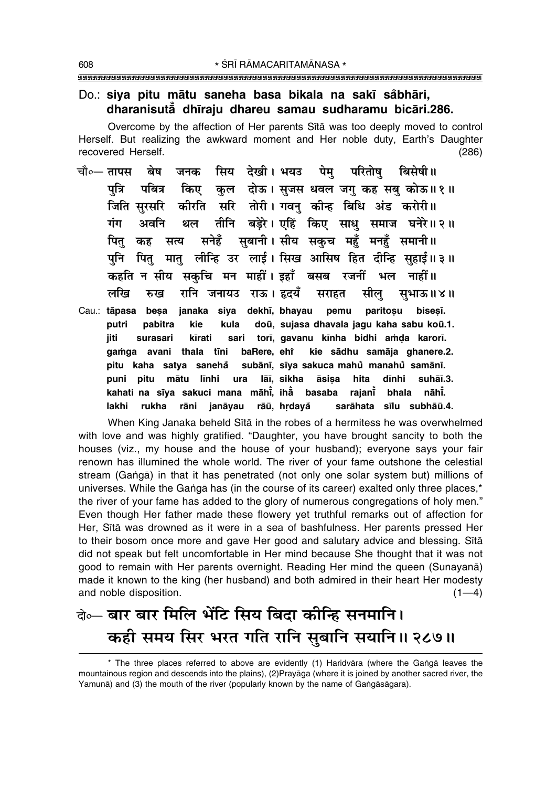#### Do.: siya pitu mātu saneha basa bikala na sakī såbhāri, dharanisută dhīraju dhareu samau sudharamu bicāri.286.

Overcome by the affection of Her parents Sita was too deeply moved to control Herself. But realizing the awkward moment and Her noble duty, Earth's Daughter recovered Herself.  $(286)$ 

- परितोषु सिय देखी। भयउ बेष पेम बिसेषी॥ चौ०— **तापस** जनक कुल दोऊ। सुजस धवल जगु कह सब कोऊ॥१॥ पत्रि पबित्र किए जिति सुरसरि कीरति सरि तोरी। गवन कीन्ह बिधि अंड करोरी॥ तीनि बड़ेरे। एहिं किए साधु समाज घनेरे॥२॥ गंग अवनि थल सबानी। सीय सकच महँ मनहँ समानी॥ सनेहँ पित सत्य कह मात् लीन्हि उर लाई। सिख आसिष हित दीन्हि सहाई॥३॥ पनि पित कहति न सीय सकुचि मन माहीं। इहाँ बसब रजनीं भल नाहीं॥ लरिव रानि जनायउ राऊ। हृदयँ सील रुख सराहत सभाऊ॥४॥
- Cau.: tāpasa besa janaka siya dekhī, bhayau pemu paritosu bisesī. doū, sujasa dhavala jagu kaha sabu koū.1. putri pabitra kie kula torī, gavanu kīnha bidhi amda karorī. jiti surasari kīrati sari gamga avani thala tīni baRere, eht kie sādhu samāja ghanere.2. subānī, sīya sakuca mahů manahů samānī. pitu kaha satya sanehå puni pitu mātu līnhi ura lāī, sikha āsisa hita dīnhi suhāī.3. kahati na sīya sakuci mana māhī, ihā basaba rajani̇̃ bhala nāhi. rāū, hrdayå sarāhata sīlu subhāū.4. lakhi rukha rāni janāvau

When King Janaka beheld Sita in the robes of a hermitess he was overwhelmed with love and was highly gratified. "Daughter, you have brought sancity to both the houses (viz., my house and the house of your husband); everyone says your fair renown has illumined the whole world. The river of your fame outshone the celestial stream (Ganga) in that it has penetrated (not only one solar system but) millions of universes. While the Ganga has (in the course of its career) exalted only three places,\* the river of your fame has added to the glory of numerous congregations of holy men." Even though Her father made these flowery yet truthful remarks out of affection for Her, Sita was drowned as it were in a sea of bashfulness. Her parents pressed Her to their bosom once more and gave Her good and salutary advice and blessing. Sita did not speak but felt uncomfortable in Her mind because She thought that it was not good to remain with Her parents overnight. Reading Her mind the queen (Sunayana) made it known to the king (her husband) and both admired in their heart Her modesty and noble disposition.  $(1-4)$ 

### बेञ्चार बार मिलि भेंटि सिय बिदा कीन्हि सनमानि। कही समय सिर भरत गति रानि सुबानि सयानि॥ २८७॥

<sup>\*</sup> The three places referred to above are evidently (1) Haridvāra (where the Ganga leaves the mountainous region and descends into the plains), (2)Prayaga (where it is joined by another sacred river, the Yamunā) and (3) the mouth of the river (popularly known by the name of Gangasagara).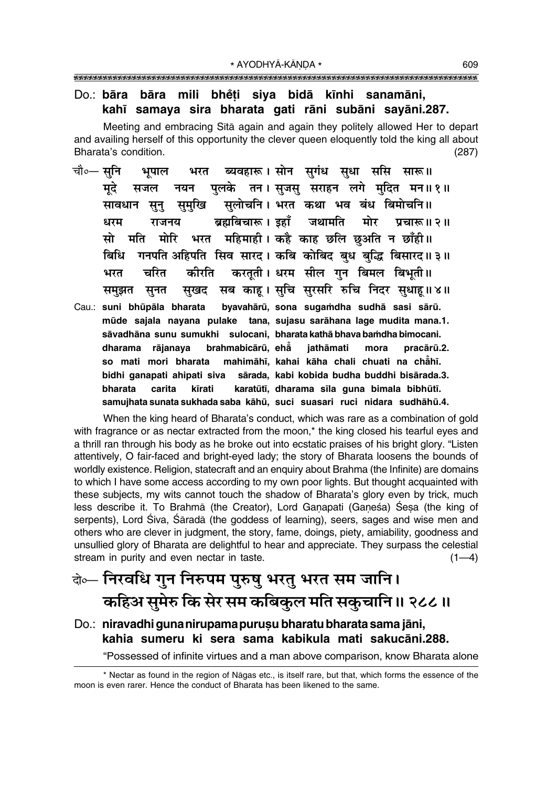#### Do.: bāra bāra mili bhěti siya bidā kīnhi sanamāni, kahī samaya sira bharata gati rāni subāni sayāni.287.

Meeting and embracing Sita again and again they politely allowed Her to depart and availing herself of this opportunity the clever queen eloquently told the king all about Bharata's condition.  $(287)$ 

- ब्यवहारू। सोन सुगंध सुधा ससि सारू॥ चौ∘— सनि भरत भपाल पुलके तन।सुजसु सराहन लगे मुदित मन॥१॥ मदे मजल नयन सुलोचनि । भरत कथा भव बंध बिमोचनि ॥ समखि सावधान सून् ब्रह्मबिचारू । इहाँ जथामति मोर प्रचारू ॥ २ ॥ धरम गजनय भरत महिमाही। कहै काह छलि छअति न छाँही।। मोरि मो मति गनपति अहिपति सिव सारद। कबि कोबिद बुध बुद्धि बिसारद॥३॥ बिधि करतृती । धरम सील गुन बिमल बिभूती ॥ चरित कीरति भरत सुखद सब काह। सुचि सुरसरि रुचि निदर सुधाह॥४॥ समझत सनत
- Cau.: suni bhūpāla bharata byavahārū, sona sugamdha sudhā sasi sārū. mūde sajala navana pulake tana, sujasu sarāhana lage mudita mana.1. sāvadhāna sunu sumukhi sulocani. bharata kathā bhava bamdha bimocani. brahmabicārū, eha dharama rājanaya jathāmati mora pracārū.2. so mati mori bharata mahimāhī, kahai kāha chali chuati na chāhī. bidhi qanapati ahipati siva sārada, kabi kobida budha buddhi bisārada.3. karatūtī, dharama sīla guna bimala bibhūtī. bharata carita kīrati samujhata sunata sukhada saba kāhū, suci suasari ruci nidara sudhāhū.4.

When the king heard of Bharata's conduct, which was rare as a combination of gold with fragrance or as nectar extracted from the moon,\* the king closed his tearful eyes and a thrill ran through his body as he broke out into ecstatic praises of his bright glory. "Listen attentively, O fair-faced and bright-eyed lady; the story of Bharata loosens the bounds of worldly existence. Religion, statecraft and an enquiry about Brahma (the Infinite) are domains to which I have some access according to my own poor lights. But thought acquainted with these subjects, my wits cannot touch the shadow of Bharata's glory even by trick, much less describe it. To Brahmā (the Creator), Lord Ganapati (Ganeśa) Sesa (the king of serpents), Lord Śiva, Śāradā (the goddess of learning), seers, sages and wise men and others who are clever in judgment, the story, fame, doings, piety, amiability, goodness and unsullied glory of Bharata are delightful to hear and appreciate. They surpass the celestial stream in purity and even nectar in taste.  $(1-4)$ 

### बे⊶ निरवधि गुन निरुपम पुरुषु भरतु भरत सम जानि। कहिअ सुमेरु कि सेर सम कबिकुल मति सकुचानि॥ २८८॥

#### Do.: niravadhi guna nirupama purusu bharatu bharata sama jāni, kahia sumeru ki sera sama kabikula mati sakucāni.288.

"Possessed of infinite virtues and a man above comparison, know Bharata alone

<sup>\*</sup> Nectar as found in the region of Nāgas etc., is itself rare, but that, which forms the essence of the moon is even rarer. Hence the conduct of Bharata has been likened to the same.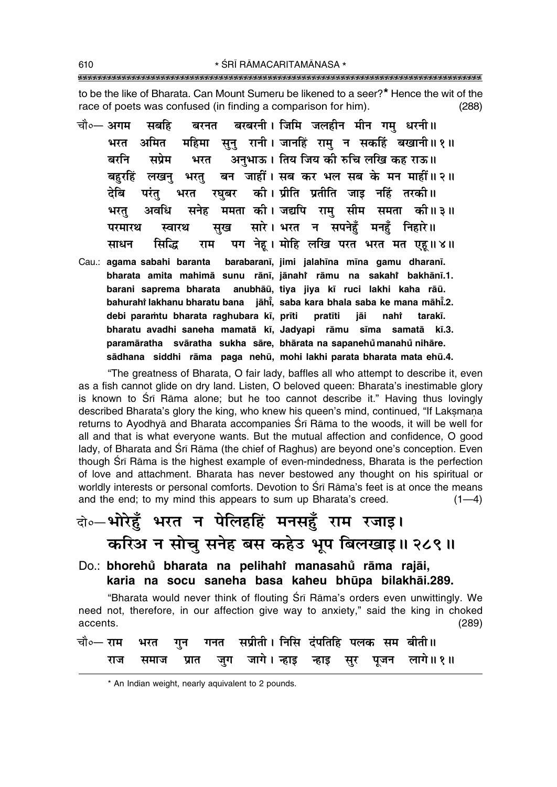to be the like of Bharata. Can Mount Sumeru be likened to a seer?\* Hence the wit of the race of poets was confused (in finding a comparison for him).  $(288)$ 

- चौ०— अगम बरबरनी। जिमि जलहीन मीन गम धरनी॥ सबहि बरनत महिमा सुनु रानी। जानहिं रामु न सकहिं बखानी॥१॥ अमित भरत अनुभाऊ। तिय जिय की रुचि लखि कह राऊ॥ बरनि सप्रेम भरत बन जाहीं। सब कर भल सब के मन माहीं॥२॥ बहरहिं लखन भरत् देबि की। प्रीति प्रतीति जाड नहिं तरकी॥ परंत भरत रघबर सनेह ममता की। जद्यपि राम सीम समता की॥३॥ अवधि भरत सख सारे। भरत न सपनेहँ मनहँ निहारे॥ परमारथ स्वारथ पग नेह। मोहि लखि परत भरत मत एह॥४॥ सिद्धि साधन राम barabaranī, jimi jalahīna mīna gamu dharanī. Cau.: agama sabahi baranta bharata amita mahimā sunu rānī, jānahi rāmu na sakahi bakhānī.1. barani saprema bharata anubhāū, tiya jiya kī ruci lakhi kaha rāū. bahurahi lakhanu bharatu bana jāhi, saba kara bhala saba ke mana māhi.2.
	- debi paramtu bharata raghubara kī, prīti pratīti jāi naht tarakī. bharatu avadhi saneha mamatā kī, Jadyapi rāmu sīma samatā kī.3. paramāratha svāratha sukha sāre, bhārata na sapanehu manahu nihāre. sādhana siddhi rāma paga nehū, mohi lakhi parata bharata mata ehū.4.

"The greatness of Bharata, O fair lady, baffles all who attempt to describe it, even as a fish cannot glide on dry land. Listen, O beloved queen: Bharata's inestimable glory is known to Srī Rāma alone; but he too cannot describe it." Having thus lovingly described Bharata's glory the king, who knew his queen's mind, continued, "If Laksmana returns to Ayodhya and Bharata accompanies Sri Rama to the woods, it will be well for all and that is what everyone wants. But the mutual affection and confidence, O good lady, of Bharata and Śrī Rāma (the chief of Raghus) are beyond one's conception. Even though Sri Rama is the highest example of even-mindedness. Bharata is the perfection of love and attachment. Bharata has never bestowed any thought on his spiritual or worldly interests or personal comforts. Devotion to Sri Rama's feet is at once the means and the end; to my mind this appears to sum up Bharata's creed.  $(1-4)$ 

# बो०—भोरेहूँ भरत न पेलिहहिं मनसहुँ राम रजाइ। करिअ न सोच सनेह बस कहेउ भूप बिलखाइ॥ २८९॥

Do.: bhorehů bharata na pelihahi manasahů rāma rajāi, karia na socu saneha basa kaheu bhūpa bilakhāi.289.

"Bharata would never think of flouting Srī Rāma's orders even unwittingly. We need not, therefore, in our affection give way to anxiety," said the king in choked accents.  $(289)$ 

|  |  | राज समाज प्रात जुग जागे।न्हाइ न्हाइ सुर पूजन लागे॥१॥ |  |  |
|--|--|------------------------------------------------------|--|--|

\* An Indian weight, nearly aquivalent to 2 pounds.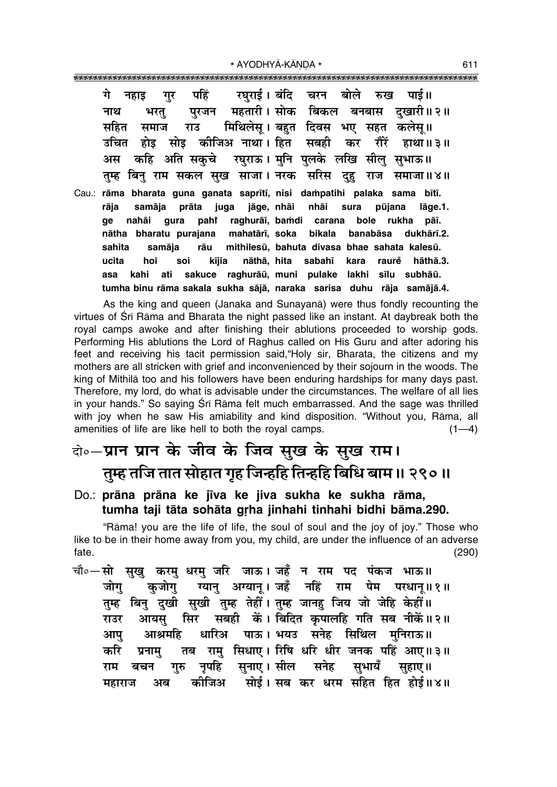गे नहाड गर पहिं रघराई । बंदि चरन बोले रुख पार्ड ॥ महतारी। सोक बिकल बनबास दुखारी॥२॥ नाथ भरतू पुरजन मिथिलेस। बहुत दिवस भए सहत कलेस॥ सहित समाज राउ सबही कोजिअ नाथा। हित रौरें उचित होड सोड कर हाथा ॥ ३ ॥ अति सकचे रघुराऊ। मनि पुलके लखि सीलु सुभाऊ॥ अस कहि तम्ह बिन राम सकल सख साजा। नरक सरिस दह राज समाजा॥४॥ Cau.: rāma bharata guna ganata saprītī, nisi dampatihi palaka sama bītī. nhāi rāja samāja prāta juga jāge, nhāi sura pūjana lāge.1. ge nahāi qura pahi raghurāī. bamdi carana bole rukha pāī. bharatu purajana mahatārī, soka bikala nātha banabāsa dukhārī.2. samāia mithilesū, bahuta divasa bhae sahata kalesū. sahita rāu ucita hoi nāthā, hita soi kīiia sabahī kara raurě hāthā.3. sakuce raghurāū, muni pulake lakhi sīlu subhāū. asa kahi ati tumha binu rāma sakala sukha sājā, naraka sarisa duhu rāja samājā.4.

As the king and queen (Janaka and Sunayana) were thus fondly recounting the virtues of Srī Rāma and Bharata the night passed like an instant. At daybreak both the royal camps awoke and after finishing their ablutions proceeded to worship gods. Performing His ablutions the Lord of Raghus called on His Guru and after adoring his feet and receiving his tacit permission said, Holy sir, Bharata, the citizens and my mothers are all stricken with grief and inconvenienced by their sojourn in the woods. The king of Mithila too and his followers have been enduring hardships for many days past. Therefore, my lord, do what is advisable under the circumstances. The welfare of all lies in your hands." So saying Srī Rāma felt much embarrassed. And the sage was thrilled with joy when he saw His amiability and kind disposition. "Without you, Rāma, all amenities of life are like hell to both the royal camps.  $(1-4)$ 

### वे॰—प्रान प्रान के जीव के जिव सुख के सुख राम। तुम्ह तजि तात सोहात गृह जिन्हहि तिन्हहि बिधि बाम ॥ २९० ॥

#### Do.: prāna prāna ke jīva ke jiva sukha ke sukha rāma, tumha taji tāta sohāta grha jinhahi tinhahi bidhi bāma.290.

"Rāma! you are the life of life, the soul of soul and the joy of joy." Those who like to be in their home away from you, my child, are under the influence of an adverse fate.  $(290)$ 

चौ∘—सो सुखु करम् धरम् जरि जाऊ।जहँ न राम पद पंकज भाऊ॥ कजोग ग्यान् अग्यान् । जहँ नहिं राम पेम परधान्॥१॥ जोग तुम्ह बिनु दुखी सुखी तुम्ह तेहीं। तुम्ह जानहु जिय जो जेहि केहीं।। सबही कें। बिदित कृपालहि गति सब नीकें॥२॥ आयसु सिर राउर पाऊ। भयउ सनेह सिथिल मुनिराऊ॥ आश्रमहि धारिअ आप तब रामु सिधाए। रिषि धरि धीर जनक पहिं आए॥३॥ करि प्रनाम् सुनाए । सील सनेह सभायँ नुपहि राम बचन गुरु सहाए।। कोजिअ सोई। सब कर धरम सहित हित होई॥४॥ अब महाराज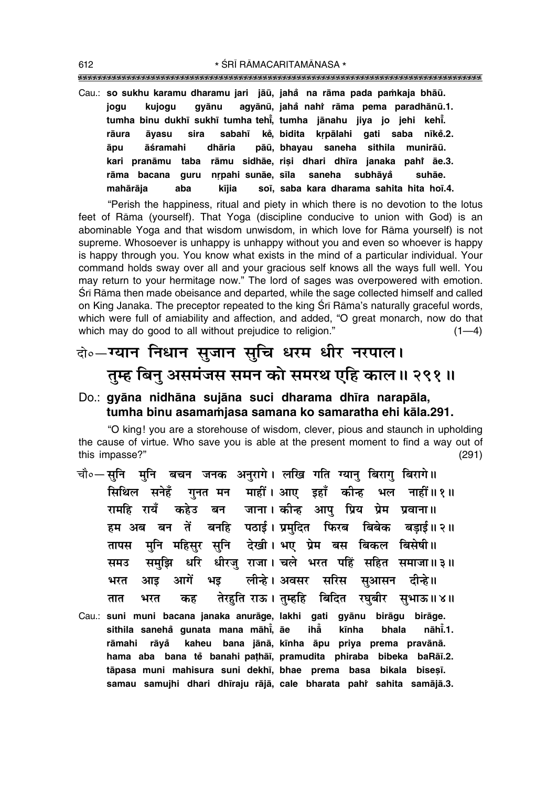\* ŚRĪ RĀMACARITAMĀNASA \* 

Cau.: so sukhu karamu dharamu jari jāū, jahă na rāma pada pamkaja bhāū. agyānū, jahå nahi rāma pema paradhānū.1. kujogu jogu qyānu tumha binu dukhī sukhī tumha tehī. tumha jānahu jiva jo jehi kehī. sabahī ke, bidita krpālahi gati saba nīke.2. rāura āvasu sira āpu āśramahi dhāria pāū, bhayau saneha sithila munirāū. kari pranāmu taba rāmu sidhāe, risi dhari dhīra janaka pahr āe.3. rāma bacana guru nrpahi sunāe, sīla saneha subhāyå suhāe. kīija soi, saba kara dharama sahita hita hoi.4. mahārāja aba

"Perish the happiness, ritual and piety in which there is no devotion to the lotus feet of Rāma (yourself). That Yoga (discipline conducive to union with God) is an abominable Yoga and that wisdom unwisdom, in which love for Rāma yourself) is not supreme. Whosoever is unhappy is unhappy without you and even so whoever is happy is happy through you. You know what exists in the mind of a particular individual. Your command holds sway over all and your gracious self knows all the ways full well. You may return to your hermitage now." The lord of sages was overpowered with emotion. Srī Rāma then made obeisance and departed, while the sage collected himself and called on King Janaka. The preceptor repeated to the king Sri Rama's naturally graceful words, which were full of amiability and affection, and added, "O great monarch, now do that which may do good to all without prejudice to religion."  $(1-4)$ 

# दो०-ग्यान निधान सुजान सुचि धरम धीर नरपाल। तम्ह बिन् असमंजस समन को समरथ एहि काल॥ २९१॥

#### Do.: gyāna nidhāna sujāna suci dharama dhīra narapāla, tumha binu asamamiasa samana ko samaratha ehi kāla.291.

"O king! you are a storehouse of wisdom, clever, pious and staunch in upholding the cause of virtue. Who save you is able at the present moment to find a way out of this impasse?"  $(291)$ 

- चौ∘—सनि मनि बचन जनक अनुरागे। लखि गति ग्यान् बिराग् बिरागे॥ सिथिल सनेहँ गुनत मन माहीँ। आए इहाँ कीन्ह भल नाहीँ॥१॥ रामहि रायँ कहेउ बन जाना।कीन्ह आपु प्रिय प्रेम प्रवाना॥ हम अब बन तें बनहि पठाई। प्रमुदित फिरब बिबेक बड़ाई॥२॥ तापस मुनि महिसुर सुनि देखी। भए प्रेम बस बिकल बिसेषी॥ धरि धीरजु राजा। चले भरत पहिं सहित समाजा॥३॥ समझि समउ लीन्हे। अवसर सरिस सुआसन दीन्हे॥ आगें भड आड भरत तेरहति राऊ। तुम्हहि बिदित रघुबीर सुभाऊ॥४॥ भरत कह तात
- Cau.: suni muni bacana janaka anurāge, lakhi gati gyānu birāgu birāge. kīnha sithila sanehå gunata mana māhi, āe ihă bhala nāhī.1. kaheu bana jānā, kīnha āpu priya prema pravānā. rāmahi rāvå hama aba bana tě banahi pathāi, pramudita phiraba bibeka baRāi.2. tāpasa muni mahisura suni dekhī, bhae prema basa bikala bisesī. samau samujhi dhari dhīraju rājā, cale bharata pahr sahita samājā.3.

612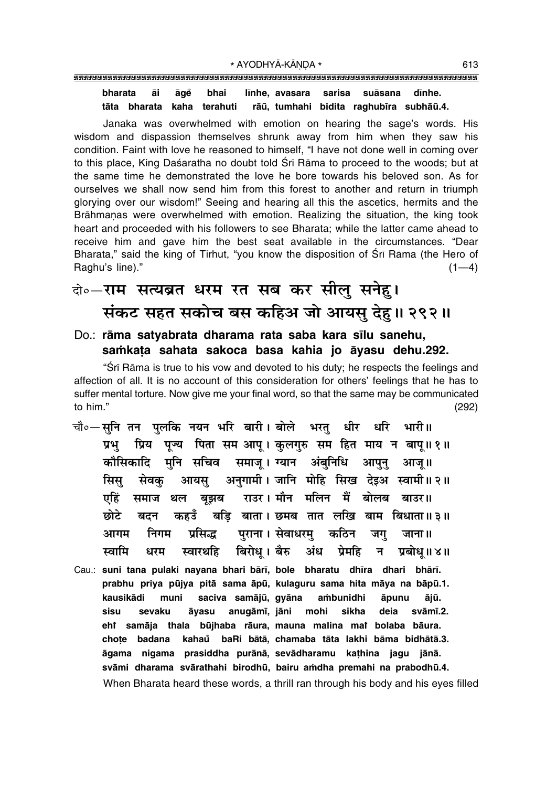#### bharata āi āgě bhai līnhe, avasara sarisa suāsana dinhe. rāū, tumhahi bidita raghubīra subhāū.4. tāta bharata kaha terahuti

Janaka was overwhelmed with emotion on hearing the sage's words. His wisdom and dispassion themselves shrunk away from him when they saw his condition. Faint with love he reasoned to himself, "I have not done well in coming over to this place, King Daśaratha no doubt told Śrī Rāma to proceed to the woods; but at the same time he demonstrated the love he bore towards his beloved son. As for ourselves we shall now send him from this forest to another and return in triumph glorying over our wisdom!" Seeing and hearing all this the ascetics, hermits and the Brāhmanas were overwhelmed with emotion. Realizing the situation, the king took heart and proceeded with his followers to see Bharata; while the latter came ahead to receive him and gave him the best seat available in the circumstances. "Dear Bharata," said the king of Tirhut, "you know the disposition of Sri Rama (the Hero of Raghu's line)."  $(1-4)$ 

# वे०-राम सत्यब्रत धरम रत सब कर सीलू सनेहू। संकट सहत सकोच बस कहिअ जो आयस देह।। २९२॥

#### Do.: rāma satyabrata dharama rata saba kara sīlu sanehu, samkata sahata sakoca basa kahia jo āyasu dehu.292.

"Srī Rāma is true to his vow and devoted to his duty; he respects the feelings and affection of all. It is no account of this consideration for others' feelings that he has to suffer mental torture. Now give me your final word, so that the same may be communicated to him."  $(292)$ 

- चौ०—सुनि तन पुलकि नयन भरि बारी। बोले भरतु धीर धरि भारी॥ प्रिय पूज्य पिता सम आपू। कुलगुरु सम हित माय न बापू॥१॥ प्रभ कौसिकादि मुनि सचिव समाज्। ग्यान अंबुनिधि आपन् आज्॥ आयस् अनुगामी। जानि मोहि सिख देइअ स्वामी॥२॥ सेवक सिस राउर। मौन मलिन मैं बोलब एहिं समाज थल बझब बाउर॥ छोटे बदन कहउँ बडि बाता। छमब तात लखि बाम बिधाता॥३॥ पुराना । सेवाधरम् आगम निगम प्रसिद्ध कठिन जग जाना ॥ बिरोध। बैरु स्वारथहि अंध स्वामि धरम प्रेमहि न $\overline{a}$ प्रबोध॥४॥
- Cau.: suni tana pulaki nayana bhari bārī, bole bharatu dhīra dhari bhārī. prabhu priya pūjya pitā sama āpū, kulaguru sama hita māya na bāpū.1. kausikādi saciva samājū, gyāna muni ambunidhi āpunu ājū. sisu sevaku āvasu anugāmī, jāni mohi sikha deia svāmī.2. ehi samāja thala būjhaba rāura, mauna malina mai bolaba bāura. kahaů baRi bātā, chamaba tāta lakhi bāma bidhātā.3. chote badana āgama nigama prasiddha purānā, sevādharamu kathina jagu jānā. svāmi dharama svārathahi birodhū, bairu amdha premahi na prabodhū.4. When Bharata heard these words, a thrill ran through his body and his eyes filled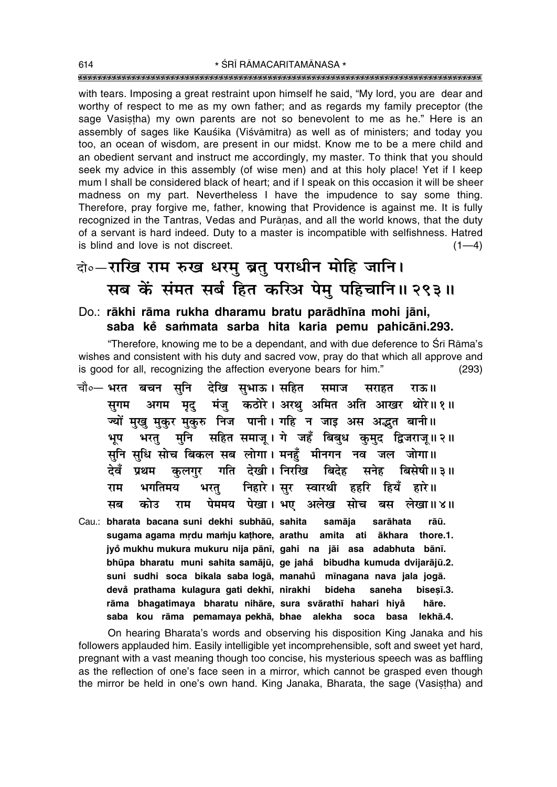with tears. Imposing a great restraint upon himself he said, "My lord, you are dear and worthy of respect to me as my own father; and as regards my family preceptor (the sage Vasistha) my own parents are not so benevolent to me as he." Here is an assembly of sages like Kauśika (Viśvāmitra) as well as of ministers; and today you too, an ocean of wisdom, are present in our midst. Know me to be a mere child and an obedient servant and instruct me accordingly, my master. To think that you should seek my advice in this assembly (of wise men) and at this holy place! Yet if I keep mum I shall be considered black of heart; and if I speak on this occasion it will be sheer madness on my part. Nevertheless I have the impudence to say some thing. Therefore, pray forgive me, father, knowing that Providence is against me. It is fully recognized in the Tantras, Vedas and Puranas, and all the world knows, that the duty of a servant is hard indeed. Duty to a master is incompatible with selfishness. Hatred is blind and love is not discreet.  $(1-4)$ 

### दो∘—राखि राम रुख धरम् ब्रत् पराधीन मोहि जानि। सब कें संमत सर्ब हित करिअ पेमु पहिचानि॥ २९३॥

#### Do.: rākhi rāma rukha dharamu bratu parādhīna mohi jāni, saba ke sammata sarba hita karia pemu pahicāni.293.

"Therefore, knowing me to be a dependant, and with due deference to Srī Rāma's wishes and consistent with his duty and sacred vow, pray do that which all approve and is good for all, recognizing the affection everyone bears for him."  $(293)$ 

- चौ०— भरत बचन सनि देखि सभाऊ । सहित समाज सराहत राऊ॥ अगम मृदु मंजु कठोरे। अरथु अमित अति आखर थोरे॥१॥ सुगम ज्यों मुखु मुकुर मुकुरु निज पानी। गहि न जाइ अस अद्भुत बानी॥ भरत् मुनि सहित समाज् । गे जहँ बिबुध कुमुद द्विजराज् ॥ २ ॥ भूप सुनि सुधि सोच बिकल सब लोगा। मनहँ मीनगन नव जल जोगा॥ कलगर गति देखी। निरखि बिदेह सनेह बिसेषी॥३॥ देवँ प्रथम निहारे। सुर स्वारथी हहरि हियँ हारे॥ भगतिमय राम भरत पेममय पेखा। भए अलेख सोच बस लेखा॥४॥ कोउ सब राम
- Cau.: bharata bacana suni dekhi subhāū, sahita samāja sarāhata rāū. sugama agama mrdu mamju kathore, arathu amita ati ākhara thore.1. jyỏ mukhu mukura mukuru nija pānī, gahi na jāi asa adabhuta bānī. bhūpa bharatu muni sahita samājū, ge jaha bibudha kumuda dvijarājū.2. suni sudhi soca bikala saba logā, manahů mīnagana nava jala jogā. devå prathama kulagura gati dekhī, nirakhi bideha saneha bisesī.3. rāma bhagatimaya bharatu nihāre, sura svārathī hahari hiyå hāre. saba kou rāma pemamaya pekhā, bhae alekha soca basa lekhā.4.

On hearing Bharata's words and observing his disposition King Janaka and his followers applauded him. Easily intelligible yet incomprehensible, soft and sweet yet hard, pregnant with a vast meaning though too concise, his mysterious speech was as baffling as the reflection of one's face seen in a mirror, which cannot be grasped even though the mirror be held in one's own hand. King Janaka, Bharata, the sage (Vasistha) and

614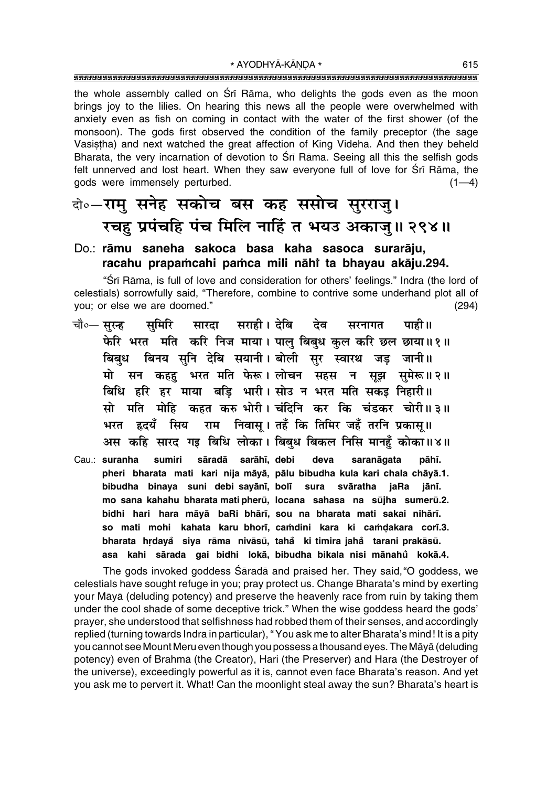the whole assembly called on Sri Rama, who delights the gods even as the moon brings joy to the lilies. On hearing this news all the people were overwhelmed with anxiety even as fish on coming in contact with the water of the first shower (of the monsoon). The gods first observed the condition of the family preceptor (the sage Vasistha) and next watched the great affection of King Videha. And then they beheld Bharata, the very incarnation of devotion to Srī Rāma. Seeing all this the selfish gods felt unnerved and lost heart. When they saw everyone full of love for Srī Rāma, the gods were immensely perturbed.  $(1-4)$ 

### वे०-रामु सनेह सकोच बस कह ससोच सुरराजु। रचह प्रपंचहि पंच मिलि नाहिं त भयउ अकाजु॥ २९४॥

#### Do.: rāmu saneha sakoca basa kaha sasoca surarāju, racahu prapamcahi pamca mili nāhi ta bhayau akāju.294.

"Srī Rāma, is full of love and consideration for others' feelings." Indra (the lord of celestials) sorrowfully said, "Therefore, combine to contrive some underhand plot all of vou; or else we are doomed."  $(294)$ 

- समिरि सारदा सराही।देबि देव चौ∘— सुरन्ह पाही ॥ सरनागत फेरि भरत मति करि निज माया। पालु बिबुध कुल करि छल छाया॥१॥ बिबंध बिनय सनि देबि सयानी। बोली सर स्वारथ जड जानी॥ मो सन कहह भरत मति फेरू। लोचन सहस न सूझ सुमेरू॥२॥ बिधि हरि हर माया बडि भारी। सोउ न भरत मति सकड़ निहारी॥ सो मति मोहि कहत करु भोरी। चंदिनि कर कि चंडकर चोरी॥३॥ भरत हृदयँ सिय राम निवास् । तहँ कि तिमिर जहँ तरनि प्रकास् ॥ अस कहि सारद गड़ बिधि लोका। बिबंध बिकल निसि मानहँ कोका॥४॥ sāradā sarāhī, debi Cau.: suranha sumiri deva saranāgata pāhī.
- pheri bharata mati kari nija māyā, pālu bibudha kula kari chala chāyā.1. bibudha binaya suni debi sayānī, bolī sura svāratha jaRa jānī. mo sana kahahu bharata mati pherū, locana sahasa na sūjha sumerū.2. bidhi hari hara māyā baRi bhārī, sou na bharata mati sakai nihārī. so mati mohi kahata karu bhorī, camdini kara ki camdakara corī.3. bharata hrdayå siya rāma nivāsū, tahå ki timira jahå tarani prakāsū. asa kahi sārada gai bidhi lokā, bibudha bikala nisi mānahů kokā.4.

The gods invoked goddess Sarada and praised her. They said, "O goddess, we celestials have sought refuge in you; pray protect us. Change Bharata's mind by exerting your Māyā (deluding potency) and preserve the heavenly race from ruin by taking them under the cool shade of some deceptive trick." When the wise goddess heard the gods' prayer, she understood that selfishness had robbed them of their senses, and accordingly replied (turning towards Indra in particular), "You ask me to alter Bharata's mind! It is a pity you cannot see Mount Meru even though you possess a thousand eyes. The Māyā (deluding potency) even of Brahma (the Creator), Hari (the Preserver) and Hara (the Destroyer of the universe), exceedingly powerful as it is, cannot even face Bharata's reason. And yet you ask me to pervert it. What! Can the moonlight steal away the sun? Bharata's heart is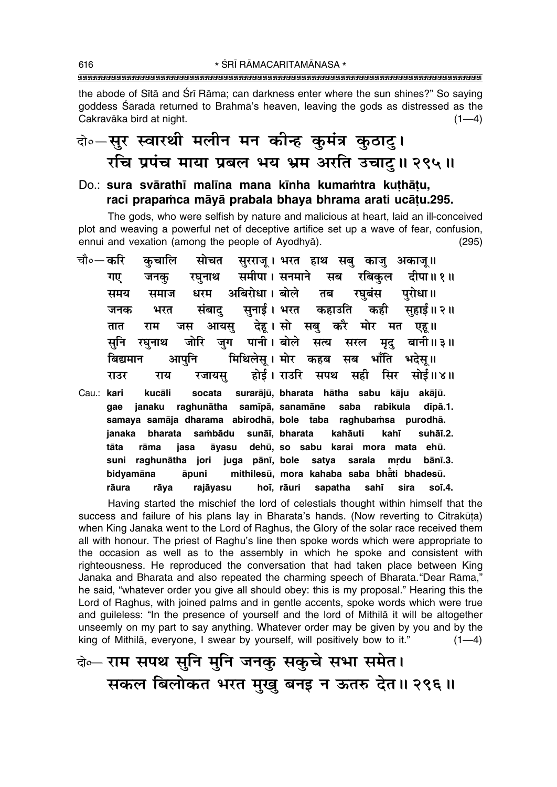\* ŚRĪ RĀMACARITAMĀNASA \* 

the abode of Sita and Sri Rama; can darkness enter where the sun shines?" So saying goddess Śāradā returned to Brahmā's heaven, leaving the gods as distressed as the Cakravāka bird at night.  $(1-4)$ 

### बे॰-सुर स्वारथी मलीन मन कीन्ह कुमंत्र कुठाटु। रचि प्रपंच माया प्रबल भय भ्रम अरति उचाटु॥ २९५॥

#### Do.: sura svārathī malīna mana kīnha kumamtra kuthātu, raci prapamca māyā prabala bhaya bhrama arati ucātu.295.

The gods, who were selfish by nature and malicious at heart, laid an ill-conceived plot and weaving a powerful net of deceptive artifice set up a wave of fear, confusion, ennui and vexation (among the people of Ayodhya).  $(295)$ 

| चौ∘— <b>क</b> रि | कुचालि     |  | सोचत सुरराजू। भरत हाथ सबु काजु                                 | अकाज् ॥          |
|------------------|------------|--|----------------------------------------------------------------|------------------|
|                  | जनकू<br>गए |  | रघुनाथ समीपा।सनमाने सब रबिकुल दीपा॥१॥                          |                  |
|                  | समय        |  | समाज धरम अबिरोधा।बोले तब रघुबंस पुरोधा॥                        |                  |
|                  | जनक        |  | भरत संबादु सुनाई। भरत कहाउति कही सुहाई॥२॥                      |                  |
|                  | तात        |  | राम जस आयसु देहू।सो सबु करै मोर मत एहू॥                        |                  |
|                  |            |  | सूनि रघुनाथ जोरि जुग पानी।बोले सत्य सरल मृदु बानी॥३॥           |                  |
|                  |            |  | बिद्यमान आपुनि  मिथिलेसू । मोर कहब सब भाँति भदेसू॥             |                  |
|                  | राउर       |  | राय रजायसु होई। राउरि सपथ सही सिर सोई॥४॥                       |                  |
|                  | Cau.: kari |  | kucāli socata surarājū, bharata hātha sabu kāju akājū.         |                  |
|                  |            |  | gae janaku raghunātha samīpā, sanamāne saba rabikula dīpā.1.   |                  |
|                  |            |  | samaya samāja dharama abirodhā, bole taba raghubamsa purodhā.  |                  |
|                  |            |  | janaka bharata sambādu sunāī, bharata kahāuti                  | kahī<br>suhāī.2. |
|                  | tāta       |  | rāma jasa āyasu dehū, so sabu karai mora mata ehū.             |                  |
|                  |            |  | suni raghunātha jori juga pānī, bole satya sarala mrdu bānī.3. |                  |
|                  | bidyamāna  |  | āpuni mithilesū, mora kahaba saba bhāti bhadesū.               |                  |
|                  | rāura      |  | rāya rajāyasu hoī, rāuri sapatha sahī                          | sira<br>soī.4.   |

Having started the mischief the lord of celestials thought within himself that the success and failure of his plans lay in Bharata's hands. (Now reverting to Citrakūta) when King Janaka went to the Lord of Raghus, the Glory of the solar race received them all with honour. The priest of Raghu's line then spoke words which were appropriate to the occasion as well as to the assembly in which he spoke and consistent with righteousness. He reproduced the conversation that had taken place between King Janaka and Bharata and also repeated the charming speech of Bharata. "Dear Rāma," he said, "whatever order you give all should obey: this is my proposal." Hearing this the Lord of Raghus, with joined palms and in gentle accents, spoke words which were true and guileless: "In the presence of yourself and the lord of Mithila it will be altogether unseemly on my part to say anything. Whatever order may be given by you and by the king of Mithila, everyone, I swear by yourself, will positively bow to it."  $(1-4)$ 

## के- राम सपथ सुनि मुनि जनकु सकुचे सभा समेत। सकल बिलोकत भरत मुख्रु बनइ न ऊतरु देत॥ २९६॥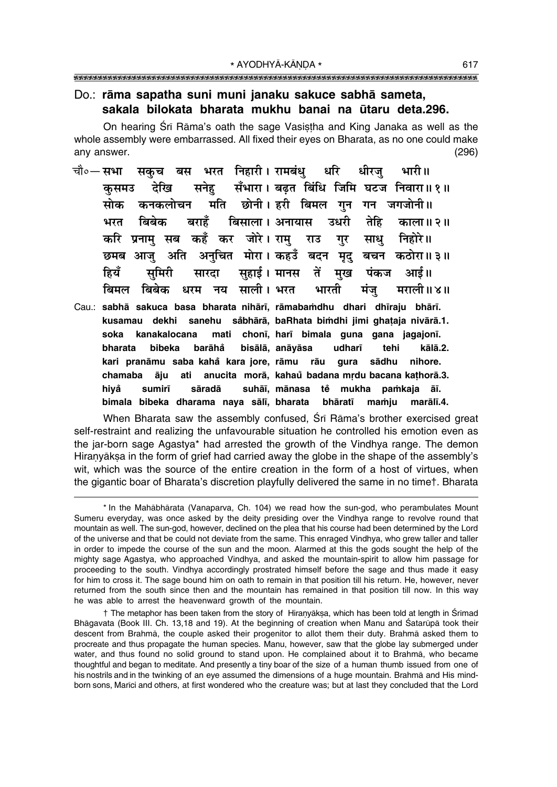#### Do.: rāma sapatha suni muni janaku sakuce sabhā sameta, sakala bilokata bharata mukhu banai na ūtaru deta.296.

On hearing Srī Rāma's oath the sage Vasistha and King Janaka as well as the whole assembly were embarrassed. All fixed their eyes on Bharata, as no one could make any answer.  $(296)$ 

- भरत निहारी । रामबंध् धरि धीरज भारी ॥ चौ०— **सभा** सकच बस सँभारा। बढत बिंधि जिमि घटज निवारा॥१॥ देखि सनेह कसमउ मति छोनी। हरी बिमल गुन गन जगजोनी॥ कनकलोचन मोक भरत बिबेक बराहँ बिसाला। अनायास उधरी तेहि काला॥२॥ प्रनाम सब कहँ कर जोरे। रामु करि राउ गर साध निहोरे॥ अनुचित मोरा। कहउँ बदन मृदु बचन कठोरा॥३॥ छमब आज अति सहाई। मानस तें हियँ समिरी मख पंकज आई॥ सारदा धरम नय साली। भरत बिमल बिबेक भारती मराली॥४॥ मंज
- Cau.: sabhā sakuca basa bharata nihārī, rāmabamdhu dhari dhīraju bhārī. sanehu såbhārā, baRhata bimdhi jimi ghataja nivārā.1. kusamau dekhi soka kanakalocana mati chonī, harī bimala guna gana jagajonī. barāhå bisālā, anāyāsa udharī bharata bibeka tehi kālā.2. kari pranāmu saba kahå kara jore, rāmu rāu qura sādhu nihore. anucita morā, kahaŭ badana mrdu bacana kathorā.3. chamaba āju ati sumirī suhāī, mānasa tě mukha hiyå sāradā pamkaja āī. bimala bibeka dharama naya sālī, bharata bhāratī mamju marālī.4.

When Bharata saw the assembly confused, Srī Rāma's brother exercised great self-restraint and realizing the unfavourable situation he controlled his emotion even as the jar-born sage Agastya\* had arrested the growth of the Vindhya range. The demon Hiranyākṣa in the form of grief had carried away the globe in the shape of the assembly's wit, which was the source of the entire creation in the form of a host of virtues, when the gigantic boar of Bharata's discretion playfully delivered the same in no timet. Bharata

<sup>\*</sup> In the Mahābhārata (Vanaparva, Ch. 104) we read how the sun-god, who perambulates Mount Sumeru everyday, was once asked by the deity presiding over the Vindhya range to revolve round that mountain as well. The sun-god, however, declined on the plea that his course had been determined by the Lord of the universe and that be could not deviate from the same. This enraged Vindhya, who grew taller and taller in order to impede the course of the sun and the moon. Alarmed at this the gods sought the help of the mighty sage Agastya, who approached Vindhya, and asked the mountain-spirit to allow him passage for proceeding to the south. Vindhya accordingly prostrated himself before the sage and thus made it easy for him to cross it. The sage bound him on oath to remain in that position till his return. He, however, never returned from the south since then and the mountain has remained in that position till now. In this way he was able to arrest the heavenward growth of the mountain.

<sup>†</sup> The metaphor has been taken from the story of Hiranyākṣa, which has been told at length in Śrīmad Bhāgavata (Book III. Ch. 13,18 and 19). At the beginning of creation when Manu and Śatarūpā took their descent from Brahmā, the couple asked their progenitor to allot them their duty. Brahmā asked them to procreate and thus propagate the human species. Manu, however, saw that the globe lay submerged under water, and thus found no solid ground to stand upon. He complained about it to Brahma, who became thoughtful and began to meditate. And presently a tiny boar of the size of a human thumb issued from one of his nostrils and in the twinking of an eye assumed the dimensions of a huge mountain. Brahma and His mindborn sons, Marici and others, at first wondered who the creature was; but at last they concluded that the Lord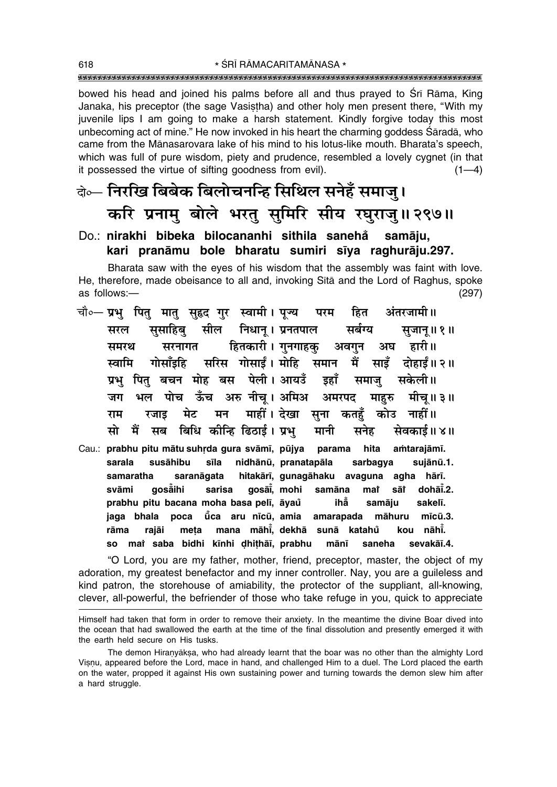bowed his head and joined his palms before all and thus prayed to Sri Rāma, King Janaka, his preceptor (the sage Vasistha) and other holy men present there, "With my juvenile lips I am going to make a harsh statement. Kindly forgive today this most unbecoming act of mine." He now invoked in his heart the charming goddess Sarada, who came from the Manasarovara lake of his mind to his lotus-like mouth. Bharata's speech, which was full of pure wisdom, piety and prudence, resembled a lovely cygnet (in that it possessed the virtue of sifting goodness from evil).  $(1-4)$ 

### के— निरखि बिबेक बिलोचनन्हि सिथिल सनेहँ समाजु। करि प्रनामु बोले भरतु सुमिरि सीय रघुराजु॥२९७॥

#### Do.: nirakhi bibeka bilocananhi sithila sanehå samāju, kari pranāmu bole bharatu sumiri sīya raghurāju.297.

Bharata saw with the eyes of his wisdom that the assembly was faint with love. He, therefore, made obeisance to all and, invoking Sita and the Lord of Raghus, spoke as follows:- $(297)$ 

- चौ०— प्रभु पितु मातु सुहृद गुर स्वामी। पूज्य परम हित अंतरजामी॥ निधान् । प्रनतपाल सील सर्बग्य सरल सुसाहिब् सजान् ॥ १ ॥ हितकारी। गुनगाहकु अवगुन हारी ॥ समरथ सरनागत अघ गोसाँडहि सरिस गोसाईं। मोहि समान मैं साइँ दोहाईं॥२॥ स्वामि प्रभ पित बचन मोह बस पेली। आयउँ डहाँ सकेली॥ समाज भल पोच ऊँच अरु नीच। अमिअ अमरपद मीच्।। ३॥ जग माहरु मन माहीं। देखा सना कतहँ रजाड मेट कोउ नाहीं॥ राम सब बिधि कीन्हि ढिठाई। प्रभु मो मैं मानी सनेह सेवकार्ड ॥ ४ ॥
- Cau.: prabhu pitu mātu suhrda gura svāmī, pūjya parama hita amtarajāmī. sarala susāhibu sīla nidhānū, pranatapāla sarbagya sujānū.1. samaratha saranāgata hitakārī, gunagāhaku avaguna agha hārī. qosåihi svāmi sarisa gosāi, mohi samāna mat sāt dohāĭ.2. prabhu pitu bacana moha basa pelī, āyaŭ ihă samāju sakelī. poca ūca aru nīcū, amia jaga bhala amarapada māhuru  $m\bar{c}\bar{u}.3.$ rāma rajāi meta mana māhi, dekhā sunā katahů kou nāhi. so mai saba bidhi kīnhi dhithāī, prabhu sevakāī.4. mānī saneha

"O Lord, you are my father, mother, friend, preceptor, master, the object of my adoration, my greatest benefactor and my inner controller. Nay, you are a guileless and kind patron, the storehouse of amiability, the protector of the suppliant, all-knowing, clever, all-powerful, the befriender of those who take refuge in you, quick to appreciate

Himself had taken that form in order to remove their anxiety. In the meantime the divine Boar dived into the ocean that had swallowed the earth at the time of the final dissolution and presently emerged it with the earth held secure on His tusks.

The demon Hiranyāksa, who had already learnt that the boar was no other than the almighty Lord Visnu, appeared before the Lord, mace in hand, and challenged Him to a duel. The Lord placed the earth on the water, propped it against His own sustaining power and turning towards the demon slew him after a hard struggle.

618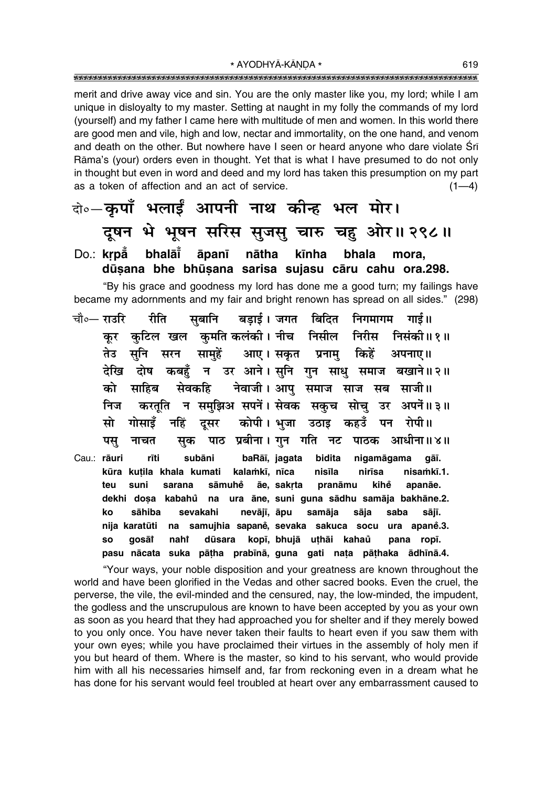merit and drive away vice and sin. You are the only master like you, my lord; while I am unique in dislovalty to my master. Setting at naught in my folly the commands of my lord (yourself) and my father I came here with multitude of men and women. In this world there are good men and vile, high and low, nectar and immortality, on the one hand, and venom and death on the other. But nowhere have I seen or heard anyone who dare violate Sri Rāma's (your) orders even in thought. Yet that is what I have presumed to do not only in thought but even in word and deed and my lord has taken this presumption on my part as a token of affection and an act of service.  $(1-4)$ 

### वो०-कृपाँ भलाईं आपनी नाथ कीन्ह भल मोर। दूषन भे भूषन सरिस सुजसु चारु चहु ओर॥ २९८॥

#### Do.: krpå bhalāi<sup>\*</sup> āpanī nātha kīnha bhala mora. dūsana bhe bhūsana sarisa sujasu cāru cahu ora.298.

"By his grace and goodness my lord has done me a good turn; my failings have became my adornments and my fair and bright renown has spread on all sides." (298)

चौ०— राउरि रीति बडाई । जगत सबानि बिदित निगमागम गार्ड ॥ कूर कुटिल खल कुमतिनकलंकी।नीच निसील निरीस निसंकी॥१॥ आए। सकृत प्रनामु तेउ सनि सामहें किहें सरन अपनाए।। कबहुँ न उर आने। सुनि गुन साधु समाज बखाने॥२॥ देखि <u>तोष</u> नेवाजी। आपु समाज साज सब साजी॥ साहिब को सेवकहि करतुति न समुझिअ सपनें। सेवक सकुच सोचु उर अपनें॥३॥ निज दूसर कोपी। भुजा उठाइ कहउँ पन रोपी॥ मो गोसाइँ नहिं पाठ प्रबीना। गुन गति नट पाठक आधीना॥४॥ पस् नाचत सक nigamāgama Cau.: rāuri rīti subāni baRāī, jagata bidita gāī. kūra kutila khala kumati kalamkī, nīca nisīla nirīsa nisamkī.1. suni sāmuhě teu sarana āe, sakrta pranāmu kihě apanāe. dekhi dosa kabahů ura āne, suni guna sādhu samāja bakhāne.2. na ko sāhiba sevakahi nevājī, āpu samāja sāja saba sāiī. nija karatūti na samujhia sapaně, sevaka sakuca socu ura apaně.3. dūsara kopī, bhujā uthāi kahaů **SO** gosāt nahi pana ropī. pasu nācata suka pātha prabīnā, guna gati nata pāthaka ādhīnā.4.

"Your ways, your noble disposition and your greatness are known throughout the world and have been glorified in the Vedas and other sacred books. Even the cruel, the perverse, the vile, the evil-minded and the censured, nay, the low-minded, the impudent, the godless and the unscrupulous are known to have been accepted by you as your own as soon as you heard that they had approached you for shelter and if they merely bowed to you only once. You have never taken their faults to heart even if you saw them with your own eyes; while you have proclaimed their virtues in the assembly of holy men if you but heard of them. Where is the master, so kind to his servant, who would provide him with all his necessaries himself and, far from reckoning even in a dream what he has done for his servant would feel troubled at heart over any embarrassment caused to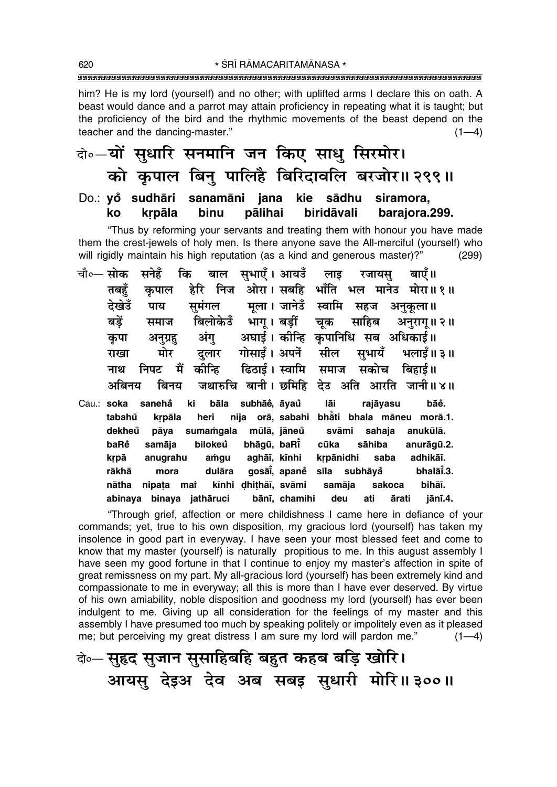him? He is my lord (yourself) and no other; with uplifted arms I declare this on oath. A beast would dance and a parrot may attain proficiency in repeating what it is taught; but the proficiency of the bird and the rhythmic movements of the beast depend on the teacher and the dancing-master."  $(1-4)$ 

बे॰-यों सुधारि सनमानि जन किए साधु सिरमोर। को कुपाल बिन् पालिहै बिरिदावलि बरजोर॥ २९९॥

#### Do.: yo sudhāri sanamāni iana kie sādhu siramora. pālihai ko krpāla binu biridāvali barajora.299.

"Thus by reforming your servants and treating them with honour you have made them the crest-jewels of holy men. Is there anyone save the All-merciful (yourself) who will rigidly maintain his high reputation (as a kind and generous master)?"  $(299)$ 

|        |         |      | चौ०— सोक सनेहँ कि बाल सुभाएँ। आयउँ लाइ रजायसु बाएँ॥ |  |
|--------|---------|------|-----------------------------------------------------|--|
| तबहँ   | कपाल    |      | हेरि निज ओरा।सबहि भाँति भल मानेउ मोरा॥१॥            |  |
| देखेउँ | पाय     |      | सुमंगल मूला। जानेउँ स्वामि सहज अनुकूला॥             |  |
| बडें   | समाज    |      | बिलोकेउँ भाग् । बड़ीं चूक साहिब अनुरागू॥२॥          |  |
| कपा    | अनुग्रह | अंग् | अघाई। कोन्हि कृपानिधि सब अधिकाई॥                    |  |
| राखा   | मोर     |      | दलार गोसाईं।अपनें सील सुभायँ भलाईं॥३॥               |  |
| नाथ    |         |      | निपट मैं कीन्हि  हिठाई। स्वामि समाज सकोच बिहाई॥     |  |
| अबिनय  |         |      | बिनय जथारुचि बानी। छमिहि देउ अति आरति जानी॥४॥       |  |

Cau.: soka sanehå ki bāla subhāě, āyaů lāi rajāyasu bāě. tabahů krpāla heri nija orā, sabahi bhāti bhala māneu morā.1. dekheů pāya sumamgala mūlā, jāneů svāmi sahaia anukūlā. baRě bilokeů bhāgū, baRī anurāgū.2. samāja cūka sāhiba adhikāī. krpā anugrahu amgu aghāī, kīnhi krpānidhi saba bhalāi.3. gosāĭ, apanĕ rākhā mora dulāra sīla subhāyå kīnhi dhithāī, svāmi nātha nipata mat samāja sakoca bihāī. abinaya binaya jathāruci bānī, chamihi deu ati ārati jānī.4.

"Through grief, affection or mere childishness I came here in defiance of your commands; yet, true to his own disposition, my gracious lord (yourself) has taken my insolence in good part in everyway. I have seen your most blessed feet and come to know that my master (yourself) is naturally propitious to me. In this august assembly I have seen my good fortune in that I continue to enjoy my master's affection in spite of great remissness on my part. My all-gracious lord (yourself) has been extremely kind and compassionate to me in everyway; all this is more than I have ever deserved. By virtue of his own amiability, noble disposition and goodness my lord (yourself) has ever been indulgent to me. Giving up all consideration for the feelings of my master and this assembly I have presumed too much by speaking politely or impolitely even as it pleased me; but perceiving my great distress I am sure my lord will pardon me."  $(1-4)$ 

बे⊶ सुहृद सुजान सुसाहिबहि बहुत कहब बड़ि खोरि। आयसु देइअ देव अब सबइ सुधारी मोरि॥३००॥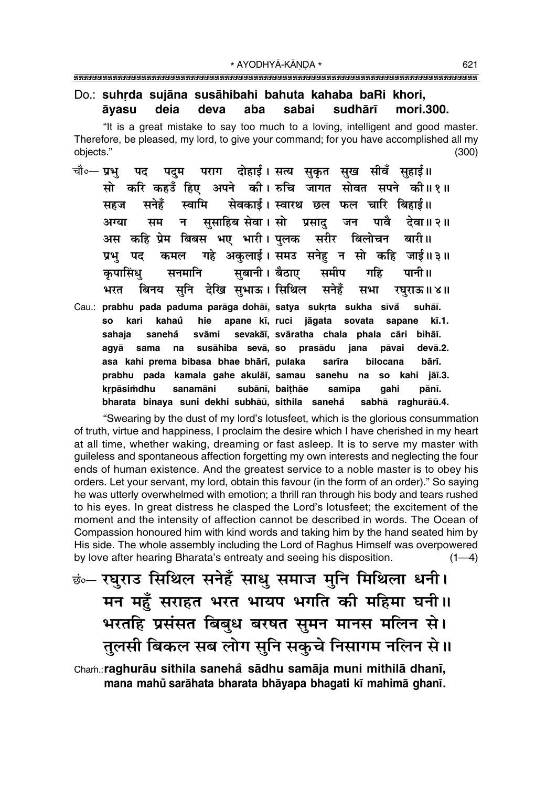#### Do.: suhrda sujāna susāhibahi bahuta kahaba baRi khori, deia sudhārī mori.300. **ayasu** deva aba sabai

"It is a great mistake to say too much to a loving, intelligent and good master. Therefore, be pleased, my lord, to give your command; for you have accomplished all my objects."  $(300)$ 

- पराग दोहाई। सत्य सुकृत सुख सीवँ सुहाई॥ चौ०— **प्रभ** पदम पद सो करि कहउँ हिए अपने की। रुचि जागत सोवत सपने की॥१॥ सनेहँ स्वामि सेवकाई। स्वारथ छल फल चारि बिहाई॥ सहज ससाहिब सेवा। सो प्रसाद अग्या सम न $\overline{a}$ जन पावे देवा॥ २॥ अस कहि प्रेम बिबस भए भारी। पलक सरीर बिलोचन बारी॥ गहे अकुलाई। समउ सनेहु न सो कहि जाई॥३॥ प्रभ पद कमल सबानी। बैठाए समीप कपासिंध सनमानि गहि पानी ॥ बिनय सुनि देखि सुभाऊ। सिथिल सनेहँ भरत सभा रघराऊ॥४॥
- Cau.: prabhu pada paduma parāga dohāī, satya sukrta sukha sīvå suhāī. kari kahaů hie apane kī, ruci jāgata sovata sapane kī.1.  $\epsilon$ sanehå sevakāī, svāratha chala phala cāri sahaia svāmi bihāī. susāhiba sevā, so agyā sama prasādu jana pāvai devā.2. na asa kahi prema bibasa bhae bhārī, pulaka bārī. sarīra bilocana prabhu pada kamala gahe akulāi, samau sanehu na **SO** kahi jāī.3. subānī, baițhāe krpāsimdhu sanamāni samīpa gahi pānī. bharata binaya suni dekhi subhāū, sithila sanehå sabhā raghurāū.4.

"Swearing by the dust of my lord's lotusfeet, which is the glorious consummation of truth, virtue and happiness, I proclaim the desire which I have cherished in my heart at all time, whether waking, dreaming or fast asleep. It is to serve my master with guileless and spontaneous affection forgetting my own interests and neglecting the four ends of human existence. And the greatest service to a noble master is to obey his orders. Let your servant, my lord, obtain this favour (in the form of an order)." So saying he was utterly overwhelmed with emotion; a thrill ran through his body and tears rushed to his eyes. In great distress he clasped the Lord's lotusfeet; the excitement of the moment and the intensity of affection cannot be described in words. The Ocean of Compassion honoured him with kind words and taking him by the hand seated him by His side. The whole assembly including the Lord of Raghus Himself was overpowered by love after hearing Bharata's entreaty and seeing his disposition.  $(1-4)$ 

## <u>ं :-</u> रघुराउ सिथिल सनेहँ साधु समाज मुनि मिथिला धनी। मन महुँ सराहत भरत भायप भगति की महिमा घनी।। भरतहि प्रसंसत बिबुध बरषत सुमन मानस मलिन से। तुलसी बिकल सब लोग सुनि सकुचे निसागम नलिन से ॥

Cham.: raghurāu sithila sanehå sādhu samāja muni mithilā dhanī, mana mahů sarāhata bharata bhāyapa bhagati kī mahimā ghanī.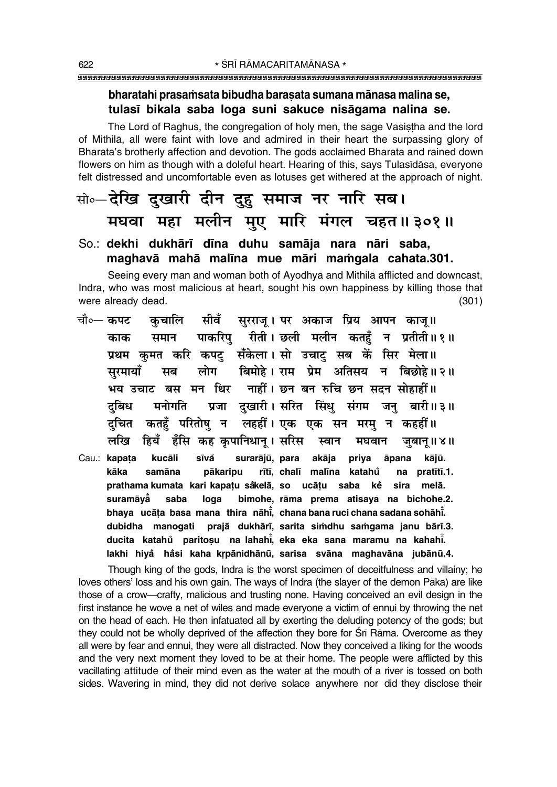#### bharatahi prasamsata bibudha barasata sumana mānasa malina se, tulasī bikala saba loga suni sakuce nisāgama nalina se.

The Lord of Raghus, the congregation of holy men, the sage Vasistha and the lord of Mithila, all were faint with love and admired in their heart the surpassing glory of Bharata's brotherly affection and devotion. The gods acclaimed Bharata and rained down flowers on him as though with a doleful heart. Hearing of this, says Tulasidasa, everyone felt distressed and uncomfortable even as lotuses get withered at the approach of night.

### सो०-देखि दुखारी दीन दुहु समाज नर नारि सब। मघवा महा मलीन मुए मारि मंगल चहत॥३०१॥

#### So.: dekhi dukhārī dīna duhu samāja nara nāri saba, maghavā mahā malīna mue māri mamgala cahata.301.

Seeing every man and woman both of Ayodhya and Mithila afflicted and downcast, Indra, who was most malicious at heart, sought his own happiness by killing those that were already dead.  $(301)$ 

- सुरराजू । पर अकाज प्रिय आपन काजू ॥ चौ०— कपट कचालि सीवँ पाकरिपु रीती। छली मलीन कतहुँ न प्रतीती॥१॥ काक समान प्रथम कुमत करि कपटु सँकेला।सो उचाटु सब कें सिर मेला॥ लोग बिमोहे। राम प्रेम अतिसय न बिछोहे॥२॥ सरमायाँ मब भय उचाट बस मन थिर नाहीं। छन बन रुचि छन सदन सोहाहीं॥ प्रजा दखारी।सरित सिंध संगम जन बारी॥३॥ दबिध मनोगति दचित कतहँ परितोष न लहहीं। एक एक सन मरम् न कहहीं॥ लखि हियँ हँसि कह कपानिधान् । सरिस स्वान मघवान जबान् ॥ ४॥
- sīvå Cau.: kapata kucāli surarājū, para akāja priya āpana kājū. rītī, chalī malīna katahů kāka samāna pākaripu na pratītī.1. prathama kumata kari kapatu såkelā, so ucātu saba ke sira melā. loga bimohe, rāma prema atisaya na bichohe.2. suramāva saba bhaya ucāta basa mana thira nāhi, chana bana ruci chana sadana sohāhi. dubidha manogati prajā dukhārī, sarita simdhu samgama janu bārī.3. ducita katahů paritosu na lahahi, eka eka sana maramu na kahahi. lakhi hiyå håsi kaha krpānidhānū, sarisa svāna maghavāna jubānū.4.

Though king of the gods, Indra is the worst specimen of deceitfulness and villainy; he loves others' loss and his own gain. The ways of Indra (the slayer of the demon Pāka) are like those of a crow—crafty, malicious and trusting none. Having conceived an evil design in the first instance he wove a net of wiles and made everyone a victim of ennui by throwing the net on the head of each. He then infatuated all by exerting the deluding potency of the gods; but they could not be wholly deprived of the affection they bore for Sri Rama. Overcome as they all were by fear and ennui, they were all distracted. Now they conceived a liking for the woods and the very next moment they loved to be at their home. The people were afflicted by this vacillating attitude of their mind even as the water at the mouth of a river is tossed on both sides. Wavering in mind, they did not derive solace anywhere nor did they disclose their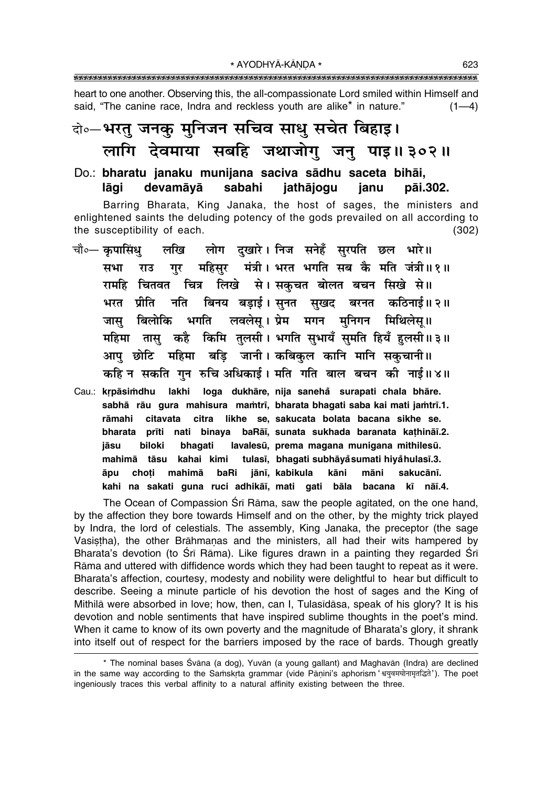heart to one another. Observing this, the all-compassionate Lord smiled within Himself and said, "The canine race, Indra and reckless youth are alike\* in nature."  $(1-4)$ 

### बे॰–भरतु जनकु मुनिजन सचिव साधु सचेत बिहाइ। लागि देवमाया सबहि जथाजोगु जनु पाइ॥३०२॥

#### Do.: bharatu janaku munijana saciva sādhu saceta bihāi, lāgi devamāvā sabahi jathājogu janu pāi.302.

Barring Bharata, King Janaka, the host of sages, the ministers and enlightened saints the deluding potency of the gods prevailed on all according to the susceptibility of each.  $(302)$ 

- लोग दखारे। निज सनेहँ सरपति छल भारे॥ चौ०— कपासिंध लखि महिसुर मंत्री। भरत भगति सब कै मति जंत्री॥१॥ सभा राउ गर रामहि चितवत चित्र लिखे से। सकुचत बोलत बचन सिखे से॥ नति बिनय बड़ाई । सुनत सुखद बरनत कठिनाई ॥ २ ॥ भरत प्रीति बिलोकि भगति लवलेस।प्रेम मगन मनिगन मिथिलेस।। जास महिमा तास कहै किमि तलसी। भगति सभायँ समति हियँ हलसी॥३॥ आपु छोटि महिमा बड़ि जानी।कबिकुल कानि मानि सकुचानी॥ कहि न सकति गुन रुचि अधिकाई। मति गति बाल बचन की नाई॥४॥
- Cau.: krpāsimdhu lakhi loga dukhāre, nija sanehå surapati chala bhāre. sabhā rāu gura mahisura mamtrī, bharata bhagati saba kai mati jamtrī.1. citavata citra likhe se, sakucata bolata bacana sikhe se. rāmahi bharata prīti nati binaya baRāī, sunata sukhada baranata kathināī.2. biloki lavalesū, prema magana munigana mithilesū. jāsu bhagati mahimā tāsu kahai kimi tulasī, bhagati subhāyå sumati hiyå hulasī.3. āpu choti mahimā baRi jānī, kabikula kāni māni sakucānī. kahi na sakati guna ruci adhikāi, mati gati bāla bacana kī nāi.4.

The Ocean of Compassion Sri Rama, saw the people agitated, on the one hand, by the affection they bore towards Himself and on the other, by the mighty trick played by Indra, the lord of celestials. The assembly, King Janaka, the preceptor (the sage Vasistha), the other Brāhmanas and the ministers, all had their wits hampered by Bharata's devotion (to Srī Rāma). Like figures drawn in a painting they regarded Srī Rāma and uttered with diffidence words which they had been taught to repeat as it were. Bharata's affection, courtesy, modesty and nobility were delightful to hear but difficult to describe. Seeing a minute particle of his devotion the host of sages and the King of Mithilā were absorbed in love; how, then, can I, Tulasīdāsa, speak of his glory? It is his devotion and noble sentiments that have inspired sublime thoughts in the poet's mind. When it came to know of its own poverty and the magnitude of Bharata's glory, it shrank into itself out of respect for the barriers imposed by the race of bards. Though greatly

<sup>\*</sup> The nominal bases Śvāna (a dog), Yuvān (a young gallant) and Maghavān (Indra) are declined in the same way according to the Samskrta grammar (vide Pāṇini's aphorism 'श्वयुवमघोनामृतद्धिते'). The poet ingeniously traces this verbal affinity to a natural affinity existing between the three.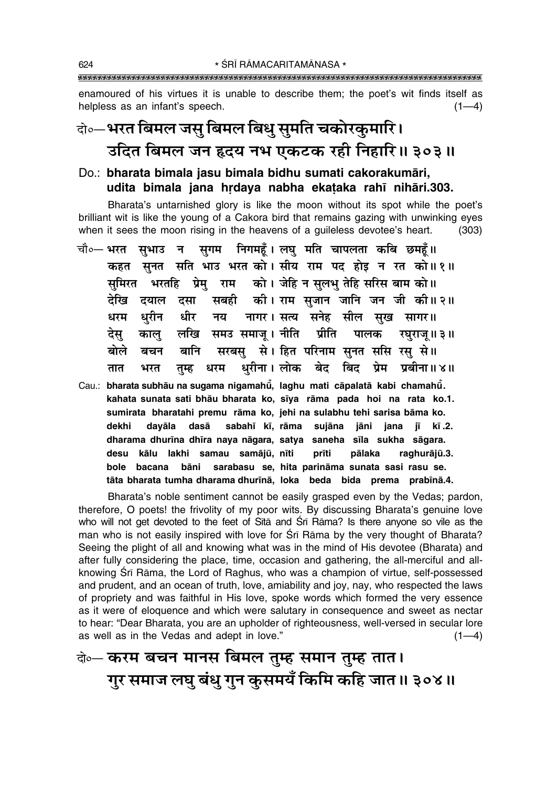enamoured of his virtues it is unable to describe them; the poetís wit finds itself as helpless as an infant's speech.  $(1-4)$ 

### दो**०—भरत बिमल जस् बिमल बिध् सुमति चकोरकुमारि।** उदित बिमल जन हृदय नभ एकटक रही निहारि॥ ३०३॥

#### Do.: **bharata bimala jasu bimala bidhu sumati cakorakumåri,** udita bimala jana hrdaya nabha ekataka rahī nihāri.303.

Bharataís untarnished glory is like the moon without its spot while the poetís brilliant wit is like the young of a Cakora bird that remains gazing with unwinking eyes when it sees the moon rising in the heavens of a quileless devotee's heart. (303)

|  |  | चौ०— भरत  सुभाउ  न  सुगम  निगमहूँ । लघु  मति  चापलता  कबि  छमहूँ ॥ |  |  |  |
|--|--|--------------------------------------------------------------------|--|--|--|
|  |  | कहत सुनत सति भाउ भरत को। सीय राम पद होइ न रत को॥१॥                 |  |  |  |
|  |  | सुमिरत भरतहि प्रेमु राम को। जेहि न सुलभु तेहि सरिस बाम को॥         |  |  |  |
|  |  | देखि दयाल दसा सबही की।राम सुजान जानि जन जी की॥२॥                   |  |  |  |
|  |  | धरम धुरीन धीर नय नागर।सत्य सनेह सील सुख सागर॥                      |  |  |  |
|  |  | देसु कालु लखि समउन्समाजू।नीति प्रीति पालक रघुराजू॥३॥               |  |  |  |
|  |  | बोले बचन बानि सरबसु से।हित परिनाम सुनत ससि रसु से॥                 |  |  |  |
|  |  | तात भरत तुम्ह धरम धुरीना।लोक बेद बिद प्रेम प्रबीना॥४॥              |  |  |  |
|  |  |                                                                    |  |  |  |

Cau.: **bharata subhāu na sugama nigamahū̃, laghu mati cāpalatā kabi chamahū̃. kahata sunata sati bhåu bharata ko, s∂ya råma pada hoi na rata ko.1. sumirata bharatahi premu råma ko, jehi na sulabhu tehi sarisa båma ko. dekhi dayåla daså sabah∂ k∂, råma sujåna jåni jana j∂ k∂ .2. dharama dhur∂na dh∂ra naya någara, satya saneha s∂la sukha sågara.** desu kālu lakhi samau samājū, nīti prīti pālaka raghurājū.3. **bole bacana båni sarabasu se, hita parinåma sunata sasi rasu se. tåta bharata tumha dharama dhur∂nå, loka beda bida prema prab∂nå.4.**

Bharataís noble sentiment cannot be easily grasped even by the Vedas; pardon, therefore, O poets! the frivolity of my poor wits. By discussing Bharataís genuine love who will not get devoted to the feet of Sītā and Srī Rāma? Is there anyone so vile as the man who is not easily inspired with love for Srī Rāma by the very thought of Bharata? Seeing the plight of all and knowing what was in the mind of His devotee (Bharata) and after fully considering the place, time, occasion and gathering, the all-merciful and allknowing Srī Rāma, the Lord of Raghus, who was a champion of virtue, self-possessed and prudent, and an ocean of truth, love, amiability and joy, nay, who respected the laws of propriety and was faithful in His love, spoke words which formed the very essence as it were of eloquence and which were salutary in consequence and sweet as nectar to hear: "Dear Bharata, you are an upholder of righteousness, well-versed in secular lore as well as in the Vedas and adept in love.<sup>"</sup>  $(1-4)$ 

# दो∘— **करम बचन मानस बिमल तुम्ह समान तुम्ह तात। गुर समाज लघु बंधु गुन कुसमयँ किमि कहि जात॥ ३०४॥**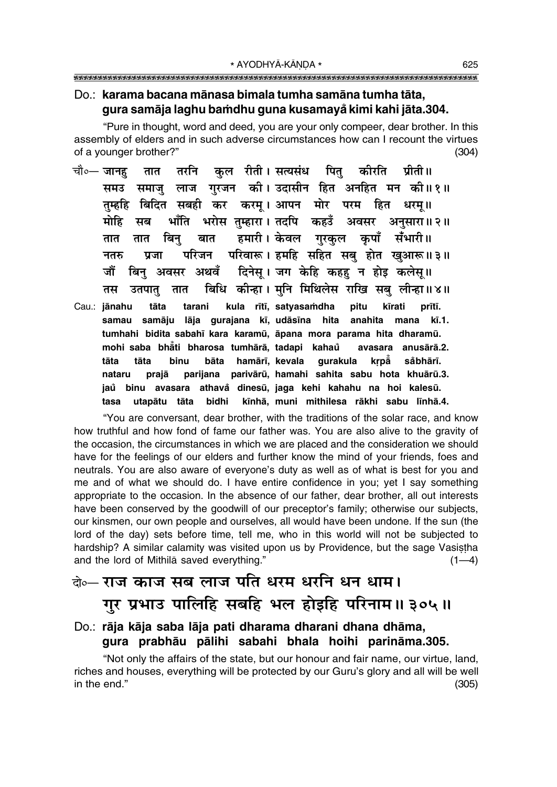#### Do.: karama bacana mānasa bimala tumha samāna tumha tāta, gura samāja laghu bamdhu guna kusamayå kimi kahi jāta.304.

"Pure in thought, word and deed, you are your only compeer, dear brother. In this assembly of elders and in such adverse circumstances how can I recount the virtues of a younger brother?"  $(304)$ 

- कल रीती।सत्यसंध पित कीरति चौ०— **जानह** तरनि प्रीती ॥ तात लाज गरजन की। उदासीन हित अनहित मन की॥१॥ समउ समाज बिदित सबही कर करमू।अापन मोर परम हित धरम्॥ तम्हहि भाँति भरोस तम्हारा। तदपि कहउँ अवसर अनसारा॥२॥ मोहि सब हमारी। केवल गरकल कपाँ सँभारी॥ तात तात बिन बात परिजन परिवारू। हमहि सहित सबु होत खुआरू॥३॥ नतरु प्रजा दिनेस् । जग केहि कहह न होइ कलेस् ॥ बिन अवसर अथवँ जौं बिधि कीन्हा। मनि मिथिलेस राखि सब लीन्हा॥४॥ उतपात् तात तस
- Cau.: jānahu tāta tarani kula rītī, satyasamdha pitu kīrati prītī. samau samāju lāja gurajana kī, udāsīna hita anahita mana kī.1. tumhahi bidita sabahī kara karamū, āpana mora parama hita dharamū. mohi saba bhati bharosa tumhārā, tadapi kahaŭ avasara anusārā.2. hamārī, kevala tāta tāta **binu** bāta qurakula krpå såbhārī. parijana parivārū, hamahi sahita sabu hota khuārū.3. nataru prajā jaů binu avasara athavå dinesū, jaga kehi kahahu na hoi kalesū. utapātu tāta bidhi kīnhā, muni mithilesa rākhi sabu līnhā.4. tasa

"You are conversant, dear brother, with the traditions of the solar race, and know how truthful and how fond of fame our father was. You are also alive to the gravity of the occasion, the circumstances in which we are placed and the consideration we should have for the feelings of our elders and further know the mind of your friends, foes and neutrals. You are also aware of everyone's duty as well as of what is best for you and me and of what we should do. I have entire confidence in you; yet I say something appropriate to the occasion. In the absence of our father, dear brother, all out interests have been conserved by the goodwill of our preceptor's family; otherwise our subjects, our kinsmen, our own people and ourselves, all would have been undone. If the sun (the lord of the day) sets before time, tell me, who in this world will not be subjected to hardship? A similar calamity was visited upon us by Providence, but the sage Vasistha and the lord of Mithila saved everything."  $(1-4)$ 

# के— राज काज सब लाज पति धरम धरनि धन धाम। गुर प्रभाउ पालिहि सबहि भल होइहि परिनाम॥३०५॥

#### Do.: rāja kāja saba lāja pati dharama dharani dhana dhāma, gura prabhāu pālihi sabahi bhala hoihi parināma.305.

"Not only the affairs of the state, but our honour and fair name, our virtue, land, riches and houses, everything will be protected by our Guru's glory and all will be well in the end."  $(305)$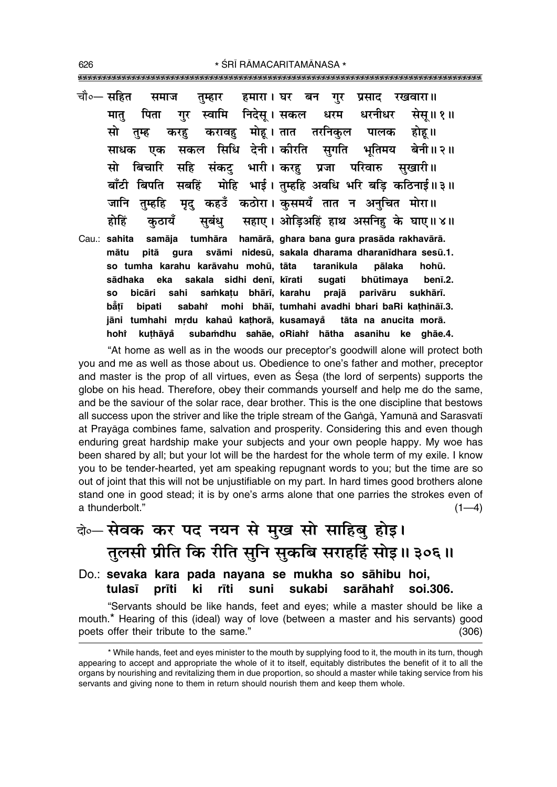\* ŚRĪ RĀMACARITAMĀNASA \* 

| चौ∘— सहित  समाज     तुम्हार     हमारा । घर   बन   गुर   प्रसाद   रखवारा॥ |                                                                 |
|--------------------------------------------------------------------------|-----------------------------------------------------------------|
|                                                                          | मातु पिता गुर स्वामि निदेसू।सकल धरम धरनीधर सेसू॥१॥              |
| सो तुम्ह करह करावह मोह।तात तरनिकुल पालक होह॥                             |                                                                 |
|                                                                          | साधक एक सकल सिधि देनी।कोरति सुगति भूतिमय बेनी॥२॥                |
| सो बिचारि सहि संकट् भारी। करहु प्रजा परिवारु सुखारी॥                     |                                                                 |
|                                                                          | बाँटी बिपति सबहिं मोहि भाई। तुम्हहि अवधि भरि बड़ि कठिनाई॥३॥     |
| जानि तुम्हहि मृदु कहउँ कठोरा। कुसमयँ तात न अनुचित मोरा॥                  |                                                                 |
|                                                                          | होहिं कुठायँ सुबंधु सहाए। ओड़िअहिं हाथ असनिहु के घाए॥४॥         |
| Cau.: sahita samāja tumhāra hamārā, ghara bana gura prasāda rakhavārā.   |                                                                 |
| mātu                                                                     | pitā gura svāmi nidesū, sakala dharama dharanīdhara sesū.1.     |
| so tumha karahu karāvahu mohū, tāta taranikula pālaka                    | hohū.                                                           |
|                                                                          | sādhaka eka sakala sidhi-denī, kīrati sugati bhūtimaya benī.2.  |
| <b>SO</b>                                                                | bicāri sahi samkațu bhārī, karahu prajā parivāru sukhārī.       |
| bātī                                                                     | bipati sabaht mohi bhāī, tumhahi avadhi bhari baRi kaṭhināī.3.  |
|                                                                          | jāni tumhahi mrdu kahaŭ kaṭhorā, kusamayå tāta na anucita morā. |
| hoh†                                                                     | kuthāyǎ subamdhu sahāe, oRiahi hātha asanihu ke ghāe.4.         |

"At home as well as in the woods our preceptor's goodwill alone will protect both you and me as well as those about us. Obedience to one's father and mother, preceptor and master is the prop of all virtues, even as Sesa (the lord of serpents) supports the globe on his head. Therefore, obey their commands yourself and help me do the same, and be the saviour of the solar race, dear brother. This is the one discipline that bestows all success upon the striver and like the triple stream of the Ganga, Yamuna and Sarasvati at Prayāga combines fame, salvation and prosperity. Considering this and even though enduring great hardship make your subjects and your own people happy. My woe has been shared by all; but your lot will be the hardest for the whole term of my exile. I know you to be tender-hearted, yet am speaking repugnant words to you; but the time are so out of joint that this will not be unjustifiable on my part. In hard times good brothers alone stand one in good stead; it is by one's arms alone that one parries the strokes even of a thunderbolt."  $(1-4)$ 

## के-सेवक कर पद नयन से मुख सो साहिबू होइ। तुलसी प्रीति कि रीति सुनि सुकबि सराहहिं सोइ॥३०६॥

#### Do.: sevaka kara pada nayana se mukha so sāhibu hoi, tulasī prīti ki rīti suni sukabi sarāhahi soi.306.

"Servants should be like hands, feet and eyes; while a master should be like a mouth.\* Hearing of this (ideal) way of love (between a master and his servants) good poets offer their tribute to the same."  $(306)$ 

626

<sup>\*</sup> While hands, feet and eyes minister to the mouth by supplying food to it, the mouth in its turn, though appearing to accept and appropriate the whole of it to itself, equitably distributes the benefit of it to all the organs by nourishing and revitalizing them in due proportion, so should a master while taking service from his servants and giving none to them in return should nourish them and keep them whole.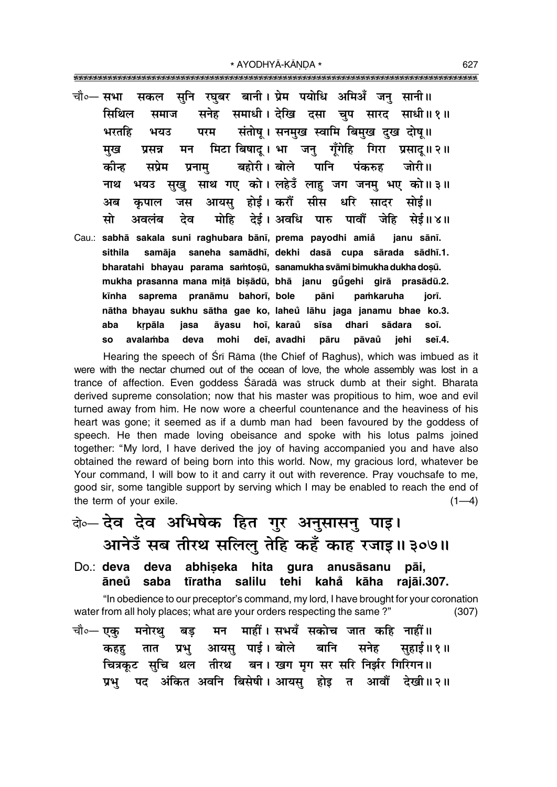- सकल सुनि रघुबर बानी। प्रेम पयोधि अमिअँ जन् सानी॥ चौ०— सभा सनेह समाधी। देखि दसा चुप सारद साधी॥१॥ सिथिल समाज संतोष् । सनमुख स्वामि बिमुख दुख दोष् ॥ भरतहि भयउ परम मिटा बिषाद। भा जन गँगेहि गिरा प्रसाद॥२॥ मन मख प्रसन्न कीन्ह सप्रेम प्रनाम बहोरी। बोले पानि पंकरुह जोरी॥ साथ गए को। लहेउँ लाहु जग जनम् भए को॥३॥ नाथ भयउ सख आयसु होई।करौँ सीस धरि सादर सोई॥ जस कपाल अब मोहि देई। अवधि पारु पावौँ जेहि सेई॥४॥ मो देव अवलंब Cau.: sabhā sakala suni raghubara bānī, prema payodhi amiå janu sānī.
- sithila samāia saneha samādhī, dekhi dasā cupa sārada sādhī.1. bharatahi bhayau parama samtosū, sanamukha svāmi bimukha dukha dosū. mukha prasanna mana mitā bisādū, bhā janu gū̃gehi girā prasādū.2. saprema pranāmu bahorī, bole pāni pamkaruha kīnha jorī. nātha bhayau sukhu sātha gae ko, laheŭ lāhu jaga janamu bhae ko.3. āyasu hoī, karaů sīsa dhari aba krpāla jasa sādara soī. mohi deī. avadhi **SO** avalamba deva pāru pāvaů iehi seī.4.

Hearing the speech of Sri Rama (the Chief of Raghus), which was imbued as it were with the nectar churned out of the ocean of love, the whole assembly was lost in a trance of affection. Even goddess Śāradā was struck dumb at their sight. Bharata derived supreme consolation; now that his master was propitious to him, woe and evil turned away from him. He now wore a cheerful countenance and the heaviness of his heart was gone; it seemed as if a dumb man had been favoured by the goddess of speech. He then made loving obeisance and spoke with his lotus palms joined together: "My lord, I have derived the joy of having accompanied you and have also obtained the reward of being born into this world. Now, my gracious lord, whatever be Your command, I will bow to it and carry it out with reverence. Pray vouchsafe to me, good sir, some tangible support by serving which I may be enabled to reach the end of the term of your exile.  $(1-4)$ 

- के-देव देव अभिषेक हित गुर अनुसासनु पाइ। आनेउँ सब तीरथ सलिलु तेहि कहँ काह रजाइ॥३०७॥
- gura anusāsanu Do.: **deva** deva abhiseka hita pāi. āneů saba tīratha salilu tehi kahå kāha raiāi.307.

"In obedience to our preceptor's command, my lord, I have brought for your coronation water from all holy places; what are your orders respecting the same?"  $(307)$ 

मन माहीं। सभयँ सकोच जात कहि नाहीं॥ चौ०— एक मनोरथ बड आयस् पाई। बोले सनेह बानि प्रभ् सहाई॥ १॥ कहह तात चित्रकूट सुचि थल तीरथ बन। खग मृग सर सरि निर्झर गिरिगन॥ प्रभ पद अंकित अवनि बिसेषी। आयस होड़ त आवौं देखी॥२॥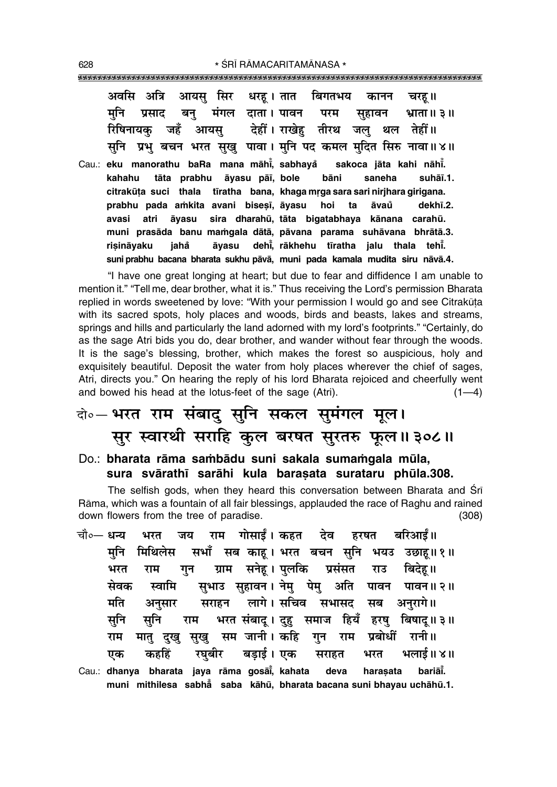| अवसि अत्रि आयसु सिर धरहू।तात बिगतभय कानन                                    | चरह।।                                        |
|-----------------------------------------------------------------------------|----------------------------------------------|
| मुनि प्रसाद बनु मंगल दाता। पावन परम सुहावन भ्राता॥ ३॥                       |                                              |
| रिषिनायक् जहँ आयसु देहीं। राखेहु तीरथ जलु थल तेहीं॥                         |                                              |
| सुनि प्रभु बचन भरत सुखु पावा। मुनि पद कमल मुदित सिरु नावा॥४॥                |                                              |
| Cau.: eku manorathu baRa mana māhi, sabhaya sakoca jāta kahi nāhi.          |                                              |
| kahahu tāta prabhu āyasu pāī, bole bāni saneha                              | suhāī.1.                                     |
| citrakūta suci thala tīratha bana, khaga mrga sara sari nirjhara girigana.  |                                              |
| prabhu pada amkita avani bisesī, āyasu hoi ta āvaŭ                          | dekhī.2.                                     |
| avasi atri āyasu sira dharahū, tāta bigatabhaya kānana carahū.              |                                              |
| muni prasāda banu mamgala dātā, pāvana parama suhāvana bhrātā.3.            |                                              |
| iahå<br>risināvaku                                                          | āyasu dehī, rākhehu tīratha jalu thala tehī. |
| suni prabhu bacana bharata sukhu pāvā, muni pada kamala mudita siru nāvā.4. |                                              |

"I have one great longing at heart; but due to fear and diffidence I am unable to mention it." "Tell me, dear brother, what it is." Thus receiving the Lord's permission Bharata replied in words sweetened by love: "With your permission I would go and see Citrakūta with its sacred spots, holy places and woods, birds and beasts, lakes and streams, springs and hills and particularly the land adorned with my lord's footprints." "Certainly, do as the sage Atri bids you do, dear brother, and wander without fear through the woods. It is the sage's blessing, brother, which makes the forest so auspicious, holy and exquisitely beautiful. Deposit the water from holy places wherever the chief of sages, Atri, directs you." On hearing the reply of his lord Bharata rejoiced and cheerfully went and bowed his head at the lotus-feet of the sage  $(Atri)$ .  $(1-4)$ 

### दो॰– **भरत राम संबाद् सुनि सकल सुमंगल मूल।** सूर स्वारथी सराहि कुल बरषत सुरतरु फूल॥३०८॥

Do.: **bharata rāma sambādu suni sakala sumamgala mūla,** sura svārathī sarāhi kula barasata surataru phūla.308.

The selfish gods, when they heard this conversation between Bharata and Śrī Råma, which was a fountain of all fair blessings, applauded the race of Raghu and rained down flowers from the tree of paradise. (308)

चौ०— <mark>धन्य भरत जय राम गोसाईं। कहत देव हरषत बरिआई</mark>ं॥ **मनि मिथिलेस सभाँ सब काह। भरत बचन सनि भय**उ उछाह॥१॥ <u>भरत राम गुन ग्राम सनेह।पु</u>लकि प्रसंसत राउ बिदेह॥ सेवक स्वामि सुभाउ सुहावन।**नेमु पेमु अति पावन पावन॥२**॥ <u>मति अनुसार सराहन लागे।सचिव सभासद सब अनुरागे॥</u> सुनि सुनि राम भरत**संबाद् । दह समाज हियँ हरष् बिषाद् ॥**३॥  $\overline{v}$ राम मात् दखु सखु सम जानी।कहि गुन राम प्रबोधीं रानी॥ एक कहहिं रघुबीर बडाई। एक सराहत भरत भलाई॥४॥

Cau.: **dhanya bharata jaya råma goså∂° , kahata deva hara¶ata bariå∂° . muni mithilesa sabhå° saba kåhµu, bharata bacana suni bhayau uchåhµu.1.**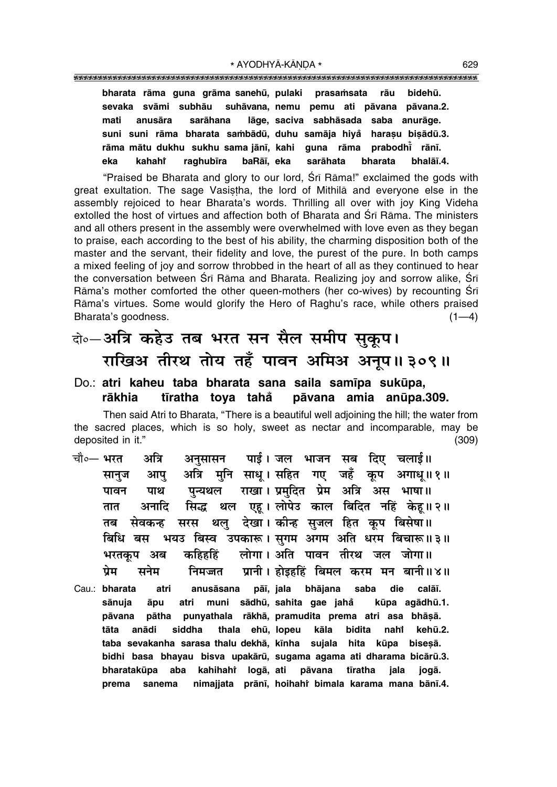#### """""""""""""""""""""""""""""""""""""""""""""""""""""""""""""""""""""""""""""""""""

bharata rāma guna grāma sanehū, pulaki prasamsata rāu bidehū. **sevaka svåmi subhåu suhåvana, nemu pemu ati påvana påvana.2. mati anusåra saråhana låge, saciva sabhåsada saba anuråge. suni suni råma bharata sa≈bådµu, duhu samåja hiya° hara¶u bi¶ådµu.3.** rāma mātu dukhu sukhu sama jānī, kahi quna rāma prabodht<sup>ž</sup> rānī. **eka** kahahi  **raghub∂ra baRå∂, eka saråhata bharata bhalå∂.4.**

"Praised be Bharata and glory to our lord, Śrī Rāma!" exclaimed the gods with great exultation. The sage Vasistha, the lord of Mithila and everyone else in the assembly rejoiced to hear Bharataís words. Thrilling all over with joy King Videha extolled the host of virtues and affection both of Bharata and Srī Rāma. The ministers and all others present in the assembly were overwhelmed with love even as they began to praise, each according to the best of his ability, the charming disposition both of the master and the servant, their fidelity and love, the purest of the pure. In both camps a mixed feeling of joy and sorrow throbbed in the heart of all as they continued to hear the conversation between Śrī Rāma and Bharata. Realizing joy and sorrow alike, Śrī Rāma's mother comforted the other queen-mothers (her co-wives) by recounting Srī Råmaís virtues. Some would glorify the Hero of Raghuís race, while others praised Bharata's goodness. (1—4)

### दो**०–अत्रि कहेउ तब भरत सन सैल समीप सुकूप। राखिअ तीरथ तोय तहँ पावन अमिअ अनुप॥३०९॥**

#### Do.: **atri kaheu taba bharata sana saila sam∂pa sukµupa,** rākhia tīratha toya tahå pāvana amia anūpa.309.

Then said Atri to Bharata, "There is a beautiful well adjoining the hill; the water from the sacred places, which is so holy, sweet as nectar and incomparable, may be deposited in it.<sup>"</sup> (309)

- चौ०— भरत अत्रि अनसासन पाई । जल भाजन सब दिए चलाई॥ 'सानुज आपु अत्रि मुनि साधू। सहित गए जहँ कृप अगाधू॥१॥ पावन पाथ पुन्यथल राखा।**प्रमुदित प्रेम अत्रि अस भाषा**॥ तात अनादि सिद्ध थल एह। लोपेउ काल बिदित नहिं केह॥२॥ तब सेवकन्ह सरस थलु देखा।कोन्ह सुजल हित कृप बिसेषा॥ **बिधि बस भयउ बिस्व उपकारू। सुगम अगम अति धरम बिचारू॥३॥** <u>भरतकूप अब कहिहहिं लोगा। अति पावन तीरथ जल जोगा॥</u> <u>प्रेम सनेम निमज्जत प्रानी। होइहहिं बिमल करम मन बानी॥४॥</u>
- Cau.: **bharata atri anusåsana på∂, jala bhåjana saba die calå∂. sånuja åpu atri muni sådhµu, sahita gae jaha° kµupa agådhµu.1.** pāvana pātha punyathala rākhā, pramudita prema atri asa bhāsā. tāta anādi siddha thala ehū, lopeu kāla bidita nahi kehū.2. taba sevakanha sarasa thalu dekhā, kīnha sujala hita kūpa bisesā. bidhi basa bhayau bisva upakārū, sugama agama ati dharama bicārū.3. bharatakūpa aba kahihahi<sup>'</sup> logā, ati pāvana tīratha jala jogā. **prema sanema nimajjata prån∂, hoihahiÚ bimala karama mana bån∂.4.**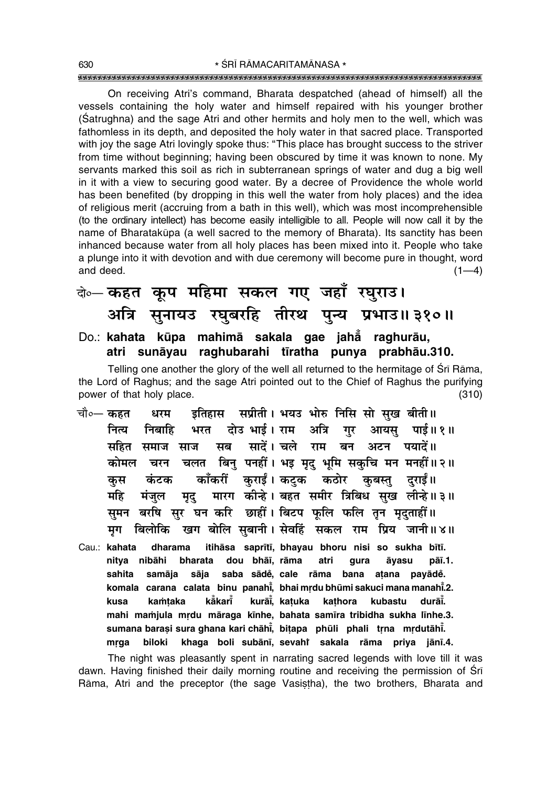On receiving Atri's command, Bharata despatched (ahead of himself) all the vessels containing the holy water and himself repaired with his younger brother (Satrughna) and the sage Atri and other hermits and holy men to the well, which was fathomless in its depth, and deposited the holy water in that sacred place. Transported with joy the sage Atri lovingly spoke thus: "This place has brought success to the striver from time without beginning; having been obscured by time it was known to none. My servants marked this soil as rich in subterranean springs of water and dug a big well in it with a view to securing good water. By a decree of Providence the whole world has been benefited (by dropping in this well the water from holy places) and the idea of religious merit (accruing from a bath in this well), which was most incomprehensible (to the ordinary intellect) has become easily intelligible to all. People will now call it by the name of Bharatakūpa (a well sacred to the memory of Bharata). Its sanctity has been inhanced because water from all holy places has been mixed into it. People who take a plunge into it with devotion and with due ceremony will become pure in thought, word and deed.  $(1-4)$ 

### के- कहत कूप महिमा सकल गए जहाँ रघुराउ। अत्रि सुनायउ रघुबरहि तीरथ पुन्य प्रभाउ॥३१०॥ Do.: kahata kūpa mahimā sakala gae jahā raghurāu, atri sunāyau raghubarahi tīratha punya prabhāu.310.

Telling one another the glory of the well all returned to the hermitage of Srī Rāma. the Lord of Raghus; and the sage Atri pointed out to the Chief of Raghus the purifying power of that holy place.  $(310)$ 

- इतिहास सप्रीती। भयउ भोरु निसि सो सुख बीती॥ चौ०— कहत धरम भरत दोउ भाई। राम अत्रि गुर आयसु पाई॥१॥ निबाहि नित्य सब सादें। चले राम बन अटन पयादें॥ सहित समाज साज कोमल चरन चलत बिन पनहीं। भड़ मद भमि सकचि मन मनहीं॥२॥ काँकरीं कराईं। कटक कठोर कुबस्तु दराईं॥ कस कंटक मारग कीन्हे। बहुत समीर त्रिबिध सुख लीन्हे ॥ ३ ॥ महि मंजल मुद् समन बरषि सर घन करि छाहीं। बिटप फलि फलि तन मदताहीं॥ मृग बिलोकि खग बोलि सुबानी। सेवहिं सकल राम प्रिय जानी॥४॥
- Cau.: kahata dharama itihāsa saprītī, bhayau bhoru nisi so sukha bītī. dou bhāī, rāma nitya nibāhi bharata atri gura āyasu pāī.1. saba sādě, cale rāma sahita samāja sāja bana atana payādě. komala carana calata binu panahi, bhai mrdu bhūmi sakuci mana manahi.2. kurāi̇̃, katuka kathora kamtaka kẳkarাঁ kubastu durāi̇̃. kusa mahi mamjula mrdu māraga kīnhe, bahata samīra tribidha sukha līnhe.3. sumana barasi sura ghana kari chāhi, bitapa phūli phali trna mrdutāhi. biloki khaga boli subānī, sevahi sakala rāma priya jānī.4. mraa

The night was pleasantly spent in narrating sacred legends with love till it was dawn. Having finished their daily morning routine and receiving the permission of Sri Rāma, Atri and the preceptor (the sage Vasistha), the two brothers, Bharata and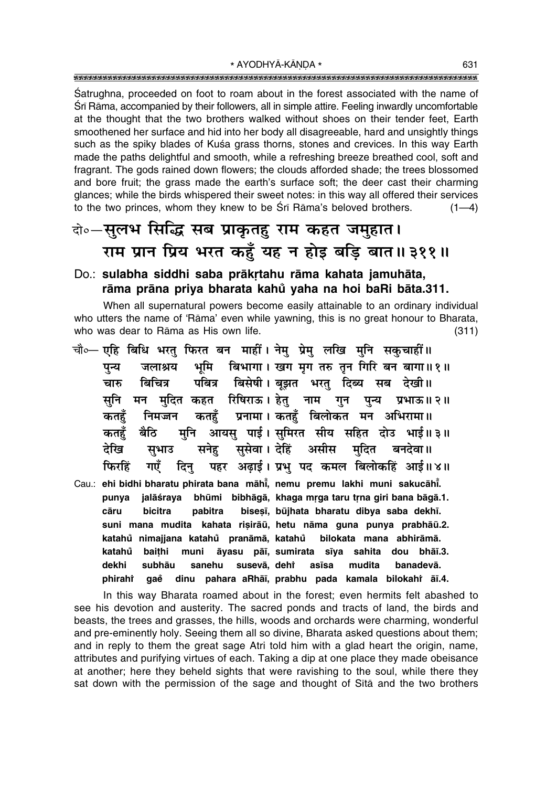Satrughna, proceeded on foot to roam about in the forest associated with the name of Srī Rāma, accompanied by their followers, all in simple attire. Feeling inwardly uncomfortable at the thought that the two brothers walked without shoes on their tender feet, Earth smoothened her surface and hid into her body all disagreeable, hard and unsightly things such as the spiky blades of Kusa grass thorns, stones and crevices. In this way Earth made the paths delightful and smooth, while a refreshing breeze breathed cool, soft and fragrant. The gods rained down flowers; the clouds afforded shade; the trees blossomed and bore fruit; the grass made the earth's surface soft; the deer cast their charming glances; while the birds whispered their sweet notes: in this way all offered their services to the two princes, whom they knew to be Śrī Rāma's beloved brothers. (1—4)

# दो०–सलभ सिद्धि सब प्राकृतहु राम कहत जमुहात। **राम प्रान प्रिय भरत कहँ यह न होड़ बड़ि बात ।। ३११ ।।**

#### Do.: sulabha siddhi saba prākrtahu rāma kahata jamuhāta, **råma pråna priya bharata kahu° yaha na hoi baRi båta.311.**

When all supernatural powers become easily attainable to an ordinary individual who utters the name of 'Rāma' even while yawning, this is no great honour to Bharata, who was dear to Rama as His own life.  $(311)$ 

- <u>चौ०</u>— एहि बिधि भरतु फिरत बन माहीं। नेमु प्रेमु लखि मुनि सकुचाहीं॥ <u>पु</u>न्य जलाश्रय भूमि बिभागा। खग**मूग तरु तुन गिरि बन बागा॥१॥** <u>चारु बिचित्र पबित्र बिसेषी।बूझत भरतु</u> दिब्य सब देखी॥ सुनि मन मुदित कहत रिषिराऊ।**हेतु नाम गुन पुन्य प्रभाऊ॥२**॥ ॅकतहँ निमज्जन कतहँ प्रनामा। कतहँ बिलोकत मन अभिरामा॥ कतहँ बैठि मुनि आयसु पाई। सुमिरत सीय सहित दोउ भाई॥ ३॥ देखि सुभाउ सनेहु सुसेवा।देहिं असीस मुदित बनदेवा॥ िफरहिं गएँ दिनु पहर अढ़ाई।**प्रभु पद कमल बिलोकहिं आई॥४॥** Cau.: **ehi bidhi bharatu phirata bana måh∂° , nemu premu lakhi muni sakucåh∂° .**
- punya jalāśraya bhūmi bibhāgā, khaga mrga taru trna giri bana bāgā.1. **cåru bicitra pabitra bise¶∂, bµujhata bharatu dibya saba dekh∂.** suni mana mudita kahata rişirāū, hetu nāma guna punya prabhāū.2. **katahu nimajjana katahu ° ° pranåmå, katahu bilokata mana abhiråmå. ° katahu bai¢hi muni åyasu på∂, sumirata s∂ya sahita dou bhå∂.3. ° dekhi subhåu sanehu susevå, dehiÚ as∂sa mudita banadevå. phirahiÚ gae° dinu pahara aRhå∂, prabhu pada kamala bilokahiÚ å∂.4.**

In this way Bharata roamed about in the forest; even hermits felt abashed to see his devotion and austerity. The sacred ponds and tracts of land, the birds and beasts, the trees and grasses, the hills, woods and orchards were charming, wonderful and pre-eminently holy. Seeing them all so divine, Bharata asked questions about them; and in reply to them the great sage Atri told him with a glad heart the origin, name, attributes and purifying virtues of each. Taking a dip at one place they made obeisance at another; here they beheld sights that were ravishing to the soul, while there they sat down with the permission of the sage and thought of Sītā and the two brothers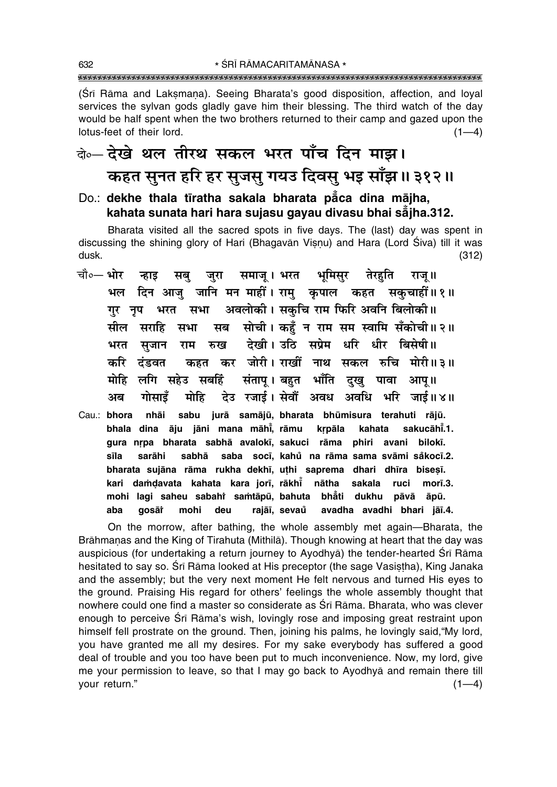(Śrī Rāma and Lakṣmaṇa). Seeing Bharata's good disposition, affection, and loval services the sylvan gods gladly gave him their blessing. The third watch of the day would be half spent when the two brothers returned to their camp and gazed upon the lotus-feet of their lord.  $(1-4)$ 

## के-देखे थल तीरथ सकल भरत पाँच दिन माझ। कहत सुनत हरि हर सुजसु गयउ दिवसु भइ साँझ॥३१२॥

Do.: dekhe thala tīratha sakala bharata pāca dina māiha. kahata sunata hari hara sujasu gayau divasu bhai sajha.312.

Bharata visited all the sacred spots in five days. The (last) day was spent in discussing the shining glory of Hari (Bhagavan Visnu) and Hara (Lord Śiva) till it was dusk.  $(312)$ 

- चौ०— भोर समाजू । भरत भूमिसुर तेरहति न्हाड सब जूरा राज् ॥ भल दिन आजु जानि मन माहीं। रामु कृपाल कहत सकुचाहीं॥१॥ अवलोकी। सकचि राम फिरि अवनि बिलोकी॥ गर नूप भरत सभा सब सोची। कहँ न राम सम स्वामि सँकोची॥२॥ सील सराहि सभा देखी। उठि सप्रेम धरि धीर बिसेषी॥ सुजान राम रुख भरत करि कहत कर जोरी। राखीं नाथ सकल रुचि मोरी॥३॥ टंडवत भाँति मोहि लगि सहेउ सबहिं संताप् । बहुत दख् पावा आप॥ देउ रजाई। सेवौँ अवध अवधि भरि जाई॥४॥ गोसाइँ मोहि अब
- sabu jurā samājū, bharata bhūmisura terahuti rājū. Cau.: bhora nhai bhala dina āju jāni mana māhī, rāmu krpāla kahata sakucāhi.1. gura nrpa bharata sabhā avalokī, sakuci rāma phiri avani bilokī. sabhā saba socī, kahů na rāma sama svāmi såkocī.2. sīla sarāhi bharata sujāna rāma rukha dekhī, uthi saprema dhari dhīra biseșī. kari damdavata kahata kara jorī, rākhī nātha sakala ruci morī.3. mohi lagi saheu sabahi samtāpū, bahuta bhāti dukhu pāvā āpū. mohi gosāt avadha avadhi bhari jāī.4. aba deu rajāī, sevaŭ

On the morrow, after bathing, the whole assembly met again-Bharata, the Brāhmanas and the King of Tirahuta (Mithilā). Though knowing at heart that the day was auspicious (for undertaking a return journey to Ayodhya) the tender-hearted Sri Rama hesitated to say so. Srī Rāma looked at His preceptor (the sage Vasistha), King Janaka and the assembly; but the very next moment He felt nervous and turned His eyes to the ground. Praising His regard for others' feelings the whole assembly thought that nowhere could one find a master so considerate as Srī Rāma. Bharata, who was clever enough to perceive Srī Rāma's wish, lovingly rose and imposing great restraint upon himself fell prostrate on the ground. Then, joining his palms, he lovingly said, "My lord, you have granted me all my desires. For my sake everybody has suffered a good deal of trouble and you too have been put to much inconvenience. Now, my lord, give me your permission to leave, so that I may go back to Ayodhya and remain there till vour return."  $(1-4)$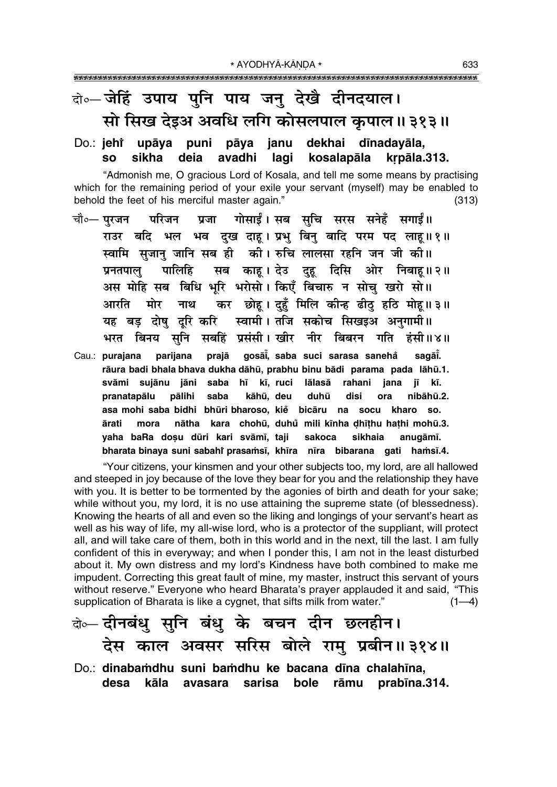### बे॰-जेहिं उपाय पुनि पाय जनु देखै दीनदयाल। सो सिख देइअ अवधि लगि कोसलपाल कुपाल ॥ ३१३॥

#### dekhai dīnadavāla, Do.: **jehř** upāya puni pāya janu **SO** sikha deia avadhi lagi kosalapāla krpāla.313.

"Admonish me, O gracious Lord of Kosala, and tell me some means by practising which for the remaining period of your exile your servant (myself) may be enabled to behold the feet of his merciful master again."  $(313)$ 

- प्रजा गोसाईं।सब सुचि सरस सनेहँ सगाईं॥ चौ०— **परजन परिजन** राउर बदि भल भव दुख दाह। प्रभु बिनु बादि परम पद लाह॥१॥ स्वामि सृजान् जानि सब ही की। रुचि लालसा रहनि जन जी की॥ पालिहि सब काहू। देउ दुहू दिसि ओर निबाहू॥२॥ प्रनतपाल अस मोहि सब बिधि भूरि भरोसो। किएँ बिचारु न सोच खरो सो॥ आरति मोर नाथ कर छोहू। दुहुँ मिलि कीन्ह ढीठु हठि मोहू॥३॥ यह बड दोष दरि करि स्वामी। तजि सकोच सिखइअ अनगामी॥ भरत बिनय सनि सबहिं प्रसंसी। खीर नीर बिबरन गति हंसी॥४॥
- prajā gosāi, saba suci sarasa sanehå Cau.: purajana parijana sagāi. rāura badi bhala bhava dukha dāhū, prabhu binu bādi parama pada lāhū.1. svāmi sujānu jāni saba hī kī, ruci lālasā rahani jana jī kī. pranatapālu pālihi saba kāhū. deu duhū disi nibāhū.2. ora asa mohi saba bidhi bhūri bharoso, kiể bicāru na socu kharo so. ārati mora nātha kara chohū, duhů mili kīnha dhīthu hathi mohū.3. yaha baRa dosu dūri kari svāmī, taji sikhaia sakoca anugāmī. bharata binaya suni sabahi prasamsi, khira nira bibarana gati hamsi.4.

"Your citizens, your kinsmen and your other subjects too, my lord, are all hallowed and steeped in joy because of the love they bear for you and the relationship they have with you. It is better to be tormented by the agonies of birth and death for your sake; while without you, my lord, it is no use attaining the supreme state (of blessedness). Knowing the hearts of all and even so the liking and longings of your servant's heart as well as his way of life, my all-wise lord, who is a protector of the suppliant, will protect all, and will take care of them, both in this world and in the next, till the last. I am fully confident of this in everyway; and when I ponder this, I am not in the least disturbed about it. My own distress and my lord's Kindness have both combined to make me impudent. Correcting this great fault of mine, my master, instruct this servant of yours without reserve." Everyone who heard Bharata's prayer applauded it and said, "This supplication of Bharata is like a cygnet, that sifts milk from water."  $(1-4)$ 

### के-दीनबंधु सुनि बंधु के बचन दीन छलहीन। देस काल अवसर सरिस बोले रामु प्रबीन॥३१४॥ Do.: dinabamdhu suni bamdhu ke bacana dīna chalahīna,

desa kāla avasara sarisa bole rāmu prabīna.314.

633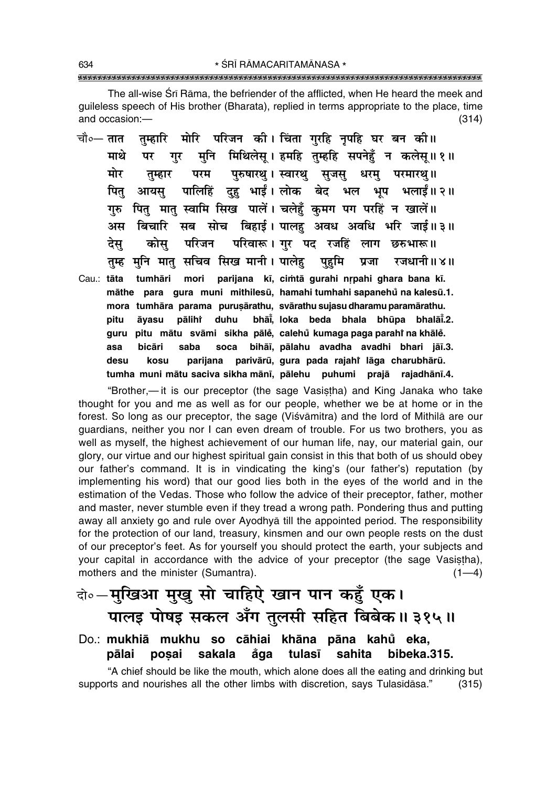The all-wise Srī Rāma, the befriender of the afflicted, when He heard the meek and quileless speech of His brother (Bharata), replied in terms appropriate to the place, time and occasion:- $(314)$ 

- मोरि परिजन की। चिंता गरहि नपहि घर बन की।। चौ०— तात तम्हारि मनि मिथिलेस् । हमहि तुम्हहि सपनेहँ न कलेस् ॥ १ ॥ माथे गुर पर मोर पुरुषारथु । स्वारथु सुजसु धरमु परमारथु॥ परम तम्हार पालिहिं दुहु भाईं।लोक बेद भल भूप भलाईं॥२॥ पित आयस पितु मातु स्वामि सिख पालें। चलेहुँ कुमग पग परहिं न खालें॥ गरु बिचारि सब सोच बिहाई। पालह अवध अवधि भरि जाई॥३॥ अस परिजन परिवारू। गुर पद रजहिं लाग छरुभारू॥ कोस देस् तुम्ह मुनि मात् सचिव सिख मानी। पालेह पहुमि रजधानी॥४॥ प्रजा parijana kī, cimtā gurahi nrpahi ghara bana kī. Cau.: tāta tumhāri mori
- māthe para gura muni mithilesū, hamahi tumhahi sapanehů na kalesū.1. mora tumhāra parama purusārathu, svārathu sujasu dharamu paramārathu. bhāi, loka beda bhala bhūpa bhalāi.2. pitu āvasu pālihi duhu guru pitu mātu svāmi sikha pālė, calehů kumaga paga parahi na khālė. asa bicāri saba soca bihāī, pālahu avadha avadhi bhari jāī.3. parivārū, gura pada rajahi lāga charubhārū. desu kosu parijana tumha muni mātu saciva sikha mānī, pālehu puhumi prajā rajadhānī.4.

"Brother,— it is our preceptor (the sage Vasistha) and King Janaka who take thought for you and me as well as for our people, whether we be at home or in the forest. So long as our preceptor, the sage (Visvamitra) and the lord of Mithila are our quardians, neither you nor I can even dream of trouble. For us two brothers, you as well as myself, the highest achievement of our human life, nay, our material gain, our glory, our virtue and our highest spiritual gain consist in this that both of us should obey our father's command. It is in vindicating the king's (our father's) reputation (by implementing his word) that our good lies both in the eyes of the world and in the estimation of the Vedas. Those who follow the advice of their preceptor, father, mother and master, never stumble even if they tread a wrong path. Pondering thus and putting away all anxiety go and rule over Ayodhya till the appointed period. The responsibility for the protection of our land, treasury, kinsmen and our own people rests on the dust of our preceptor's feet. As for yourself you should protect the earth, your subjects and your capital in accordance with the advice of your preceptor (the sage Vasistha), mothers and the minister (Sumantra).  $(1-4)$ 

### वे०-मुखिआ मुखु सो चाहिऐ खान पान कहुँ एक। पालइ पोषइ सकल अँग तुलसी सहित बिबेक॥३१५॥

#### Do.: mukhiā mukhu so cāhiai khāna pāna kahů eka, bibeka.315. pālai posai sakala åqa tulasī sahita

"A chief should be like the mouth, which alone does all the eating and drinking but supports and nourishes all the other limbs with discretion, says Tulasidasa."  $(315)$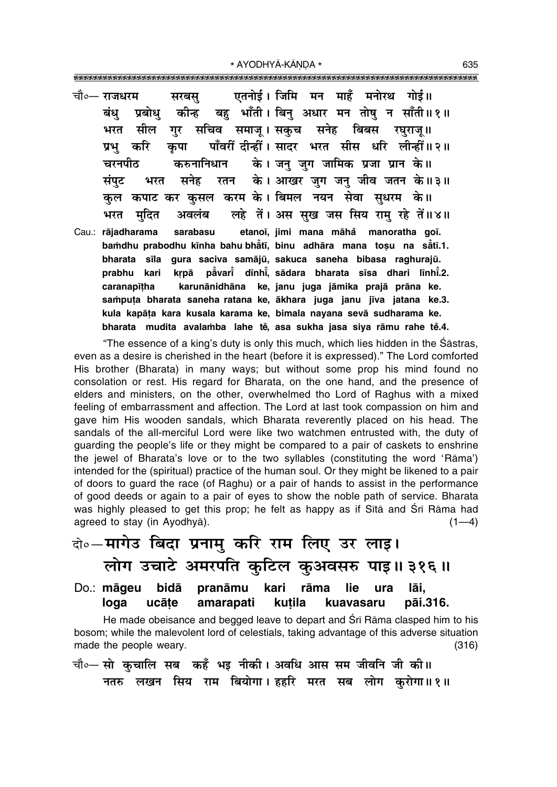चौ∘— राजधरम एतनोई। जिमि मन माहँ मनोरथ गोई॥ सरबस बह भाँती। बिन अधार मन तोष न साँती॥१॥ कीन्ह बंध प्रबोध सील गर सचिव समाज् ।सकच सनेह बिबस रघराज्॥ भरत प्रभ करि कपा पाँवरीं दीन्हीं। सादर भरत सीस धरि लीन्हीं॥२॥ के। जन् जुग जामिक प्रजा प्रान के॥ चरनपीठ करुनानिधान के। आखर जुग जनु जीव जतन के॥३॥ संपट सनेह रतन भरत कल कपाट कर कसल करम के। बिमल नयन सेवा सधरम के॥ लहे तें। अस सुख जस सिय रामु रहे तें॥४॥ भरत मदित अवलंब etanoī, jimi mana māhă manoratha goī. Cau.: rājadharama sarabasu bamdhu prabodhu kīnha bahu bhātī, binu adhāra mana tosu na sātī.1. bharata sīla qura saciva samājū, sakuca saneha bibasa raghurajū. påvari dīnhi, sādara bharata sīsa dhari līnhi.2. prabhu kari krpā caranapītha karunānidhāna ke, janu juga jāmika prajā prāna ke. samputa bharata saneha ratana ke, ākhara juga janu jīva jatana ke.3.

"The essence of a king's duty is only this much, which lies hidden in the Sāstras, even as a desire is cherished in the heart (before it is expressed)." The Lord comforted His brother (Bharata) in many ways; but without some prop his mind found no consolation or rest. His regard for Bharata, on the one hand, and the presence of elders and ministers, on the other, overwhelmed tho Lord of Raghus with a mixed feeling of embarrassment and affection. The Lord at last took compassion on him and gave him His wooden sandals, which Bharata reverently placed on his head. The sandals of the all-merciful Lord were like two watchmen entrusted with, the duty of quarding the people's life or they might be compared to a pair of caskets to enshrine the jewel of Bharata's love or to the two syllables (constituting the word 'Rāma') intended for the (spiritual) practice of the human soul. Or they might be likened to a pair of doors to guard the race (of Raghu) or a pair of hands to assist in the performance of good deeds or again to a pair of eyes to show the noble path of service. Bharata was highly pleased to get this prop; he felt as happy as if Sita and Sri Rama had agreed to stay (in Ayodhya).  $(1-4)$ 

kula kapāṭa kara kusala karama ke, bimala nayana sevā sudharama ke. bharata mudita avalamba lahe tě, asa sukha jasa siya rāmu rahe tě.4.

दो॰-मागेउ बिदा प्रनामु करि राम लिए उर लाइ। लोग उचाटे अमरपति कुटिल कुअवसरु पाइ॥ ३१६॥ bidā pranāmu kari rāma lie Do.: māgeu ura lāi. kutila loga ucāte amarapati kuavasaru pāi.316.

He made obeisance and begged leave to depart and Sri Rama clasped him to his bosom; while the malevolent lord of celestials, taking advantage of this adverse situation made the people weary.  $(316)$ 

चौ०— सो कुचालि सब कहँ भइ नीकी। अवधि आस सम जीवनि जी की॥ नतरु लखन सिय राम बियोगा। हहरि मरत सब लोग कुरोगा॥१॥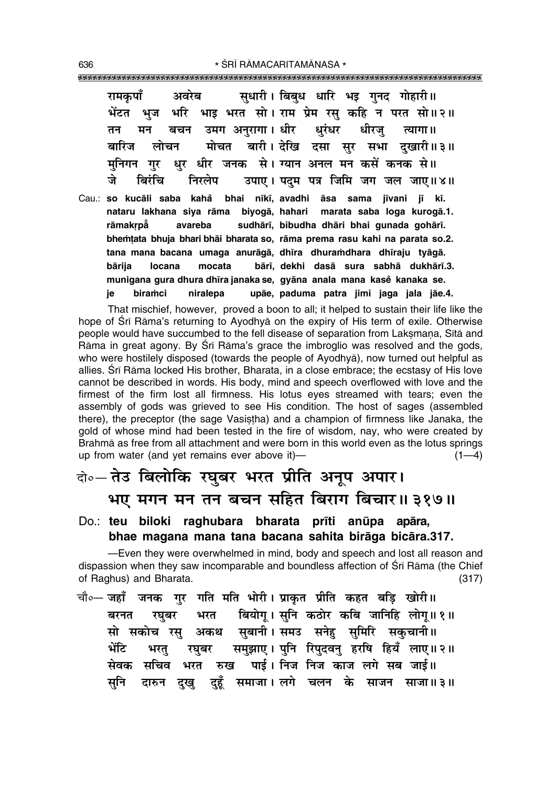रामकपाँ अवरेब सधारी। बिबुध धारि भड़ गनद गोहारी॥ भरि भाइ भरत सो। राम प्रेम रस कहि न परत सो॥२॥ भेंटत भज बचन उमग अनरागा। धीर धरंधर धीरज तन मन त्यागा ॥ मोचत बारी। देखि दसा सर सभा दखारी॥३॥ बारिज लोचन धर धीर जनक से। ग्यान अनल मन कसें कनक से॥ मनिगन गुर जे बिरंचि निरलेप उपाए। पदुम पत्र जिमि जग जल जाए॥४॥ Cau.: so kucāli saba kahå bhai nīkī, avadhi āsa sama jīvani jī kī. nataru lakhana siya rāma biyogā, hahari marata saba loga kurogā.1. sudhārī, bibudha dhāri bhai qunada qohārī. avareba rāmakrpā bhemtata bhuja bhari bhai bharata so, rāma prema rasu kahi na parata so.2. tana mana bacana umaga anurāgā, dhīra dhuramdhara dhīraju tyāgā. bārī, dekhi dasā sura sabhā dukhārī.3. bārija locana mocata munigana gura dhura dhīra janaka se, gyāna anala mana kase kanaka se. upãe, paduma patra jimi jaga jala jāe.4. biramci niralepa je

That mischief, however, proved a boon to all; it helped to sustain their life like the hope of Śrī Rāma's returning to Ayodhyā on the expiry of His term of exile. Otherwise people would have succumbed to the fell disease of separation from Laksmana, Sita and Rāma in great agony. By Śrī Rāma's grace the imbroglio was resolved and the gods, who were hostilely disposed (towards the people of Ayodhya), now turned out helpful as allies. Śrī Rāma locked His brother, Bharata, in a close embrace; the ecstasy of His love cannot be described in words. His body, mind and speech overflowed with love and the firmest of the firm lost all firmness. His lotus eyes streamed with tears; even the assembly of gods was grieved to see His condition. The host of sages (assembled there), the preceptor (the sage Vasistha) and a champion of firmness like Janaka, the gold of whose mind had been tested in the fire of wisdom, nay, who were created by Brahmā as free from all attachment and were born in this world even as the lotus springs up from water (and yet remains ever above it)- $(1-4)$ 

### वो०- तेउ बिलोकि रघुबर भरत प्रीति अनूप अपार। भए मगन मन तन बचन सहित बिराग बिचार॥३१७॥

#### Do.: teu biloki raghubara bharata prīti anūpa apāra, bhae magana mana tana bacana sahita birāga bicāra.317.

-Even they were overwhelmed in mind, body and speech and lost all reason and dispassion when they saw incomparable and boundless affection of Srī Rāma (the Chief of Raghus) and Bharata.  $(317)$ 

चौ∘— जहाँ जनक गुर गति मति भोरी। प्राकृत प्रीति कहत बडि खोरी॥ बियोग् । सनि कठोर कबि जानिहि लोग्॥१॥ भरत बरनत रघबर अकथ सुबानी। समउ सनेह सुमिरि सकुचानी॥ सो सकोच रस् समुझाए। पुनि रिपुदवनु हरषि हियँ लाए॥२॥ भेंटि भरत् रघबर भरत रुख पाई। निज निज काज लगे सब जाई॥ सेवक सचिव दारुन दुखु दुहूँ समाजा।लगे चलन के साजन साजा॥३॥ सनि

636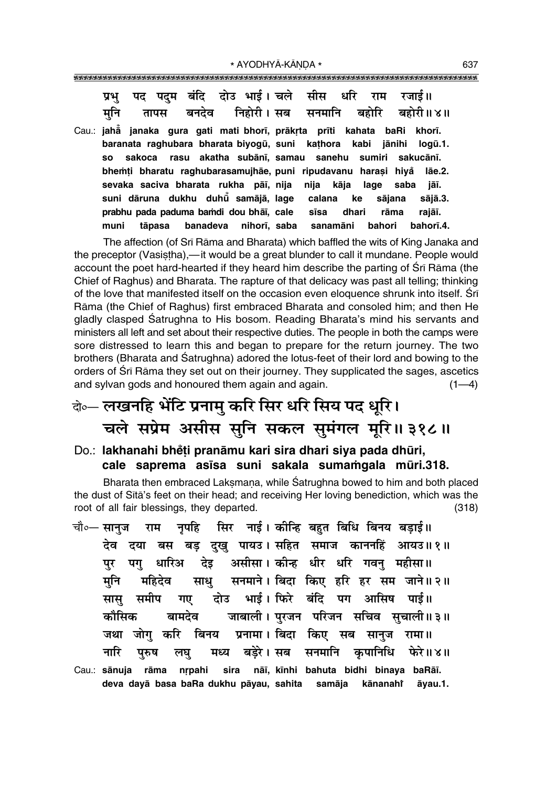पदम बंदि दोउ भाई। चले सीस धरि रजाई॥ राम प्रभ पद मनि निहोरी। सब बहोरि बनदेव सनमानि बहोरी॥४॥ तापस Cau.: jahå janaka gura gati mati bhorī, prākŗta prīti kahata baRi khorī. baranata raghubara bharata biyogū, suni kathora kabi jānihi logū.1. sakoca rasu akatha subānī, samau sanehu sumiri **SO** sakucānī. bhemți bharatu raghubarasamujhāe, puni ripudavanu harași hiyă lāe.2. sevaka saciva bharata rukha pāī, nija lage saba nija kāja jāī. suni dāruna dukhu duhū samājā. Iage calana ke sājana sājā.3. prabhu pada paduma bamdi dou bhāi, cale rāma sīsa dhari rajāī. muni tāpasa banadeva nihorī, saba sanamāni bahori bahorī.4.

The affection (of Srī Rāma and Bharata) which baffled the wits of King Janaka and the preceptor (Vasistha),—it would be a great blunder to call it mundane. People would account the poet hard-hearted if they heard him describe the parting of Sri Rāma (the Chief of Raghus) and Bharata. The rapture of that delicacy was past all telling; thinking of the love that manifested itself on the occasion even eloquence shrunk into itself. Sri Rāma (the Chief of Raghus) first embraced Bharata and consoled him; and then He gladly clasped Satrughna to His bosom. Reading Bharata's mind his servants and ministers all left and set about their respective duties. The people in both the camps were sore distressed to learn this and began to prepare for the return journey. The two brothers (Bharata and Śatrughna) adored the lotus-feet of their lord and bowing to the orders of Sri Rama they set out on their journey. They supplicated the sages, ascetics and sylvan gods and honoured them again and again.  $(1-4)$ 

### के-लखनहि भेंटि प्रनामु करि सिर धरि सिय पद धूरि। चले सप्रेम असीस सुनि सकल सुमंगल मूरि॥३१८॥

#### Do.: lakhanahi bhěti pranāmu kari sira dhari siya pada dhūri, cale saprema asīsa suni sakala sumamgala mūri.318.

Bharata then embraced Laksmana, while Satrughna bowed to him and both placed the dust of Sita's feet on their head; and receiving Her loving benediction, which was the root of all fair blessings, they departed.  $(318)$ 

- नुपहि सिर नाई। कीन्हि बहुत बिधि बिनय बडाई॥ चौ०— सानज राम देव दया बस बड़ दुखु पायउ।सहित समाज काननहिं आयउ॥१॥ असीसा। कीन्ह धीर धरि गवन् महीसा॥ धारिअ देड पर पग सनमाने। बिदा किए हरि हर सम जाने॥२॥ मनि महिदेव साध दोउ भाई। फिरे बंदि पग आसिष पाई॥ समीप गए सास् जाबाली। पुरजन परिजन सचिव सुचाली॥३॥ कौसिक बामदेव जथा जोग करि बिनय प्रनामा। बिदा किए सब सानुज रामा॥ बडेरे। सब सनमानि कपानिधि फेरे॥४॥ नारि परुष मध्य लघ
- Cau.: sānuja rāma nrpahi sira nāī, kīnhi bahuta bidhi binaya baRāī. deva dayā basa baRa dukhu pāyau, sahita samāja kānanahi āyau.1.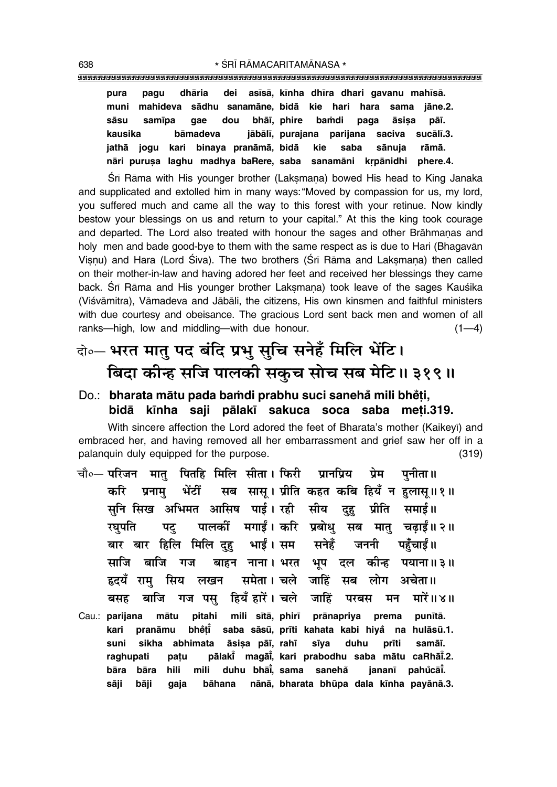**pura pagu dhåria dei as∂så, k∂nha dh∂ra dhari gavanu mah∂så. muni mahideva sådhu sanamåne, bidå kie hari hara sama jåne.2.** sāsu samīpa gae dou bhāī, phire baṁdi paga āsisa pāī. **kausika båmadeva jåbål∂, purajana parijana saciva sucål∂.3. jathå jogu kari binaya pranåmå, bidå kie saba sånuja råmå. nåri puru¶a laghu madhya baRere, saba sanamåni kæpånidhi phere.4.**

Srī Rāma with His younger brother (Laksmana) bowed His head to King Janaka and supplicated and extolled him in many ways: "Moved by compassion for us, my lord, you suffered much and came all the way to this forest with your retinue. Now kindly bestow your blessings on us and return to your capital." At this the king took courage and departed. The Lord also treated with honour the sages and other Brāhmanas and holy men and bade good-bye to them with the same respect as is due to Hari (Bhagavån Visnu) and Hara (Lord Śiva). The two brothers (Śrī Rāma and Laksmana) then called on their mother-in-law and having adored her feet and received her blessings they came back. Śrī Rāma and His younger brother Laksmana) took leave of the sages Kauśika (Viśvāmitra), Vāmadeva and Jābāli, the citizens, His own kinsmen and faithful ministers with due courtesy and obeisance. The gracious Lord sent back men and women of all ranks—high, low and middling—with due honour.  $(1-4)$ 

### दो०– भरत मातु पद बंदि प्रभु सुचि सनेहँ मिलि भेंटि। **बिदा कीन्ह सजि पालकी सकुच सोच सब मेटि।। ३१९।।**

#### Do.: **bharata måtu pada ba≈di prabhu suci saneha mili bhe ° °¢i, bidå k∂nha saji pålak∂ sakuca soca saba me¢i.319.**

With sincere affection the Lord adored the feet of Bharata's mother (Kaikeyī) and embraced her, and having removed all her embarrassment and grief saw her off in a palanquin duly equipped for the purpose. (319)

- **चौ०— परिजन मातु पितहि मिलि सीता। फिरी प्रानप्रिय प्रेम पनीता॥** करि प्रनाम् भेंटीं सब सासु। प्रीति कहत कबि हियँ न हलासु॥१॥ सुनि सिख अभिमत आसिष पाई। रही सीय दह प्रीति समाई॥  $\bar{x}$ प्युति पट्र पालकीं मगाईं । करि प्रबोध् सब मात् चढ़ाईं ॥ २ ॥ बार बार हिलि मिलि दह भाईं।**सम सनेहँ जननी पहँचाईं**॥ साजि बाजि गज बाहन नाना । भरत भुप दल कीन्ह पयाना ॥३॥ हृदयँ राम सिय लखन समेता। चले जाहिं सब लोग अचेता॥ बसह बाजि गज**पस् हियँ हारें। चले जाहिं परबस मन मारें**॥४॥
- Cau.: **parijana måtu pitahi mili s∂tå, phir∂ prånapriya prema pun∂tå. kari pranåmu bhe°¢∂° saba såsµu, pr∂ti kahata kabi hiya° na hulåsµu.1.** suni sikha abhimata āsiṣa pāī, rahī sīya duhu prīti samāī. **raghupati pa¢u pålak∂° magå∂° , kari prabodhu saba måtu caRhå∂° .2. båra båra hili mili duhu bhå∂° , sama saneha° janan∂ pahu°cå∂°** jananī pahůcāĭ. **såji båji gaja båhana nånå, bharata bhµupa dala k∂nha payånå.3.**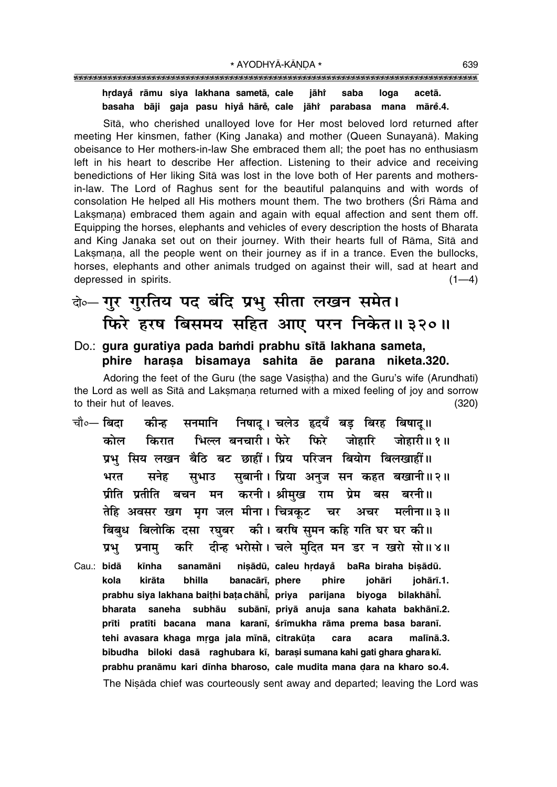#### hrdayå rāmu siya lakhana sametā, cale jāh† saba loga acetā. basaha bāji gaja pasu hiyå hārė, cale jāht parabasa mana mārė.4.

Sita, who cherished unalloyed love for Her most beloved lord returned after meeting Her kinsmen, father (King Janaka) and mother (Queen Sunayanā). Making obeisance to Her mothers-in-law She embraced them all; the poet has no enthusiasm left in his heart to describe Her affection. Listening to their advice and receiving benedictions of Her liking Sita was lost in the love both of Her parents and mothersin-law. The Lord of Raghus sent for the beautiful palanguins and with words of consolation He helped all His mothers mount them. The two brothers (Srī Rāma and Laksmana) embraced them again and again with equal affection and sent them off. Equipping the horses, elephants and vehicles of every description the hosts of Bharata and King Janaka set out on their journey. With their hearts full of Rāma, Sītā and Laksmana, all the people went on their journey as if in a trance. Even the bullocks, horses, elephants and other animals trudged on against their will, sad at heart and depressed in spirits.  $(1-4)$ 

### के-गुर गुरतिय पद बंदि प्रभु सीता लखन समेत। फिरे हरष बिसमय सहित आए परन निकेत॥३२०॥

#### Do.: gura guratiya pada bamdi prabhu sītā lakhana sameta, phire harasa bisamaya sahita āe parana niketa.320.

Adoring the feet of the Guru (the sage Vasistha) and the Guru's wife (Arundhatī) the Lord as well as Sītā and Laksmana returned with a mixed feeling of joy and sorrow to their hut of leaves.  $(320)$ 

- निषाद् । चलेउ हृदयँ बड बिरह बिषाद् ॥ चौ∘— बिटा कीन्ह सनमानि कोल भिल्ल बनचारी। फेरे फिरे जोहारि किरात जोहारी॥ १॥ प्रभु सिय लखन बैठि बट छाहीं। प्रिय परिजन बियोग बिलखाहीं॥ सुभाउ सुबानी। प्रिया अनुज सन कहत बखानी ॥२॥ भरत सनेह प्रीति प्रतीति बचन मन करनी।श्रीमुख राम प्रेम बस बरनी॥ तेहि अवसर खग मृग जल मीना। चित्रकूट मलीना॥ ३॥ चर अचर बिबंध बिलोकि दसा रघबर की। बरषि समन कहि गति घर घर की॥ दीन्ह भरोसो। चले मुदित मन डर न खरो सो॥४॥ करि प्रभ प्रनाम्
- Cau.: bidā kīnha sanamāni nişādū, caleu hrdaya baRa biraha bişādū. banacārī, phere kola kirāta bhilla phire johāri johārī.1. prabhu siya lakhana baithi bata chāhī, priya parijana biyoga bilakhāhī. subhāu subānī, priyā anuja sana kahata bakhānī.2. bharata saneha prīti pratīti bacana mana karanī, śrīmukha rāma prema basa baranī. tehi avasara khaga mrga jala mīnā, citrakūța cara acara malīnā.3. bibudha biloki dasā raghubara kī, barasi sumana kahi gati ghara ghara kī. prabhu pranāmu kari dīnha bharoso, cale mudita mana dara na kharo so.4. The Nisāda chief was courteously sent away and departed; leaving the Lord was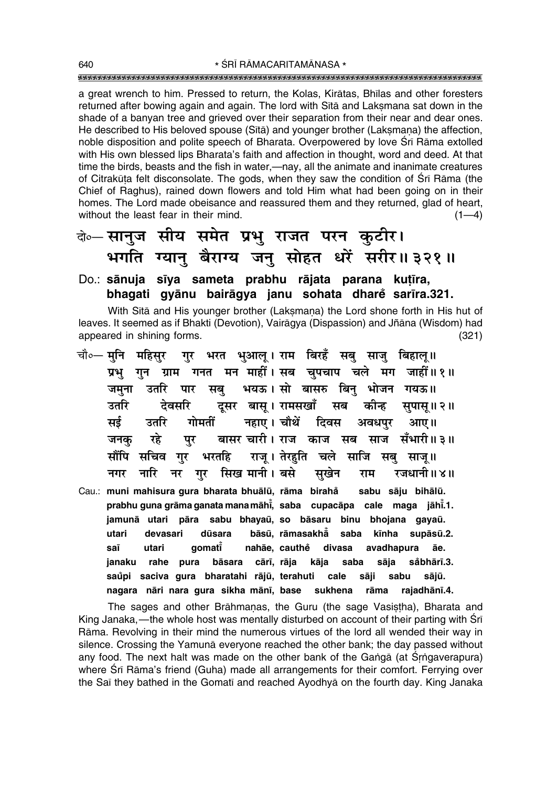a great wrench to him. Pressed to return, the Kolas, Kirātas, Bhīlas and other foresters returned after bowing again and again. The lord with Sita and Laksmana sat down in the shade of a banyan tree and grieved over their separation from their near and dear ones. He described to His beloved spouse (Sītā) and vounger brother (Laksmana) the affection. noble disposition and polite speech of Bharata. Overpowered by love Srī Rāma extolled with His own blessed lips Bharata's faith and affection in thought, word and deed. At that time the birds, beasts and the fish in water,—nay, all the animate and inanimate creatures of Citrakūta felt disconsolate. The gods, when they saw the condition of Srī Rāma (the Chief of Raghus), rained down flowers and told Him what had been going on in their homes. The Lord made obeisance and reassured them and they returned, glad of heart, without the least fear in their mind.  $(1-4)$ 

- के—सानुज सीय समेत प्रभु राजत परन कुटीर। भगति ग्यान् बैराग्य जन् सोहत धरें सरीर॥३२१॥
- Do.: sānuja sīya sameta prabhu rājata parana kutīra, bhagati gyānu bairāgya janu sohata dhare sarīra.321.

With Sita and His vounger brother (Laksmana) the Lord shone forth in His hut of leaves. It seemed as if Bhakti (Devotion), Vairagya (Dispassion) and Jñana (Wisdom) had appeared in shining forms.  $(321)$ 

- गुर भरत भुआलू। राम बिरहँ सबु साजु बिहालू॥ चौ०— मनि महिसुर प्रभु गुन ग्राम गनत मन माहीं। सब चुपचाप चले मग जाहीं॥१॥ जमुना उतरि पार सबु भयऊ।सो बासरु बिनु भोजन गयऊ॥ दुसर बास् । रामसखाँ उतरि देवसरि सब कीन्ह सुपासु ॥ २ ॥ नहाए । चौथें सई उतरि गोमतीं दिवस अवधपुर आए।। रहे बासर चारी। राज काज सब साज सँभारी॥३॥ जनक पुर सौंपि सचिव गर भरतहि राजू। तेरहुति चले साजि सबु साजू॥ नारि नर गर सिख मानी। बसे नगर सुखेन राम रजधानी॥४॥ Cau.: muni mahisura gura bharata bhuālū, rāma birahå sabu sāju bihālū.
- prabhu guna grāma ganata mana māhi, saba cupacāpa cale maga jāhi.1. jamunā utari pāra sabu bhayaū, so bāsaru binu bhojana gayaū. utari devasari dūsara bāsū. rāmasakhā saba kīnha supāsū.2. avadhapura saī utari gomati nahāe, cauthe divasa āe. sāia janaku rahe pura bāsara cārī, rāja kāja saba såbhārī.3. saupi saciva gura bharatahi rājū, terahuti cale sāji sabu sājū. nagara nāri nara gura sikha mānī, base sukhena rāma rajadhānī.4.

The sages and other Brāhmanas, the Guru (the sage Vasistha), Bharata and King Janaka,—the whole host was mentally disturbed on account of their parting with Sri Rāma. Revolving in their mind the numerous virtues of the lord all wended their way in silence. Crossing the Yamuna everyone reached the other bank; the day passed without any food. The next halt was made on the other bank of the Ganga (at Srngaverapura) where Srī Rāma's friend (Guha) made all arrangements for their comfort. Ferrying over the Sai they bathed in the Gomati and reached Ayodhya on the fourth day. King Janaka

640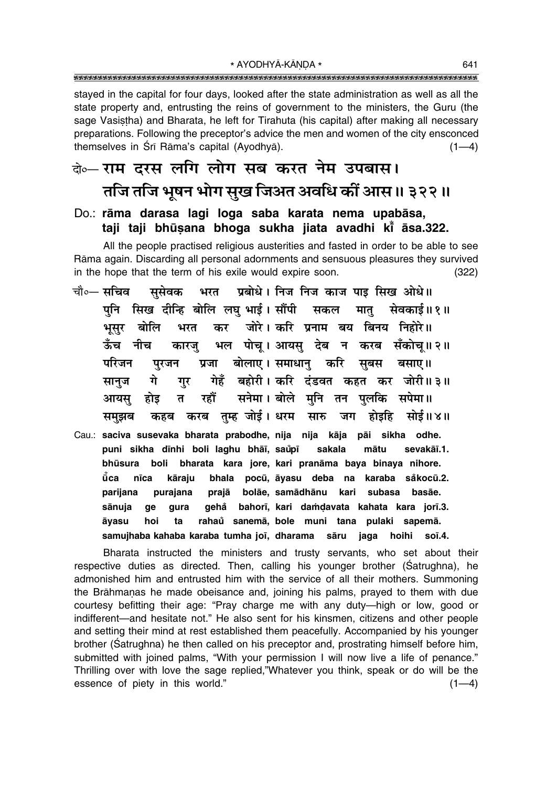\* AYODHYĀ-KĀNDA \* 

stayed in the capital for four days, looked after the state administration as well as all the state property and, entrusting the reins of government to the ministers, the Guru (the sage Vasistha) and Bharata, he left for Tirahuta (his capital) after making all necessary preparations. Following the preceptor's advice the men and women of the city ensconced themselves in Śrī Rāma's capital (Ayodhyā).  $(1-4)$ 

### के—राम दरस लगि लोग सब करत नेम उपबास। तजि तजि भूषन भोग सुख जिअत अवधि कीं आस॥ ३२२॥

#### Do.: rāma darasa lagi loga saba karata nema upabāsa, taji taji bhūsana bhoga sukha jiata avadhi ki āsa.322.

All the people practised religious austerities and fasted in order to be able to see Rāma again. Discarding all personal adornments and sensuous pleasures they survived in the hope that the term of his exile would expire soon.  $(322)$ 

- प्रबोधे। निज निज काज पाइ सिख ओधे॥ चौ०— सचिव ससेवक भरत पनि सिख दीन्हि बोलि लघु भाई। सौंपी सकल मात सेवकार्ड॥१॥ बोलि कर जोरे। करि प्रनाम बय बिनय निहोरे॥ भसर भरत भल पोच। आयस देब न करब सँकोच॥२॥ ऊँच नीच कारज प्रजा बोलाए।समाधान करि परिजन सबस पुरजन बसाए।। गेहँ बहोरी। करि दंडवत कहत कर जोरी॥३॥ गे गर सानज सनेमा। बोले मनि तन पलकि रहों आयस होड त सपेमा॥ कहब करब तुम्ह जोई। धरम सारु होडहि सोई॥४॥ समुझब जग
- Cau.: saciva susevaka bharata prabodhe, nija nija kāja pāi sikha odhe. puni sikha dīnhi boli laghu bhāī, saupī sakala mātu sevakāī.1. bharata kara jore, kari pranāma baya binaya nihore. bhūsura boli ū̃ca nīca bhala pocū, āyasu deba na karaba såkocū.2. kāraju parijana bolāe, samādhānu subasa purajana prajā kari basāe. gehå bahorī, kari damdavata kahata kara jorī.3. sānuja ge qura āvasu ta rahaů sanemā, bole muni tana pulaki sapemā. hoi samujhaba kahaba karaba tumha joi, dharama sāru jaga hoihi  $so\bar{1}$ .4.

Bharata instructed the ministers and trusty servants, who set about their respective duties as directed. Then, calling his younger brother (Satrughna), he admonished him and entrusted him with the service of all their mothers. Summoning the Brāhmanas he made obeisance and, joining his palms, prayed to them with due courtesy befitting their age: "Pray charge me with any duty—high or low, good or indifferent—and hesitate not." He also sent for his kinsmen, citizens and other people and setting their mind at rest established them peacefully. Accompanied by his younger brother (Satrughna) he then called on his preceptor and, prostrating himself before him, submitted with joined palms, "With your permission I will now live a life of penance." Thrilling over with love the sage replied,"Whatever you think, speak or do will be the essence of piety in this world."  $(1-4)$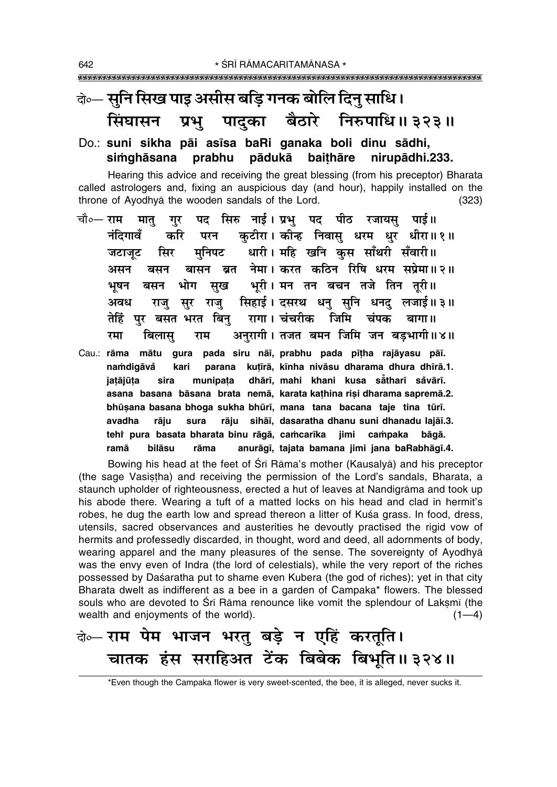#### केन्- सुनि सिख पाइ असीस बडि गनक बोलि दिन् साधि। प्रभु पादका बैठारे निरुपाधि॥३२३॥ सिंघासन

#### Do.: suni sikha pāi asīsa baRi ganaka boli dinu sādhi, simghāsana prabhu pādukā baithāre nirupādhi.233.

Hearing this advice and receiving the great blessing (from his preceptor) Bharata called astrologers and, fixing an auspicious day (and hour), happily installed on the throne of Ayodhya the wooden sandals of the Lord.  $(323)$ 

- पद सिरु नाई। प्रभु पद पीठ रजायसु पाई॥ चौ०— राम मात् गर कुटीरा। कीन्ह निवासु धरम धुर धीरा॥१॥ नंदिगावँ करि परन धारी। महि खनि कस साँथरी सँवारी॥ मनिपट जटाजुट सिर बासन ब्रत नेमा। करत कठिन रिषि धरम सप्रेमा॥२॥ असन बसन सख भरी। मन तन बचन तजे तिन तरी॥ भोग भषन बसन राजु सिहाई। दसरथ धनु सुनि धनदु लजाई॥३॥ सर अवध राज तेहिं पुर बसत भरत बिन् रागा। चंचरीक जिमि चंपक बागा।। अनुरागी । तजत बमन जिमि जन बड़भागी ॥४॥ बिलास् रमा राम
- Cau.: rāma mātu gura pada siru nāi, prabhu pada pītha rajāyasu pāi. namdigāvå parana kutīrā, kīnha nivāsu dharama dhura dhīrā.1. kari dhārī, mahi khani kusa sātharī såvārī. jatājūta sira munipata asana basana bāsana brata nemā, karata kathina riși dharama sapremā.2. bhūṣana basana bhoga sukha bhūrī, mana tana bacana taje tina tūrī. avadha rāju sura rāju sihāī, dasaratha dhanu suni dhanadu lajāī.3. tehi pura basata bharata binu rāgā, camcarīka jimi campaka bāgā. ramā bilāsu rāma anurāgī, tajata bamana jimi jana baRabhāgī.4.

Bowing his head at the feet of Sri Rama's mother (Kausalya) and his preceptor (the sage Vasistha) and receiving the permission of the Lord's sandals, Bharata, a staunch upholder of righteousness, erected a hut of leaves at Nandigrāma and took up his abode there. Wearing a tuft of a matted locks on his head and clad in hermit's robes, he dug the earth low and spread thereon a litter of Kuśa grass. In food, dress, utensils, sacred observances and austerities he devoutly practised the rigid vow of hermits and professedly discarded, in thought, word and deed, all adornments of body, wearing apparel and the many pleasures of the sense. The sovereignty of Ayodhya was the envy even of Indra (the lord of celestials), while the very report of the riches possessed by Daśaratha put to shame even Kubera (the god of riches); yet in that city Bharata dwelt as indifferent as a bee in a garden of Campaka\* flowers. The blessed souls who are devoted to Sri Rama renounce like vomit the splendour of Laksmi (the wealth and enjoyments of the world).  $(1-4)$ 

# के- राम पेम भाजन भरतु बड़े न एहिं करतूति। चातक हंस सराहिअत टेंक बिबेक बिभूति॥३२४॥

\*Even though the Campaka flower is very sweet-scented, the bee, it is alleged, never sucks it.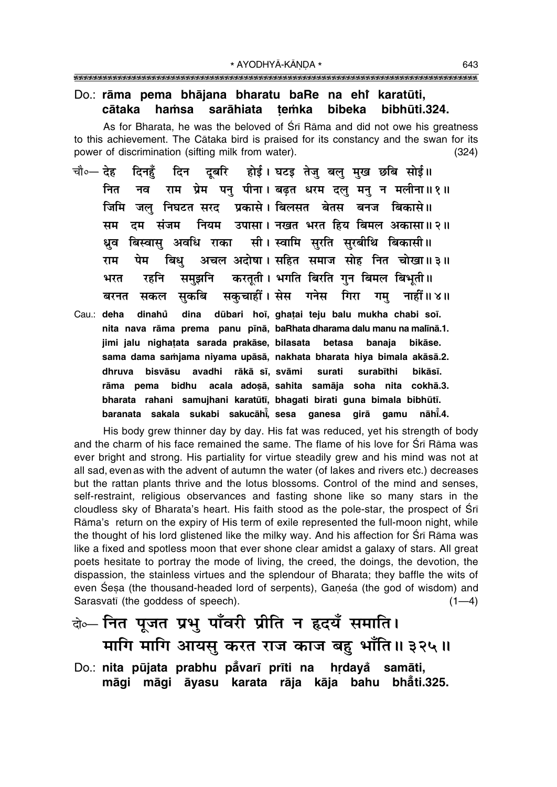\* AYODHYĀ-KĀNDA \* 

#### Do.: rāma pema bhājana bharatu baRe na ehr karatūti, sarāhiata temka bibeka bibhūti.324. cātaka hamsa

As for Bharata, he was the beloved of Sri Rama and did not owe his greatness to this achievement. The Cātaka bird is praised for its constancy and the swan for its power of discrimination (sifting milk from water).  $(324)$ 

- दिन दुबरि होई। घटइ तेजु बलु मुख छबि सोई॥ चौ०— देह्र दिनहेँ राम प्रेम पन पीना। बढत धरम दल मन न मलीना॥१॥ नित नव जिमि जल निघटत सरद प्रकासे।विलसत बेतस बनज बिकासे॥ नियम उपासा। नखत भरत हिय बिमल अकासा॥२॥ सम दम संजम सी। स्वामि सरति सरबीथि बिकासी॥ धव बिस्वास अवधि राका अचल अदोषा। सहित समाज सोह नित चोखा॥३॥ पेम बिध राम करतती। भगति बिरति गन बिमल बिभती॥ समझनि भरत रहनि सकचाहीं। सेस गनेस गिरा गमु नाहीं॥४॥ सकबि बरनत सकल dina dūbari hoī, ghaṭai teju balu mukha chabi soī. Cau.: deha dinahů
- nita nava rāma prema panu pīnā, baRhata dharama daļu manu na malīnā.1. jimi jalu nighatata sarada prakāse, bilasata betasa banaja bikāse. sama dama samjama niyama upāsā, nakhata bharata hiya bimala akāsā.2. dhruva bisvāsu avadhi rākā sī, svāmi surati surabīthi bikāsī. rāma pema bidhu acala adosā, sahita samāja soha nita cokhā.3. bharata rahani samujhani karatūtī, bhagati birati guna bimala bibhūtī. baranata sakala sukabi sakucāhi, sesa ganesa girā gamu nāhī.4.

His body grew thinner day by day. His fat was reduced, yet his strength of body and the charm of his face remained the same. The flame of his love for Srī Rāma was ever bright and strong. His partiality for virtue steadily grew and his mind was not at all sad, even as with the advent of autumn the water (of lakes and rivers etc.) decreases but the rattan plants thrive and the lotus blossoms. Control of the mind and senses, self-restraint, religious observances and fasting shone like so many stars in the cloudless sky of Bharata's heart. His faith stood as the pole-star, the prospect of Sri Rāma's return on the expiry of His term of exile represented the full-moon night, while the thought of his lord glistened like the milky way. And his affection for Srī Rāma was like a fixed and spotless moon that ever shone clear amidst a galaxy of stars. All great poets hesitate to portray the mode of living, the creed, the doings, the devotion, the dispassion, the stainless virtues and the splendour of Bharata; they baffle the wits of even Sesa (the thousand-headed lord of serpents), Ganesa (the god of wisdom) and Sarasvatī (the goddess of speech).  $(1-4)$ 

### बे⊶ नित पूजत प्रभु पाँवरी प्रीति न हृदयँ समाति। मागि मागि आयसु करत राज काज बहु भाँति॥ ३२५॥ Do.: nita pūjata prabhu påvarī prīti na hrdayå samāti,

māgi māgi āyasu karata rāja kāja bahu bhāti.325.

643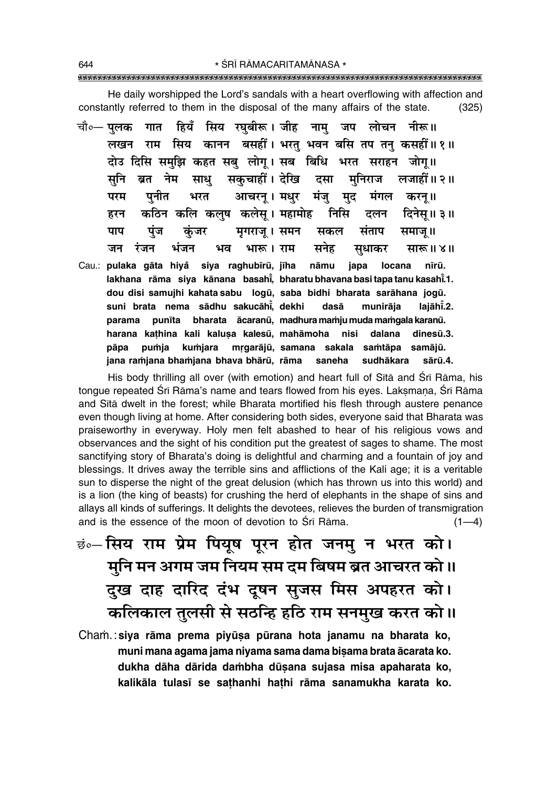He daily worshipped the Lord's sandals with a heart overflowing with affection and constantly referred to them in the disposal of the many affairs of the state.  $(325)$ 

- गात हियँ सिय रघबीरू। जीह नाम जप लोचन नीरू॥ चौ०— पलक राम सिय कानन बसहीं। भरतु भवन बसि तप तनु कसहीं॥१॥ लखन दोउ दिसि समुझि कहत सबु लोग्। सब बिधि भरत सराहन जोग्॥ नेम सकचाहीं। देखि सनि ब्रत साध लजाहीं॥ २॥ दसा मनिराज आचरन् । मधुर मंजु मुद परम पनीत भरत मंगल करन् ॥ कठिन कलि कलुष कलेसु । महामोह निसि दलन दिनेस॥ ३॥ हरन मगराज। समन संताप पाप पंज कंजर सकल समाज॥ भंजन भारू । राम सनेह जन रंजन भव सधाकर सारू॥४॥ Cau.: pulaka gāta hiyå siya raghubīrū, jīha nāmu japa locana nīrū. lakhana rāma siya kānana basahī, bharatu bhavana basi tapa tanu kasahī.1. dou disi samujhi kahata sabu logū, saba bidhi bharata sarāhana jogū.
- suni brata nema sādhu sakucāhi, dekhi dasā munirāja lajāhī.2. punīta bharata ācaranū, madhura mamju muda mamgala karanū. parama harana kathina kali kalusa kalesū, mahāmoha nisi dalana dinesū.3. pāpa pumja kumjara mrgarājū, samana sakala samtāpa samājū. jana ramjana bhamjana bhava bhārū, rāma saneha sudhākara sārū.4.

His body thrilling all over (with emotion) and heart full of Sita and Sri Rama, his tongue repeated Śrī Rāma's name and tears flowed from his eyes. Laksmana, Śrī Rāma and Sita dwelt in the forest; while Bharata mortified his flesh through austere penance even though living at home. After considering both sides, everyone said that Bharata was praiseworthy in everyway. Holy men felt abashed to hear of his religious vows and observances and the sight of his condition put the greatest of sages to shame. The most sanctifying story of Bharata's doing is delightful and charming and a fountain of joy and blessings. It drives away the terrible sins and afflictions of the Kali age; it is a veritable sun to disperse the night of the great delusion (which has thrown us into this world) and is a lion (the king of beasts) for crushing the herd of elephants in the shape of sins and allays all kinds of sufferings. It delights the devotees, relieves the burden of transmigration and is the essence of the moon of devotion to Srī Rāma.  $(1-4)$ 

<u>छं०</u> सिय राम प्रेम पियूष पूरन होत जनमु न भरत को। मुनि मन अगम जम नियम सम दम बिषम ब्रत आचरत को ॥ दुख दाह दारिद दंभ दूषन सुजस मिस अपहरत को। कलिकाल तुलसी से सठन्हि हठि राम सनमुख करत को ॥

Cham siya rāma prema piyūsa pūrana hota janamu na bharata ko, muni mana agama jama niyama sama dama bisama brata ācarata ko. dukha dāha dārida dambha dūṣana sujasa misa apaharata ko, kalikāla tulasī se sathanhi hathi rāma sanamukha karata ko.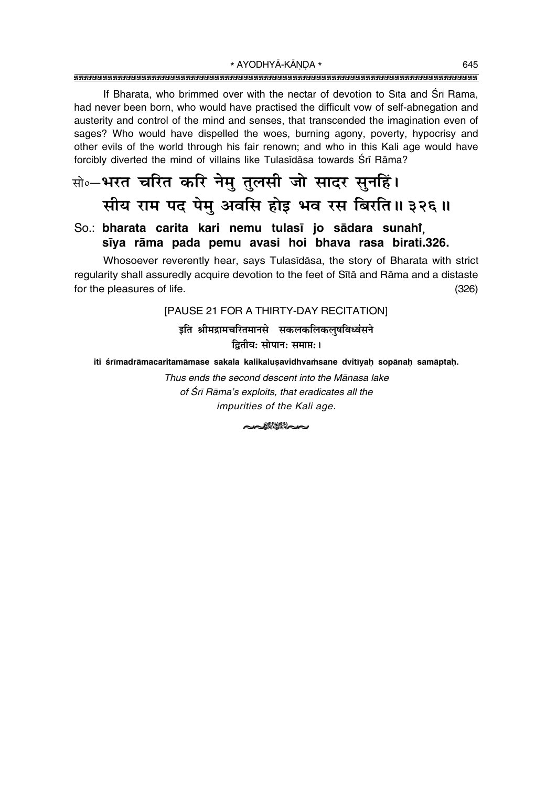\* AYODHYĀ-KĀNDA \* 

If Bharata, who brimmed over with the nectar of devotion to Sītā and Śrī Rāma. had never been born, who would have practised the difficult vow of self-abnegation and austerity and control of the mind and senses, that transcended the imagination even of sages? Who would have dispelled the woes, burning agony, poverty, hypocrisy and other evils of the world through his fair renown; and who in this Kali age would have forcibly diverted the mind of villains like Tulasidasa towards Sri Rama?

### सो०-भरत चरित करि नेमु तुलसी जो सादर सुनहिं। सीय राम पद पेमु अवसि होइ भव रस बिरति॥३२६॥

#### So.: bharata carita kari nemu tulasī jo sādara sunahi sīya rāma pada pemu avasi hoi bhava rasa birati.326.

Whosoever reverently hear, says Tulasidasa, the story of Bharata with strict regularity shall assuredly acquire devotion to the feet of Sita and Rama and a distaste for the pleasures of life.  $(326)$ 

[PAUSE 21 FOR A THIRTY-DAY RECITATION]

इति श्रीमद्रामचरितमानसे सकलकलिकलषविध्वंसने द्वितीय: सोपान: समाप्त: ।

iti śrīmadrāmacaritamāmase sakala kalikalusavidhvamsane dvitīvah sopānah samāptah.

Thus ends the second descent into the Mānasa lake of Śrī Rāma's exploits, that eradicates all the impurities of the Kali age.

**NASA SA**